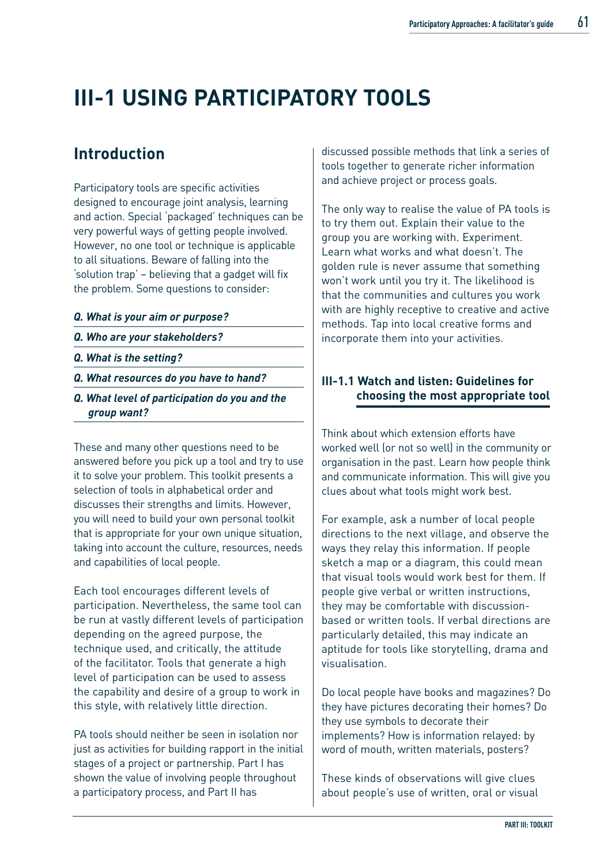# **III-1 USING PARTICIPATORY TOOLS**

## **Introduction**

Participatory tools are specific activities designed to encourage joint analysis, learning and action. Special 'packaged' techniques can be very powerful ways of getting people involved. However, no one tool or technique is applicable to all situations. Beware of falling into the 'solution trap' – believing that a gadget will fix the problem. Some questions to consider:

- *Q. What is your aim or purpose?*
- *Q. Who are your stakeholders?*
- *Q. What is the setting?*
- *Q. What resources do you have to hand?*
- *Q. What level of participation do you and the group want?*

These and many other questions need to be answered before you pick up a tool and try to use it to solve your problem. This toolkit presents a selection of tools in alphabetical order and discusses their strengths and limits. However, you will need to build your own personal toolkit that is appropriate for your own unique situation, taking into account the culture, resources, needs and capabilities of local people.

Each tool encourages different levels of participation. Nevertheless, the same tool can be run at vastly different levels of participation depending on the agreed purpose, the technique used, and critically, the attitude of the facilitator. Tools that generate a high level of participation can be used to assess the capability and desire of a group to work in this style, with relatively little direction.

PA tools should neither be seen in isolation nor just as activities for building rapport in the initial stages of a project or partnership. Part I has shown the value of involving people throughout a participatory process, and Part II has

discussed possible methods that link a series of tools together to generate richer information and achieve project or process goals.

The only way to realise the value of PA tools is to try them out. Explain their value to the group you are working with. Experiment. Learn what works and what doesn't. The golden rule is never assume that something won't work until you try it. The likelihood is that the communities and cultures you work with are highly receptive to creative and active methods. Tap into local creative forms and incorporate them into your activities.

### **III-1.1 Watch and listen: Guidelines for choosing the most appropriate tool**

Think about which extension efforts have worked well (or not so well) in the community or organisation in the past. Learn how people think and communicate information. This will give you clues about what tools might work best.

For example, ask a number of local people directions to the next village, and observe the ways they relay this information. If people sketch a map or a diagram, this could mean that visual tools would work best for them. If people give verbal or written instructions, they may be comfortable with discussionbased or written tools. If verbal directions are particularly detailed, this may indicate an aptitude for tools like storytelling, drama and visualisation.

Do local people have books and magazines? Do they have pictures decorating their homes? Do they use symbols to decorate their implements? How is information relayed: by word of mouth, written materials, posters?

These kinds of observations will give clues about people's use of written, oral or visual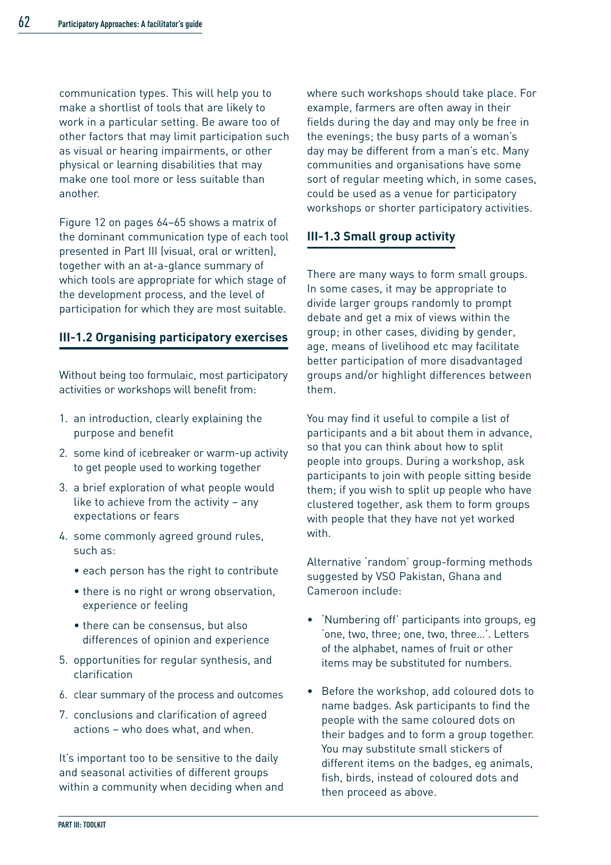communication types. This will help you to make a shortlist of tools that are likely to work in a particular setting. Be aware too of other factors that may limit participation such as visual or hearing impairments, or other physical or learning disabilities that may make one tool more or less suitable than another.

Figure 12 on pages 64–65 shows a matrix of the dominant communication type of each tool presented in Part III (visual, oral or written), together with an at-a-glance summary of which tools are appropriate for which stage of the development process, and the level of participation for which they are most suitable.

### **III-1.2 Organising participatory exercises**

Without being too formulaic, most participatory activities or workshops will benefit from:

- 1. an introduction, clearly explaining the purpose and benefit
- 2. some kind of icebreaker or warm-up activity to get people used to working together
- 3. a brief exploration of what people would like to achieve from the activity – any expectations or fears
- 4. some commonly agreed ground rules, such as:
	- each person has the right to contribute
	- there is no right or wrong observation, experience or feeling
	- there can be consensus, but also differences of opinion and experience
- 5. opportunities for regular synthesis, and clarification
- 6. clear summary of the process and outcomes
- 7. conclusions and clarification of agreed actions – who does what, and when.

It's important too to be sensitive to the daily and seasonal activities of different groups within a community when deciding when and where such workshops should take place. For example, farmers are often away in their fields during the day and may only be free in the evenings; the busy parts of a woman's day may be different from a man's etc. Many communities and organisations have some sort of regular meeting which, in some cases, could be used as a venue for participatory workshops or shorter participatory activities.

### **III-1.3 Small group activity**

There are many ways to form small groups. In some cases, it may be appropriate to divide larger groups randomly to prompt debate and get a mix of views within the group; in other cases, dividing by gender, age, means of livelihood etc may facilitate better participation of more disadvantaged groups and/or highlight differences between them.

You may find it useful to compile a list of participants and a bit about them in advance, so that you can think about how to split people into groups. During a workshop, ask participants to join with people sitting beside them; if you wish to split up people who have clustered together, ask them to form groups with people that they have not yet worked with.

Alternative 'random' group-forming methods suggested by VSO Pakistan, Ghana and Cameroon include:

- 'Numbering off' participants into groups, eg 'one, two, three; one, two, three…'. Letters of the alphabet, names of fruit or other items may be substituted for numbers.
- Before the workshop, add coloured dots to name badges. Ask participants to find the people with the same coloured dots on their badges and to form a group together. You may substitute small stickers of different items on the badges, eg animals, fish, birds, instead of coloured dots and then proceed as above.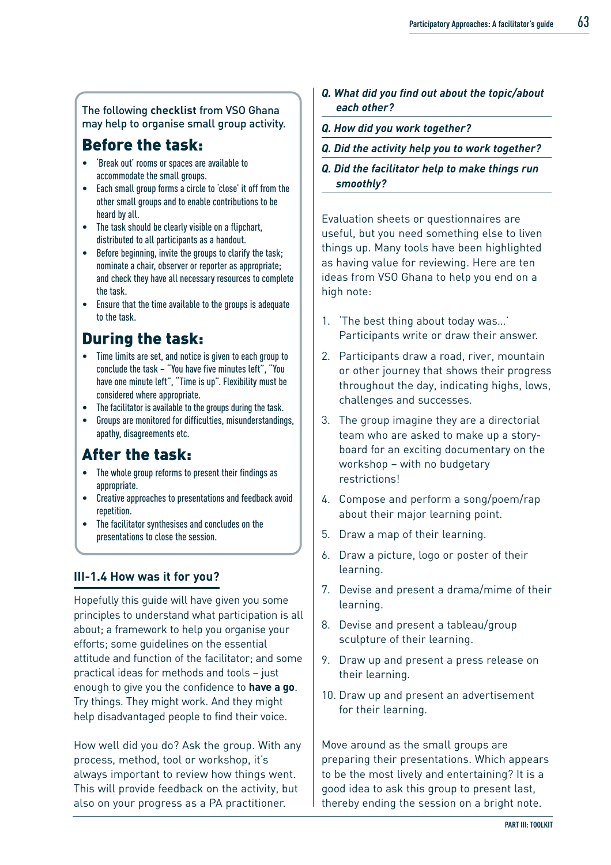#### The following **checklist** from VSO Ghana may help to organise small group activity.

## Before the task:

- 'Break out' rooms or spaces are available to accommodate the small groups.
- Each small group forms a circle to 'close' it off from the other small groups and to enable contributions to be heard by all.
- The task should be clearly visible on a flipchart, distributed to all participants as a handout.
- Before beginning, invite the groups to clarify the task; nominate a chair, observer or reporter as appropriate; and check they have all necessary resources to complete the task.
- Ensure that the time available to the groups is adequate to the task.

## During the task:

- Time limits are set, and notice is given to each group to conclude the task – "You have five minutes left", "You have one minute left", "Time is up". Flexibility must be considered where appropriate.
- The facilitator is available to the groups during the task.
- Groups are monitored for difficulties, misunderstandings, apathy, disagreements etc.

## After the task:

- The whole group reforms to present their findings as appropriate.
- Creative approaches to presentations and feedback avoid repetition.
- The facilitator synthesises and concludes on the presentations to close the session.

### **III-1.4 How was it for you?**

Hopefully this guide will have given you some principles to understand what participation is all about; a framework to help you organise your efforts; some guidelines on the essential attitude and function of the facilitator; and some practical ideas for methods and tools – just enough to give you the confidence to **have a go**. Try things. They might work. And they might help disadvantaged people to find their voice.

How well did you do? Ask the group. With any process, method, tool or workshop, it's always important to review how things went. This will provide feedback on the activity, but also on your progress as a PA practitioner.

- *Q. What did you find out about the topic/about each other?*
- *Q. How did you work together?*
- *Q. Did the activity help you to work together?*
- *Q. Did the facilitator help to make things run smoothly?*

Evaluation sheets or questionnaires are useful, but you need something else to liven things up. Many tools have been highlighted as having value for reviewing. Here are ten ideas from VSO Ghana to help you end on a high note:

- 1. 'The best thing about today was…' Participants write or draw their answer.
- 2. Participants draw a road, river, mountain or other journey that shows their progress throughout the day, indicating highs, lows, challenges and successes.
- 3. The group imagine they are a directorial team who are asked to make up a storyboard for an exciting documentary on the workshop – with no budgetary restrictions!
- 4. Compose and perform a song/poem/rap about their major learning point.
- 5. Draw a map of their learning.
- 6. Draw a picture, logo or poster of their learning.
- 7. Devise and present a drama/mime of their learning.
- 8. Devise and present a tableau/group sculpture of their learning.
- 9. Draw up and present a press release on their learning.
- 10. Draw up and present an advertisement for their learning.

Move around as the small groups are preparing their presentations. Which appears to be the most lively and entertaining? It is a good idea to ask this group to present last, thereby ending the session on a bright note.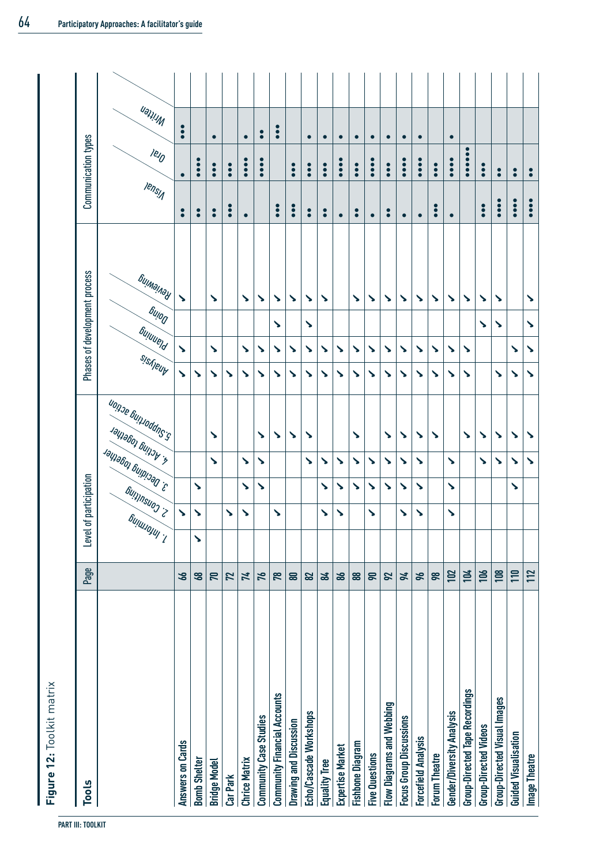| <b>Tools</b>                          | Page         |                        | Level of participation |                      |                       |                                                         |                       |   |                                                   | Phases of development process |                      | Communication types           |                        |  |
|---------------------------------------|--------------|------------------------|------------------------|----------------------|-----------------------|---------------------------------------------------------|-----------------------|---|---------------------------------------------------|-------------------------------|----------------------|-------------------------------|------------------------|--|
|                                       |              | Guinnonn, <sup>1</sup> | Sultillued of          | 3. Deciding together |                       | u <sub>on de</sub> Gunuduns sch<br>Jaliaboj principalit | sisheuy               |   | <b><sub>6ulog</sub></b><br><b><i>Suluuerd</i></b> | Бијмајлау                     | <b>Iensy</b>         | $e_{10}$                      | <b>Writen</b>          |  |
| Answers on Cards                      | 66           |                        | $\blacktriangleright$  |                      |                       |                                                         | ゝ                     | ゝ |                                                   | ゝ                             | $\bullet$            | $\bullet$                     | $\ddot{\bullet}$       |  |
| <b>Bomb Shelter</b>                   | 68           | ゝ                      | $\blacktriangleright$  | ゝ                    |                       |                                                         | ゝ                     |   |                                                   |                               | $\bullet$            | $\ddot{\bullet}$              |                        |  |
| <b>Bridge Model</b>                   | 70           |                        |                        |                      | $\blacktriangleright$ | ゝ                                                       | ゝ                     | ゝ |                                                   | ゝ                             | $\bullet$            | $\ddot{\bullet}$              | $\bullet$              |  |
| Car Park                              | 72           |                        | ζ                      |                      |                       |                                                         | ゝ                     |   |                                                   |                               | $\ddot{\bullet}$     | $\ddot{\bullet}$              |                        |  |
| <b>Chrice Matrix</b>                  | 74           |                        | ゝ                      | ゝ                    | $\blacktriangleright$ |                                                         | ゝ                     | ゝ |                                                   | ゝ                             | $\bullet$            | $\ddot{\bullet}$              | $\bullet$              |  |
| Community Case Studies                | 76           |                        |                        | ゝ                    | ゝ                     | ゝ                                                       | ゝ                     | ゝ |                                                   | ゝ                             |                      | $\ddot{\phantom{a}}$          | $\bullet$              |  |
| <b>Community Financial Accounts</b>   | 78           |                        | ゝ                      |                      |                       | ゝ                                                       | ↘                     | ゝ | ゝ                                                 | ノ                             | $\ddot{\bullet}$     |                               | $\bullet$<br>$\bullet$ |  |
| <b>Drawing and Discussion</b>         | $\mathbf{a}$ |                        |                        |                      |                       | ゝ                                                       | ↘                     | ↘ |                                                   | ↘                             | $\ddot{\bullet}$     | $\ddot{\bullet}$              |                        |  |
| Echo/Cascade Workshops                | 82           |                        |                        |                      | $\blacktriangleright$ | ↘                                                       | ↘                     | ↘ | ↘                                                 | ゝ                             | $\bullet$            | $\bullet$                     | $\bullet$              |  |
| <b>Equality Tree</b>                  | 84           |                        | ζ                      | ゝ                    | ↘                     |                                                         | ↘                     | ↘ |                                                   | ゝ                             | $\bullet$            | $\ddot{\bullet}$              |                        |  |
| Expertise Market                      | 86           |                        | ↘                      | ゝ                    | ゝ                     |                                                         | ↘                     | ↘ |                                                   |                               | $\bullet$            | c<br>$\bullet$                | $\bullet$              |  |
| <b>Fishbone Diagram</b>               | 88           |                        |                        | ↘                    | ゝ                     | $\boldsymbol{\mathcal{L}}$                              | ↘                     | ↘ |                                                   | ゝ                             | $\bullet$            | $\ddot{\bullet}$              | $\bullet$              |  |
| <b>Five Questions</b>                 | 90           |                        | ゝ                      | ↘                    | ゝ                     |                                                         | ↘                     | ↘ |                                                   | ↘                             | $\bullet$            | $\ddot{\bullet}$              | $\bullet$              |  |
| <b>Flow Diagrams and Webbing</b>      | 92           |                        |                        | ゝ                    | ゝ                     | ゝ                                                       | ゝ                     | ゝ |                                                   | ゝ                             | $\bullet$            | $\bullet$                     | $\bullet$              |  |
| <b>Focus Group Discussions</b>        | 94           |                        | $\blacktriangleright$  | ゝ                    | ゝ                     | ゝ                                                       | ゝ                     | ゝ |                                                   | ゝ                             | $\bullet$            | $\bullet$<br>$\bullet$        | $\bullet$              |  |
| <b>Forcefield Analysis</b>            | 96           |                        | ゝ                      | ゝ                    | ゝ                     | ゝ                                                       | ゝ                     | ゝ |                                                   | ゝ                             | $\bullet$            | $\bullet$<br>$\ddot{\bullet}$ | $\bullet$              |  |
| Forum Theatre                         | 98           |                        |                        |                      |                       | $\blacktriangleright$                                   | ゝ                     | ゝ |                                                   | ゝ                             | $\ddot{\bullet}$     | $\ddot{\bullet}$              |                        |  |
| Gender/Diversity Analysis             | 102          |                        | ゝ                      | ゝ                    | $\blacktriangleright$ |                                                         | ゝ                     | ゝ |                                                   | ゝ                             | $\bullet$            | $\ddot{\bullet}$              | $\bullet$              |  |
| <b>Group-Directed Tape Recordings</b> | 104          |                        |                        |                      |                       | ゝ                                                       | ゝ                     | ゝ |                                                   | ゝ                             |                      |                               |                        |  |
| <b>Group-Directed Videos</b>          | 106          |                        |                        |                      | ゝ                     | ゝ                                                       |                       |   | ゝ                                                 | ゝ                             | $\ddot{\bullet}$     | $\bullet$                     |                        |  |
| <b>Group-Directed Visual Images</b>   | 108          |                        |                        |                      | ゝ                     | ゝ                                                       | $\blacktriangleright$ |   | ゝ                                                 | ゝ                             | $\ddot{\bullet}$     | $\bullet$                     |                        |  |
| <b>Guided Visualisation</b>           | 110          |                        |                        | ゝ                    | ゝ                     | ゝ                                                       | ゝ                     | ゝ |                                                   |                               | $\ddot{\bullet}$     | $\bullet$                     |                        |  |
| <b>Image Theatre</b>                  | 112          |                        |                        |                      | ゝ                     | ゝ                                                       | $\blacktriangleright$ | ζ | ζ                                                 | ゝ                             | $\ddot{\phantom{a}}$ | $\bullet$                     |                        |  |

Figure 12: Toolkit matrix **Figure 12:** Toolkit matrix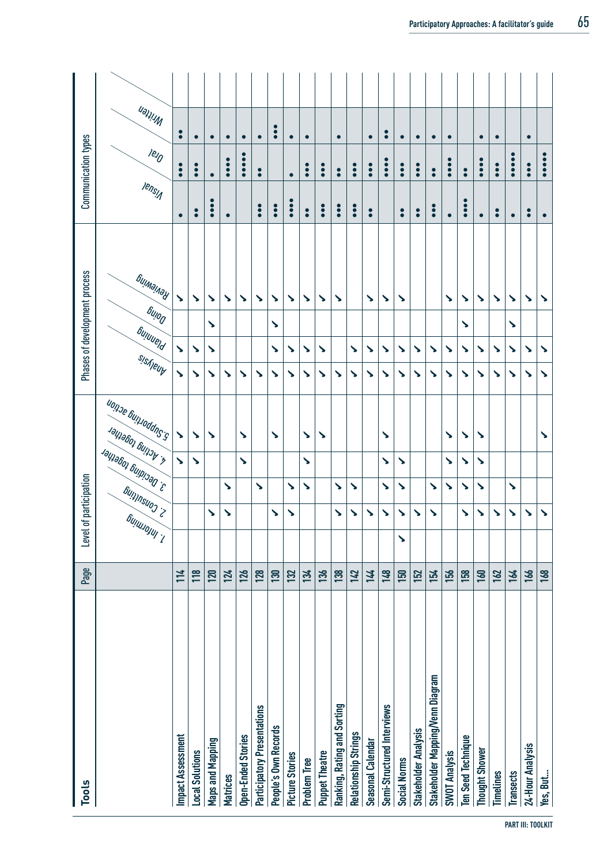| <b>Tools</b>                       | Page       | Level                                  | of participation                  |                       |   |                                                                   |         |          |                          | Phases of development process |                   | Communication types           |                        |  |
|------------------------------------|------------|----------------------------------------|-----------------------------------|-----------------------|---|-------------------------------------------------------------------|---------|----------|--------------------------|-------------------------------|-------------------|-------------------------------|------------------------|--|
|                                    |            | <sub>6</sub><br>Bu <sub>llulojuj</sub> | <b><sup>Guinnsuos :&gt;</sup></b> | 3. Deciding together  |   | u <sub>on de</sub> Gunudurs <sub>'s</sub><br>Jaliaboj principalit | sisheur | Suluuerd | <b><sub>Gullog</sub></b> | Бијмајлау                     | <b>Iensy</b>      | $e_{10}$                      | Mriten                 |  |
| Impact Assessment                  | 114        |                                        |                                   |                       | ↘ | ↘                                                                 | ゝ       | ゝ        |                          | ↘                             | $\bullet$         | $\ddot{\bullet}$              | $\bullet$              |  |
| <b>Local Solutions</b>             | <b>118</b> |                                        |                                   |                       | ゝ | ↘                                                                 | ↘       | ゝ        |                          | $\boldsymbol{\mathcal{L}}$    | $\bullet$         | $\bullet$                     | $\bullet$              |  |
| Maps and Mapping                   | 120        |                                        | $\blacktriangleright$             |                       |   | ↘                                                                 | ↘       | Š        | ゝ                        | $\blacktriangleright$         | $\bullet \bullet$ | $\bullet$                     | $\bullet$              |  |
| <b>Matrices</b>                    | 124        |                                        | $\sum_{i=1}^{n} a_i$              | ゝ                     |   |                                                                   | ゝ       |          |                          | ゝ                             | $\bullet$         | $\bullet$<br>$\ddot{\bullet}$ | $\bullet$              |  |
| Open-Ended Stories                 | 126        |                                        |                                   |                       | ゝ | ゝ                                                                 | ゝ       |          |                          | $\mathbf{r}$                  |                   |                               | $\bullet$              |  |
| <b>Participatory Presentations</b> | <b>128</b> |                                        |                                   | $\blacktriangleright$ |   |                                                                   | ゝ       |          |                          | ゝ                             | $\bullet$         | $\bullet$                     | $\bullet$              |  |
| People's Own Records               | <b>130</b> |                                        | ゝ                                 |                       |   | ゝ                                                                 | ゝ       | ゝ        | ゝ                        | ゝ                             | $\bullet \bullet$ |                               | $\bullet$<br>$\bullet$ |  |
| Picture Stories                    | 132        |                                        | ゝ                                 | ゝ                     |   |                                                                   | ↘       | ↘        |                          | ゝ                             | $\ddot{\bullet}$  | $\bullet$                     | $\bullet$              |  |
| <b>Problem Tree</b>                | 134        |                                        |                                   | ゝ                     | ゝ | ゝ                                                                 | ゝ       | ゝ        |                          | ゝ                             | $\bullet$         | $\bullet \bullet$             | $\bullet$              |  |
| <b>Puppet Theatre</b>              | 136        |                                        |                                   |                       |   | ゝ                                                                 | ゝ       | ゝ        |                          | ゝ                             | $\ddot{\bullet}$  | $\ddot{\bullet}$              |                        |  |
| Ranking, Rating and Sorting        | 138        |                                        | ゝ                                 | ゝ                     |   |                                                                   | ゝ       |          |                          | ゝ                             | $\ddot{\bullet}$  | $\bullet$                     | $\bullet$              |  |
| Relationship Strings               | 142        |                                        | ゝ                                 | ↘                     |   |                                                                   | ↘       | ゝ        |                          |                               | $\ddot{\bullet}$  | $\ddot{\bullet}$              |                        |  |
| Seasonal Calendar                  | 144        |                                        | ↘                                 |                       |   |                                                                   | ↘       | ↘        |                          | ゝ                             | $\bullet$         | $\ddot{\bullet}$              | $\bullet$              |  |
| Semi-Structured Interviews         | 148        |                                        | ゝ                                 | $\blacktriangleright$ | ゝ | ゝ                                                                 | ゝ       | ゝ        |                          | $\sum_{i=1}^{n} a_i$          |                   | $\bullet \bullet$             | $\bullet$              |  |
| <b>Social Norms</b>                | 150        | ゝ                                      | $\boldsymbol{\mathcal{L}}$        | ゝ                     | ζ |                                                                   | ↘       | ゝ        |                          | ゝ                             | $\bullet$         | $\bullet$                     | $\bullet$              |  |
| <b>Stakeholder Analysis</b>        | 152        |                                        | ゝ                                 |                       |   |                                                                   | ゝ       | ゝ        |                          |                               | $\bullet$         | $\ddot{\bullet}$              | $\bullet$              |  |
| Stakeholder Mapping/Venn Diagram   | 154        |                                        | ゝ                                 | ゝ                     |   |                                                                   | ゝ       | ゝ        |                          |                               | $\ddot{\bullet}$  | $\bullet$                     | $\bullet$              |  |
| <b>SWOT Analysis</b>               | 156        |                                        |                                   | ゝ                     | ゝ | ゝ                                                                 | ゝ       | ゝ        |                          | ゝ                             | $\bullet$         | $\ddot{\bullet}$              | $\bullet$              |  |
| <b>Ten Seed Technique</b>          | 158        |                                        | ゝ                                 | ゝ                     | ゝ | ゝ                                                                 | ↘       | ↘        | ゝ                        | ゝ                             | $\ddot{\bullet}$  | $\bullet$                     |                        |  |
| Thought Shower                     | 160        |                                        | ゝ                                 | ゝ                     | ゝ | ゝ                                                                 | ゝ       | ゝ        |                          | ゝ                             | $\bullet$         | $\ddot{\bullet}$              | $\bullet$              |  |
| <b>Timelines</b>                   | 162        |                                        | ゝ                                 |                       |   |                                                                   | ↘       | ↘        |                          | ゝ                             | $\bullet$         | $\ddot{\bullet}$              | $\bullet$              |  |
| <b>Transects</b>                   | 164        |                                        | ゝ                                 | Δ                     |   |                                                                   | ゝ       | ゝ        | ゝ                        | ζ                             | $\bullet$         |                               |                        |  |
| 24-Hour Analysis                   | 166        |                                        | ゝ                                 |                       |   |                                                                   | ↘       | ↘        |                          | ↘                             | $\bullet$         | $\ddot{\bullet}$              | $\bullet$              |  |
| Yes, But                           | 168        |                                        | ゝ                                 |                       |   | ゝ                                                                 | ゝ       | ゝ        |                          | ゝ                             | $\bullet$         |                               |                        |  |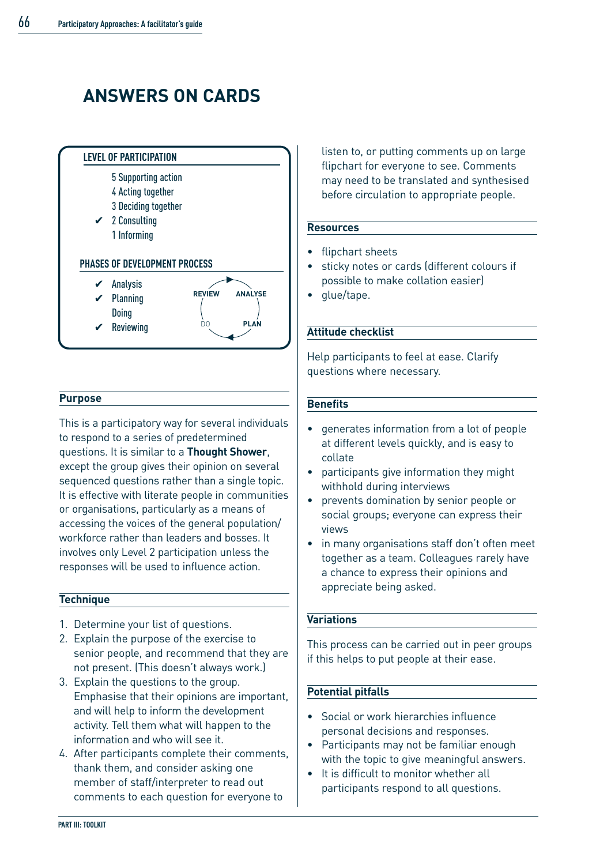# **ANSWERS ON CARDS**



#### **Purpose**

This is a participatory way for several individuals to respond to a series of predetermined questions. It is similar to a **Thought Shower**, except the group gives their opinion on several sequenced questions rather than a single topic. It is effective with literate people in communities or organisations, particularly as a means of accessing the voices of the general population/ workforce rather than leaders and bosses. It involves only Level 2 participation unless the responses will be used to influence action.

#### **Technique**

- 1. Determine your list of questions.
- 2. Explain the purpose of the exercise to senior people, and recommend that they are not present. (This doesn't always work.)
- 3. Explain the questions to the group. Emphasise that their opinions are important, and will help to inform the development activity. Tell them what will happen to the information and who will see it.
- 4. After participants complete their comments, thank them, and consider asking one member of staff/interpreter to read out comments to each question for everyone to

listen to, or putting comments up on large flipchart for everyone to see. Comments may need to be translated and synthesised before circulation to appropriate people.

#### **Resources**

- flipchart sheets
- sticky notes or cards (different colours if possible to make collation easier)
- glue/tape.

#### **Attitude checklist**

Help participants to feel at ease. Clarify questions where necessary.

#### **Benefits**

- generates information from a lot of people at different levels quickly, and is easy to collate
- participants give information they might withhold during interviews
- prevents domination by senior people or social groups; everyone can express their views
- in many organisations staff don't often meet together as a team. Colleagues rarely have a chance to express their opinions and appreciate being asked.

#### **Variations**

This process can be carried out in peer groups if this helps to put people at their ease.

#### **Potential pitfalls**

- Social or work hierarchies influence personal decisions and responses.
- Participants may not be familiar enough with the topic to give meaningful answers.
- It is difficult to monitor whether all participants respond to all questions.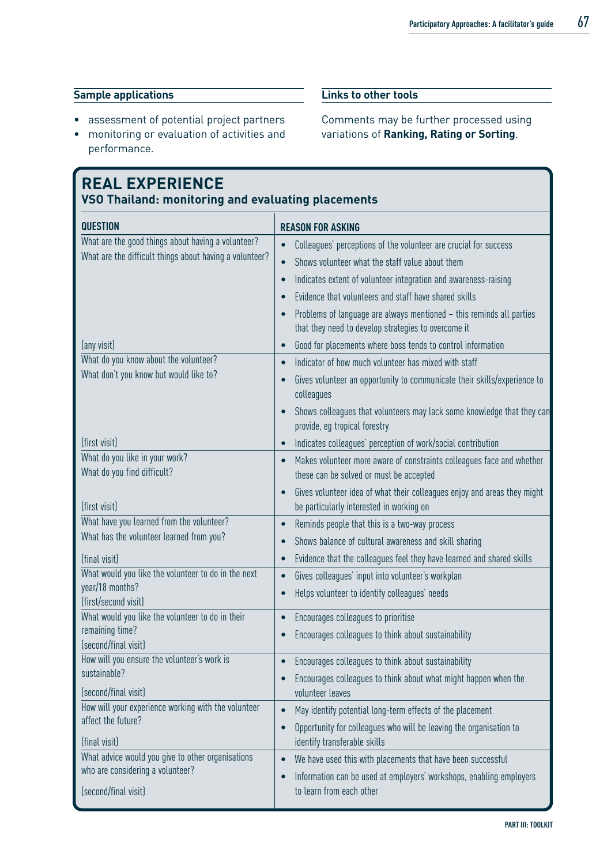#### **Sample applications**

- assessment of potential project partners
- monitoring or evaluation of activities and performance.

## **REAL EXPERIENCE**

**VSO Thailand: monitoring and evaluating placements**

| <b>QUESTION</b>                                             | <b>REASON FOR ASKING</b>                                                                                                          |
|-------------------------------------------------------------|-----------------------------------------------------------------------------------------------------------------------------------|
| What are the good things about having a volunteer?          | Colleagues' perceptions of the volunteer are crucial for success<br>$\bullet$                                                     |
| What are the difficult things about having a volunteer?     | Shows volunteer what the staff value about them<br>$\bullet$                                                                      |
|                                                             | Indicates extent of volunteer integration and awareness-raising<br>$\bullet$                                                      |
|                                                             | Evidence that volunteers and staff have shared skills<br>$\bullet$                                                                |
|                                                             | Problems of language are always mentioned - this reminds all parties<br>that they need to develop strategies to overcome it       |
| (any visit)                                                 | Good for placements where boss tends to control information<br>$\bullet$                                                          |
| What do you know about the volunteer?                       | Indicator of how much volunteer has mixed with staff<br>$\bullet$                                                                 |
| What don't you know but would like to?                      | Gives volunteer an opportunity to communicate their skills/experience to<br>$\bullet$<br>colleagues                               |
|                                                             | Shows colleagues that volunteers may lack some knowledge that they can<br>provide, eg tropical forestry                           |
| (first visit)                                               | Indicates colleagues' perception of work/social contribution<br>$\bullet$                                                         |
| What do you like in your work?                              | Makes volunteer more aware of constraints colleagues face and whether<br>$\bullet$                                                |
| What do you find difficult?                                 | these can be solved or must be accepted                                                                                           |
| (first visit)                                               | Gives volunteer idea of what their colleagues enjoy and areas they might<br>$\bullet$<br>be particularly interested in working on |
| What have you learned from the volunteer?                   | Reminds people that this is a two-way process<br>$\bullet$                                                                        |
| What has the volunteer learned from you?                    | Shows balance of cultural awareness and skill sharing<br>$\bullet$                                                                |
| (final visit)                                               | Evidence that the colleagues feel they have learned and shared skills<br>$\bullet$                                                |
| What would you like the volunteer to do in the next         | Gives colleagues' input into volunteer's workplan<br>$\bullet$                                                                    |
| year/18 months?<br>(first/second visit)                     | Helps volunteer to identify colleagues' needs<br>$\bullet$                                                                        |
| What would you like the volunteer to do in their            | Encourages colleagues to prioritise<br>$\bullet$                                                                                  |
| remaining time?<br>(second/final visit)                     | Encourages colleagues to think about sustainability<br>$\bullet$                                                                  |
| How will you ensure the volunteer's work is<br>sustainable? | Encourages colleagues to think about sustainability<br>$\bullet$                                                                  |
| (second/final visit)                                        | Encourages colleagues to think about what might happen when the<br>$\bullet$<br>volunteer leaves                                  |
| How will your experience working with the volunteer         | May identify potential long-term effects of the placement<br>$\bullet$                                                            |
| affect the future?                                          | Opportunity for colleagues who will be leaving the organisation to<br>$\bullet$                                                   |
| (final visit)                                               | identify transferable skills                                                                                                      |
| What advice would you give to other organisations           | We have used this with placements that have been successful<br>$\bullet$                                                          |
| who are considering a volunteer?                            | Information can be used at employers' workshops, enabling employers<br>$\bullet$                                                  |
| (second/final visit)                                        | to learn from each other                                                                                                          |

#### **Links to other tools**

Comments may be further processed using variations of **Ranking, Rating or Sorting**.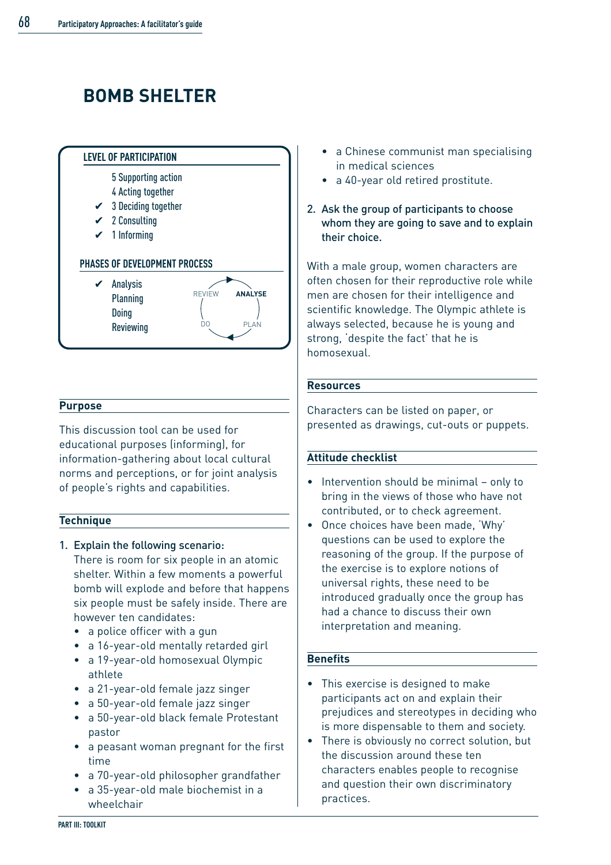# **BOMB SHELTER**



#### **Purpose**

This discussion tool can be used for educational purposes (informing), for information-gathering about local cultural norms and perceptions, or for joint analysis of people's rights and capabilities.

#### **Technique**

1. Explain the following scenario:

There is room for six people in an atomic shelter. Within a few moments a powerful bomb will explode and before that happens six people must be safely inside. There are however ten candidates:

- a police officer with a gun
- a 16-year-old mentally retarded girl
- a 19-year-old homosexual Olympic athlete
- a 21-year-old female jazz singer
- a 50-year-old female jazz singer
- a 50-year-old black female Protestant pastor
- a peasant woman pregnant for the first time
- a 70-year-old philosopher grandfather
- a 35-year-old male biochemist in a wheelchair
- a Chinese communist man specialising in medical sciences
- a 40-year old retired prostitute.
- 2. Ask the group of participants to choose whom they are going to save and to explain their choice.

With a male group, women characters are often chosen for their reproductive role while men are chosen for their intelligence and scientific knowledge. The Olympic athlete is always selected, because he is young and strong, 'despite the fact' that he is homosexual.

#### **Resources**

Characters can be listed on paper, or presented as drawings, cut-outs or puppets.

#### **Attitude checklist**

- Intervention should be minimal only to bring in the views of those who have not contributed, or to check agreement.
- Once choices have been made, 'Why' questions can be used to explore the reasoning of the group. If the purpose of the exercise is to explore notions of universal rights, these need to be introduced gradually once the group has had a chance to discuss their own interpretation and meaning.

#### **Benefits**

- This exercise is designed to make participants act on and explain their prejudices and stereotypes in deciding who is more dispensable to them and society.
- There is obviously no correct solution, but the discussion around these ten characters enables people to recognise and question their own discriminatory practices.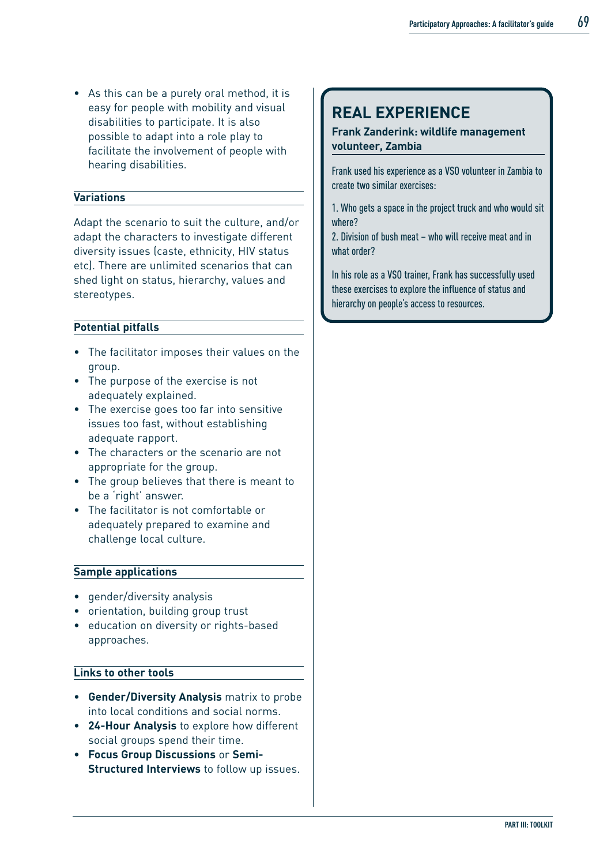• As this can be a purely oral method, it is easy for people with mobility and visual disabilities to participate. It is also possible to adapt into a role play to facilitate the involvement of people with hearing disabilities.

#### **Variations**

Adapt the scenario to suit the culture, and/or adapt the characters to investigate different diversity issues (caste, ethnicity, HIV status etc). There are unlimited scenarios that can shed light on status, hierarchy, values and stereotypes.

#### **Potential pitfalls**

- The facilitator imposes their values on the group.
- The purpose of the exercise is not adequately explained.
- The exercise goes too far into sensitive issues too fast, without establishing adequate rapport.
- The characters or the scenario are not appropriate for the group.
- The group believes that there is meant to be a 'right' answer.
- The facilitator is not comfortable or adequately prepared to examine and challenge local culture.

#### **Sample applications**

- gender/diversity analysis
- orientation, building group trust
- education on diversity or rights-based approaches.

#### **Links to other tools**

- **Gender/Diversity Analysis** matrix to probe into local conditions and social norms.
- **24-Hour Analysis** to explore how different social groups spend their time.
- **Focus Group Discussions** or **Semi-Structured Interviews** to follow up issues.

### **REAL EXPERIENCE**

#### **Frank Zanderink: wildlife management volunteer, Zambia**

Frank used his experience as a VSO volunteer in Zambia to create two similar exercises:

1. Who gets a space in the project truck and who would sit where?

2. Division of bush meat – who will receive meat and in what order?

In his role as a VSO trainer, Frank has successfully used these exercises to explore the influence of status and hierarchy on people's access to resources.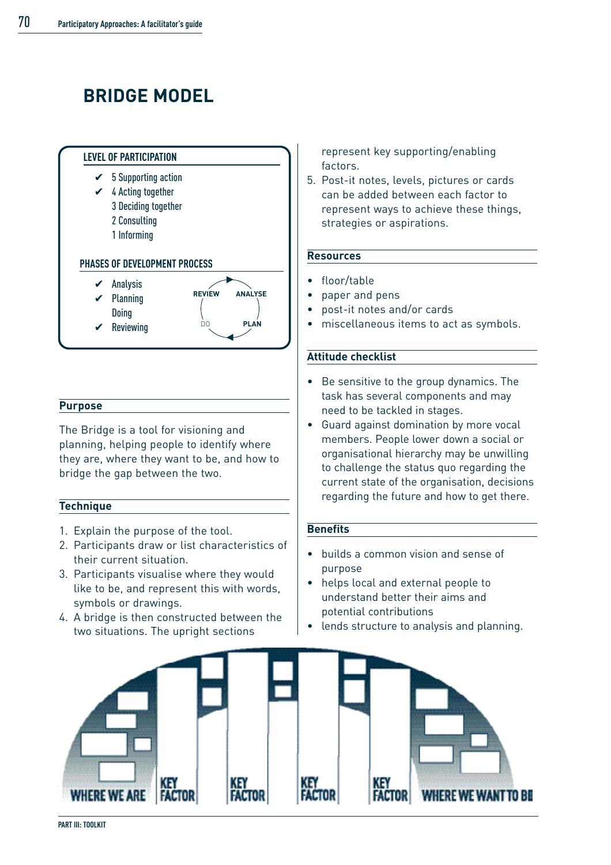# **BRIDGE MODEL**



#### **Purpose**

The Bridge is a tool for visioning and planning, helping people to identify where they are, where they want to be, and how to bridge the gap between the two.

#### **Technique**

- 1. Explain the purpose of the tool.
- 2. Participants draw or list characteristics of their current situation.
- 3. Participants visualise where they would like to be, and represent this with words, symbols or drawings.
- 4. A bridge is then constructed between the two situations. The upright sections

represent key supporting/enabling factors.

5. Post-it notes, levels, pictures or cards can be added between each factor to represent ways to achieve these things, strategies or aspirations.

#### **Resources**

- floor/table
- paper and pens
- post-it notes and/or cards
- miscellaneous items to act as symbols.

#### **Attitude checklist**

- Be sensitive to the group dynamics. The task has several components and may need to be tackled in stages.
- Guard against domination by more vocal members. People lower down a social or organisational hierarchy may be unwilling to challenge the status quo regarding the current state of the organisation, decisions regarding the future and how to get there.

#### **Benefits**

- builds a common vision and sense of purpose
- helps local and external people to understand better their aims and potential contributions
- lends structure to analysis and planning.

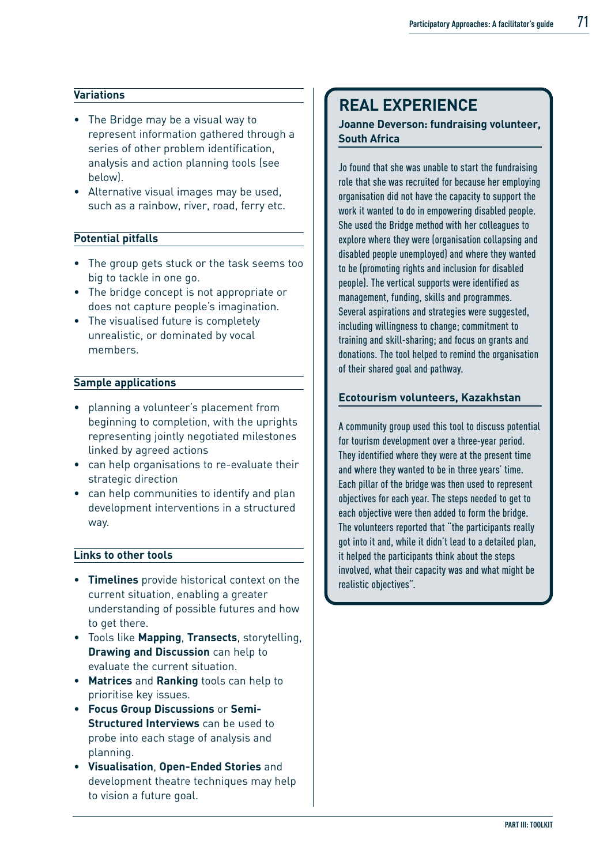#### **Variations**

- The Bridge may be a visual way to represent information gathered through a series of other problem identification, analysis and action planning tools (see below).
- Alternative visual images may be used, such as a rainbow, river, road, ferry etc.

#### **Potential pitfalls**

- The group gets stuck or the task seems too big to tackle in one go.
- The bridge concept is not appropriate or does not capture people's imagination.
- The visualised future is completely unrealistic, or dominated by vocal members.

#### **Sample applications**

- planning a volunteer's placement from beginning to completion, with the uprights representing jointly negotiated milestones linked by agreed actions
- can help organisations to re-evaluate their strategic direction
- can help communities to identify and plan development interventions in a structured way.

#### **Links to other tools**

- **Timelines** provide historical context on the current situation, enabling a greater understanding of possible futures and how to get there.
- Tools like **Mapping**, **Transects**, storytelling, **Drawing and Discussion** can help to evaluate the current situation.
- **Matrices** and **Ranking** tools can help to prioritise key issues.
- **Focus Group Discussions** or **Semi-Structured Interviews** can be used to probe into each stage of analysis and planning.
- **Visualisation**, **Open-Ended Stories** and development theatre techniques may help to vision a future goal.

### **REAL EXPERIENCE**

#### **Joanne Deverson: fundraising volunteer, South Africa**

Jo found that she was unable to start the fundraising role that she was recruited for because her employing organisation did not have the capacity to support the work it wanted to do in empowering disabled people. She used the Bridge method with her colleagues to explore where they were (organisation collapsing and disabled people unemployed) and where they wanted to be (promoting rights and inclusion for disabled people). The vertical supports were identified as management, funding, skills and programmes. Several aspirations and strategies were suggested. including willingness to change; commitment to training and skill-sharing; and focus on grants and donations. The tool helped to remind the organisation of their shared goal and pathway.

#### **Ecotourism volunteers, Kazakhstan**

A community group used this tool to discuss potential for tourism development over a three-year period. They identified where they were at the present time and where they wanted to be in three years' time. Each pillar of the bridge was then used to represent objectives for each year. The steps needed to get to each objective were then added to form the bridge. The volunteers reported that "the participants really got into it and, while it didn't lead to a detailed plan, it helped the participants think about the steps involved, what their capacity was and what might be realistic objectives".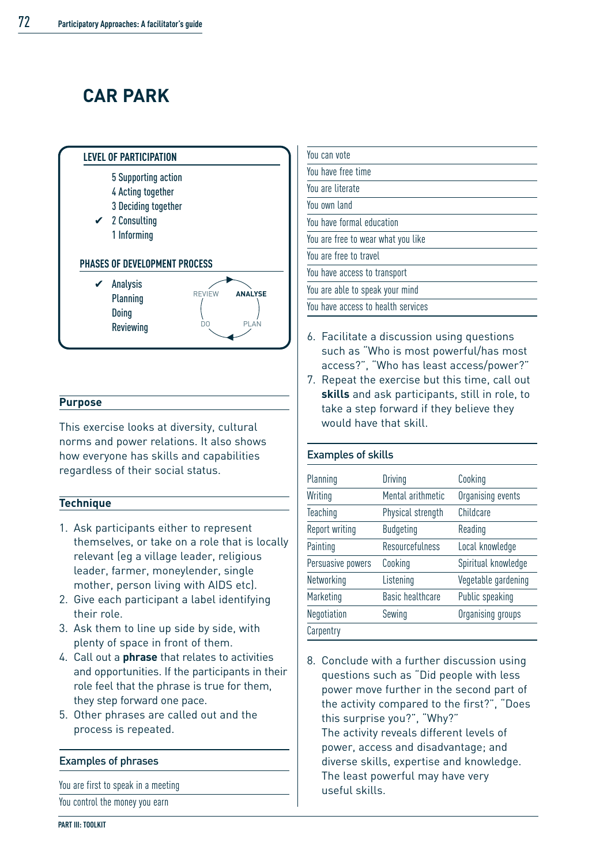# **CAR PARK**



#### **Purpose**

This exercise looks at diversity, cultural norms and power relations. It also shows how everyone has skills and capabilities regardless of their social status.

#### **Technique**

- 1. Ask participants either to represent themselves, or take on a role that is locally relevant (eg a village leader, religious leader, farmer, moneylender, single mother, person living with AIDS etc).
- 2. Give each participant a label identifying their role.
- 3. Ask them to line up side by side, with plenty of space in front of them.
- 4. Call out a **phrase** that relates to activities and opportunities. If the participants in their role feel that the phrase is true for them, they step forward one pace.
- 5. Other phrases are called out and the process is repeated.

#### Examples of phrases

You are first to speak in a meeting

You control the money you earn

| You can vote                       |
|------------------------------------|
| You have free time                 |
| You are literate                   |
| You own land                       |
| You have formal education          |
| You are free to wear what you like |
| You are free to travel             |
| You have access to transport       |
| You are able to speak your mind    |
| You have access to health services |

- 6. Facilitate a discussion using questions such as "Who is most powerful/has most access?", "Who has least access/power?"
- 7. Repeat the exercise but this time, call out **skills** and ask participants, still in role, to take a step forward if they believe they would have that skill.

#### Examples of skills

| Planning          | Driving           | Cooking             |
|-------------------|-------------------|---------------------|
| Writing           | Mental arithmetic | Organising events   |
| Teaching          | Physical strength | Childcare           |
| Report writing    | <b>Budgeting</b>  | Reading             |
| Painting          | Resourcefulness   | Local knowledge     |
| Persuasive powers | Cooking           | Spiritual knowledge |
| Networking        | Listening         | Vegetable gardening |
| Marketing         | Basic healthcare  | Public speaking     |
| Negotiation       | Sewing            | Organising groups   |
| Carpentry         |                   |                     |

8. Conclude with a further discussion using questions such as "Did people with less power move further in the second part of the activity compared to the first?", "Does this surprise you?", "Why?" The activity reveals different levels of power, access and disadvantage; and diverse skills, expertise and knowledge. The least powerful may have very useful skills.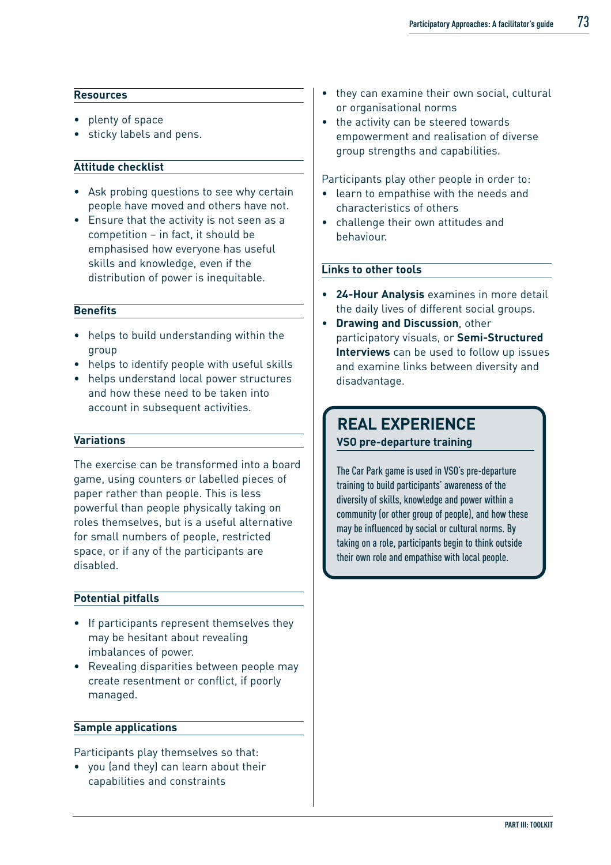#### **Resources**

- plenty of space
- sticky labels and pens.

#### **Attitude checklist**

- Ask probing questions to see why certain people have moved and others have not.
- Ensure that the activity is not seen as a competition – in fact, it should be emphasised how everyone has useful skills and knowledge, even if the distribution of power is inequitable.

#### **Benefits**

- helps to build understanding within the group
- helps to identify people with useful skills
- helps understand local power structures and how these need to be taken into account in subsequent activities.

#### **Variations**

The exercise can be transformed into a board game, using counters or labelled pieces of paper rather than people. This is less powerful than people physically taking on roles themselves, but is a useful alternative for small numbers of people, restricted space, or if any of the participants are disabled.

#### **Potential pitfalls**

- If participants represent themselves they may be hesitant about revealing imbalances of power.
- Revealing disparities between people may create resentment or conflict, if poorly managed.

#### **Sample applications**

Participants play themselves so that:

• you (and they) can learn about their capabilities and constraints

- they can examine their own social, cultural or organisational norms
- the activity can be steered towards empowerment and realisation of diverse group strengths and capabilities.

Participants play other people in order to:

- learn to empathise with the needs and characteristics of others
- challenge their own attitudes and behaviour.

#### **Links to other tools**

- **24-Hour Analysis** examines in more detail the daily lives of different social groups.
- **Drawing and Discussion**, other participatory visuals, or **Semi-Structured Interviews** can be used to follow up issues and examine links between diversity and disadvantage.

### **REAL EXPERIENCE VSO pre-departure training**

The Car Park game is used in VSO's pre-departure training to build participants' awareness of the diversity of skills, knowledge and power within a community (or other group of people), and how these may be influenced by social or cultural norms. By taking on a role, participants begin to think outside their own role and empathise with local people.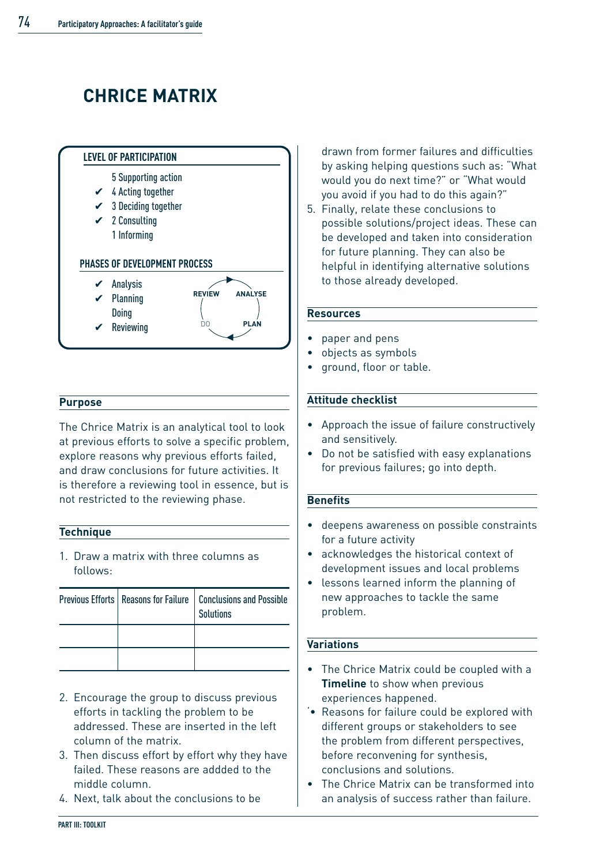# **CHRICE MATRIX**



#### **Purpose**

The Chrice Matrix is an analytical tool to look at previous efforts to solve a specific problem, explore reasons why previous efforts failed, and draw conclusions for future activities. It is therefore a reviewing tool in essence, but is not restricted to the reviewing phase.

#### **Technique**

1. Draw a matrix with three columns as follows:

|  | Previous Efforts   Reasons for Failure   Conclusions and Possible<br><b>Solutions</b> |
|--|---------------------------------------------------------------------------------------|
|  |                                                                                       |
|  |                                                                                       |

- 2. Encourage the group to discuss previous efforts in tackling the problem to be addressed. These are inserted in the left column of the matrix.
- 3. Then discuss effort by effort why they have failed. These reasons are addded to the middle column.
- 4. Next, talk about the conclusions to be

drawn from former failures and difficulties by asking helping questions such as: "What would you do next time?" or "What would you avoid if you had to do this again?"

5. Finally, relate these conclusions to possible solutions/project ideas. These can be developed and taken into consideration for future planning. They can also be helpful in identifying alternative solutions to those already developed.

#### **Resources**

- paper and pens
- objects as symbols
- ground, floor or table.

#### **Attitude checklist**

- Approach the issue of failure constructively and sensitively.
- Do not be satisfied with easy explanations for previous failures; go into depth.

#### **Benefits**

- deepens awareness on possible constraints for a future activity
- acknowledges the historical context of development issues and local problems
- lessons learned inform the planning of new approaches to tackle the same problem.

#### **Variations**

- The Chrice Matrix could be coupled with a **Timeline** to show when previous experiences happened.
- '• Reasons for failure could be explored with different groups or stakeholders to see the problem from different perspectives, before reconvening for synthesis, conclusions and solutions.
- The Chrice Matrix can be transformed into an analysis of success rather than failure.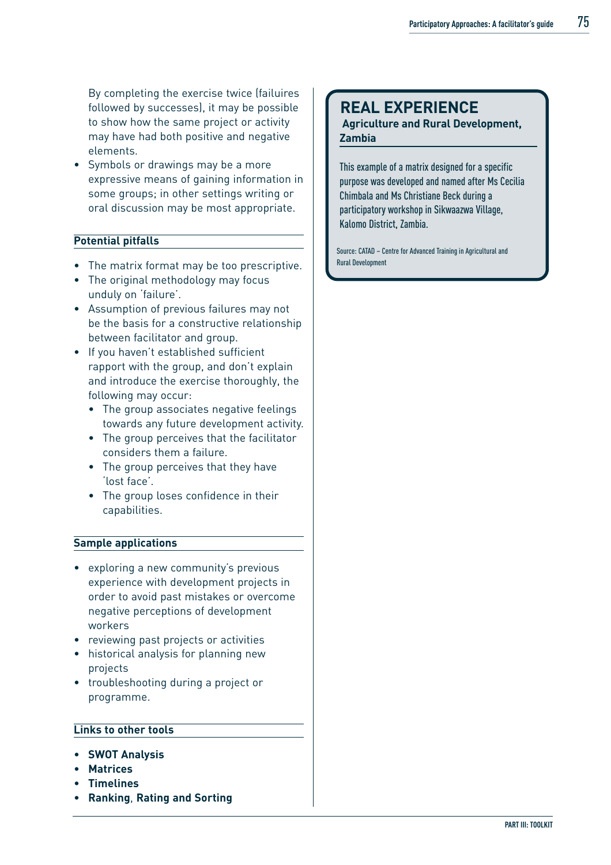By completing the exercise twice (failuires followed by successes), it may be possible to show how the same project or activity may have had both positive and negative elements.

• Symbols or drawings may be a more expressive means of gaining information in some groups; in other settings writing or oral discussion may be most appropriate.

#### **Potential pitfalls**

- The matrix format may be too prescriptive.
- The original methodology may focus unduly on 'failure'.
- Assumption of previous failures may not be the basis for a constructive relationship between facilitator and group.
- If you haven't established sufficient rapport with the group, and don't explain and introduce the exercise thoroughly, the following may occur:
	- The group associates negative feelings towards any future development activity.
	- The group perceives that the facilitator considers them a failure.
	- The group perceives that they have 'lost face'.
	- The group loses confidence in their capabilities.

#### **Sample applications**

- exploring a new community's previous experience with development projects in order to avoid past mistakes or overcome negative perceptions of development workers
- reviewing past projects or activities
- historical analysis for planning new projects
- troubleshooting during a project or programme.

#### **Links to other tools**

- **SWOT Analysis**
- **Matrices**
- **Timelines**
- **Ranking**, **Rating and Sorting**

### **REAL EXPERIENCE**

#### **Agriculture and Rural Development, Zambia**

This example of a matrix designed for a specific purpose was developed and named after Ms Cecilia Chimbala and Ms Christiane Beck during a participatory workshop in Sikwaazwa Village, Kalomo District, Zambia.

Source: CATAD – Centre for Advanced Training in Agricultural and Rural Development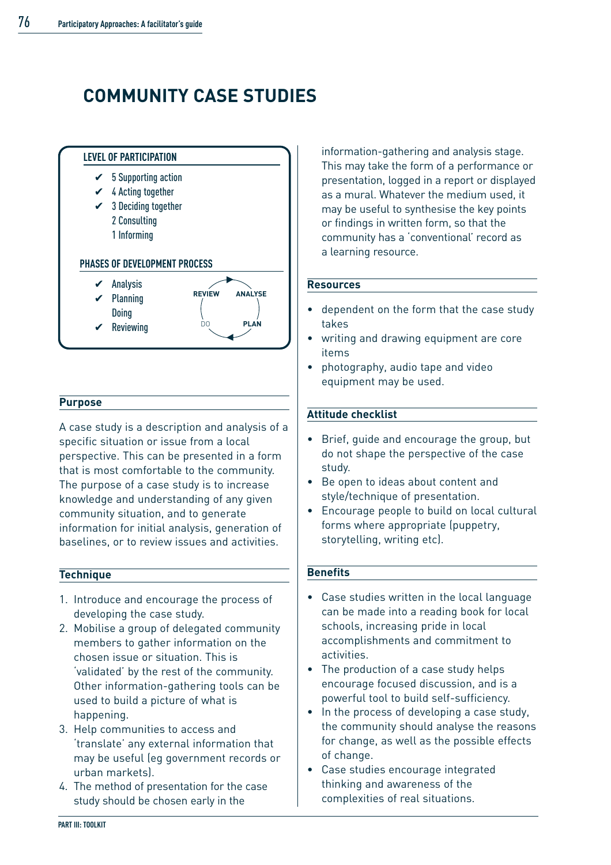# **COMMUNITY CASE STUDIES**



#### **Purpose**

A case study is a description and analysis of a specific situation or issue from a local perspective. This can be presented in a form that is most comfortable to the community. The purpose of a case study is to increase knowledge and understanding of any given community situation, and to generate information for initial analysis, generation of baselines, or to review issues and activities.

#### **Technique**

- 1. Introduce and encourage the process of developing the case study.
- 2. Mobilise a group of delegated community members to gather information on the chosen issue or situation. This is 'validated' by the rest of the community. Other information-gathering tools can be used to build a picture of what is happening.
- 3. Help communities to access and 'translate' any external information that may be useful (eg government records or urban markets).
- 4. The method of presentation for the case study should be chosen early in the

information-gathering and analysis stage. This may take the form of a performance or presentation, logged in a report or displayed as a mural. Whatever the medium used, it may be useful to synthesise the key points or findings in written form, so that the community has a 'conventional' record as a learning resource.

#### **Resources**

- dependent on the form that the case study takes
- writing and drawing equipment are core items
- photography, audio tape and video equipment may be used.

#### **Attitude checklist**

- Brief, guide and encourage the group, but do not shape the perspective of the case study.
- Be open to ideas about content and style/technique of presentation.
- Encourage people to build on local cultural forms where appropriate (puppetry, storytelling, writing etc).

#### **Benefits**

- Case studies written in the local language can be made into a reading book for local schools, increasing pride in local accomplishments and commitment to activities.
- The production of a case study helps encourage focused discussion, and is a powerful tool to build self-sufficiency.
- In the process of developing a case study, the community should analyse the reasons for change, as well as the possible effects of change.
- Case studies encourage integrated thinking and awareness of the complexities of real situations.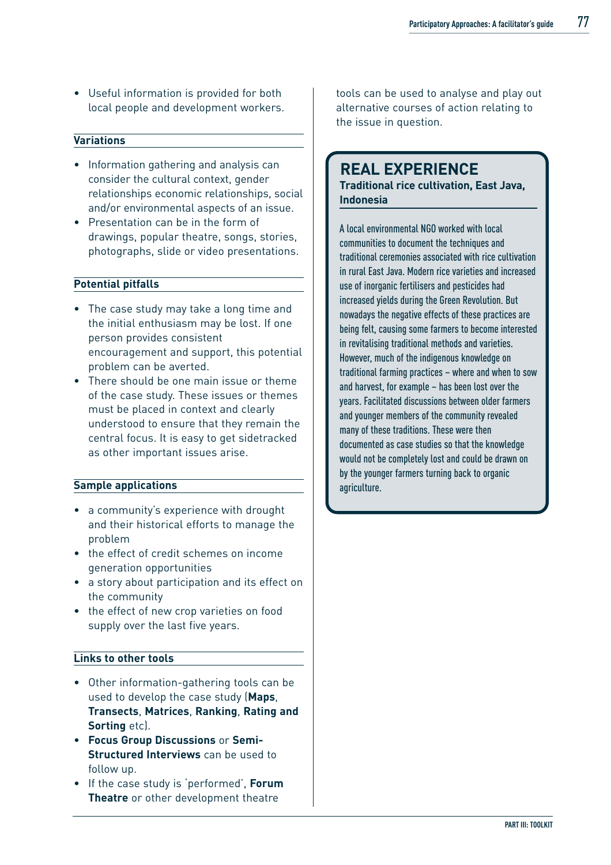• Useful information is provided for both local people and development workers.

#### **Variations**

- Information gathering and analysis can consider the cultural context, gender relationships economic relationships, social and/or environmental aspects of an issue.
- Presentation can be in the form of drawings, popular theatre, songs, stories, photographs, slide or video presentations.

#### **Potential pitfalls**

- The case study may take a long time and the initial enthusiasm may be lost. If one person provides consistent encouragement and support, this potential problem can be averted.
- There should be one main issue or theme of the case study. These issues or themes must be placed in context and clearly understood to ensure that they remain the central focus. It is easy to get sidetracked as other important issues arise.

#### **Sample applications**

- a community's experience with drought and their historical efforts to manage the problem
- the effect of credit schemes on income generation opportunities
- a story about participation and its effect on the community
- the effect of new crop varieties on food supply over the last five years.

#### **Links to other tools**

- Other information-gathering tools can be used to develop the case study (**Maps**, **Transects**, **Matrices**, **Ranking**, **Rating and Sorting** etc).
- **Focus Group Discussions** or **Semi-Structured Interviews** can be used to follow up.
- If the case study is 'performed', **Forum Theatre** or other development theatre

tools can be used to analyse and play out alternative courses of action relating to the issue in question.

### **REAL EXPERIENCE**

**Traditional rice cultivation, East Java, Indonesia**

A local environmental NGO worked with local communities to document the techniques and traditional ceremonies associated with rice cultivation in rural East Java. Modern rice varieties and increased use of inorganic fertilisers and pesticides had increased yields during the Green Revolution. But nowadays the negative effects of these practices are being felt, causing some farmers to become interested in revitalising traditional methods and varieties. However, much of the indigenous knowledge on traditional farming practices – where and when to sow and harvest, for example – has been lost over the years. Facilitated discussions between older farmers and younger members of the community revealed many of these traditions. These were then documented as case studies so that the knowledge would not be completely lost and could be drawn on by the younger farmers turning back to organic agriculture.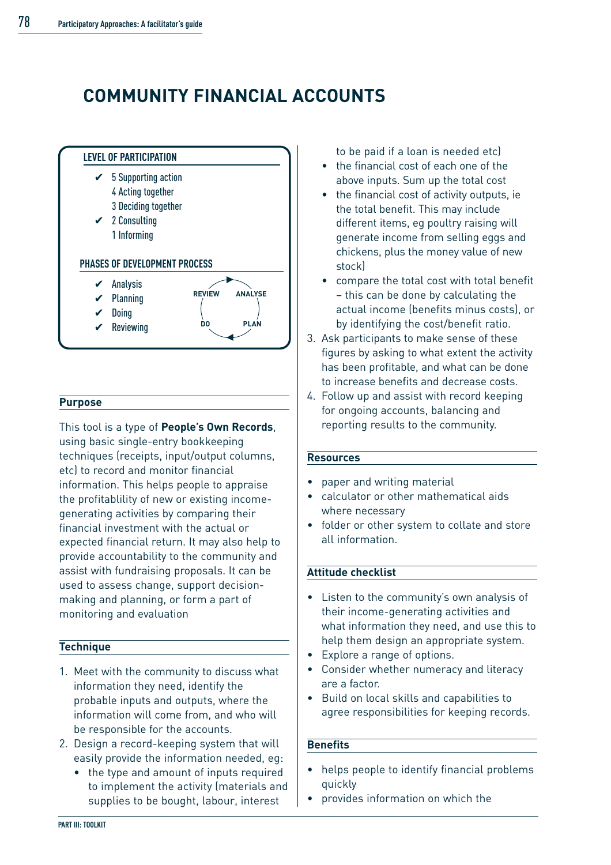# **COMMUNITY FINANCIAL ACCOUNTS**



#### **Purpose**

This tool is a type of **People's Own Records**, using basic single-entry bookkeeping techniques (receipts, input/output columns, etc) to record and monitor financial information. This helps people to appraise the profitablility of new or existing incomegenerating activities by comparing their financial investment with the actual or expected financial return. It may also help to provide accountability to the community and assist with fundraising proposals. It can be used to assess change, support decisionmaking and planning, or form a part of monitoring and evaluation

#### **Technique**

- 1. Meet with the community to discuss what information they need, identify the probable inputs and outputs, where the information will come from, and who will be responsible for the accounts.
- 2. Design a record-keeping system that will easily provide the information needed, eg:
	- the type and amount of inputs required to implement the activity (materials and supplies to be bought, labour, interest

to be paid if a loan is needed etc)

- the financial cost of each one of the above inputs. Sum up the total cost
- the financial cost of activity outputs, ie the total benefit. This may include different items, eg poultry raising will generate income from selling eggs and chickens, plus the money value of new stock)
- compare the total cost with total benefit – this can be done by calculating the actual income (benefits minus costs), or by identifying the cost/benefit ratio.
- 3. Ask participants to make sense of these figures by asking to what extent the activity has been profitable, and what can be done to increase benefits and decrease costs.
- 4. Follow up and assist with record keeping for ongoing accounts, balancing and reporting results to the community.

#### **Resources**

- paper and writing material
- calculator or other mathematical aids where necessary
- folder or other system to collate and store all information.

#### **Attitude checklist**

- Listen to the community's own analysis of their income-generating activities and what information they need, and use this to help them design an appropriate system.
- Explore a range of options.
- Consider whether numeracy and literacy are a factor.
- Build on local skills and capabilities to agree responsibilities for keeping records.

#### **Benefits**

- helps people to identify financial problems quickly
- provides information on which the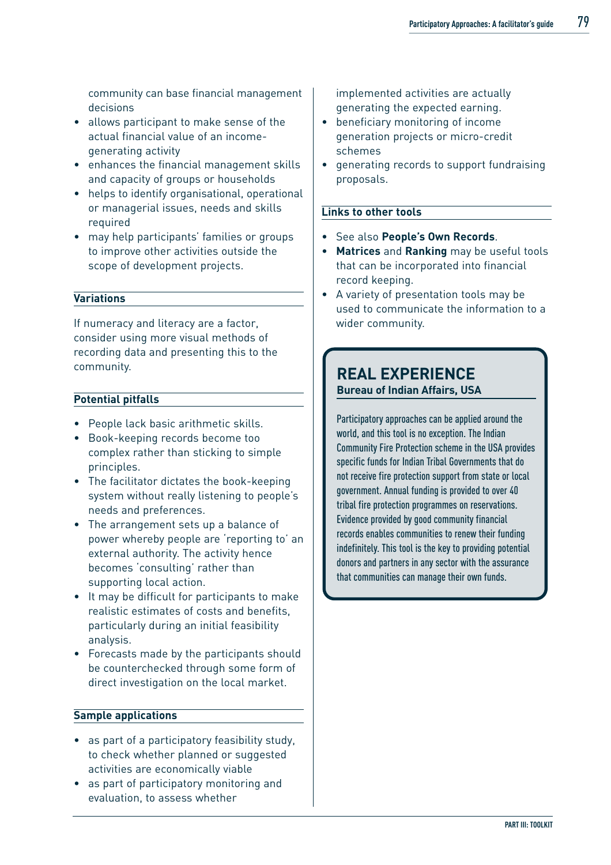community can base financial management decisions

- allows participant to make sense of the actual financial value of an incomegenerating activity
- enhances the financial management skills and capacity of groups or households
- helps to identify organisational, operational or managerial issues, needs and skills required
- may help participants' families or groups to improve other activities outside the scope of development projects.

#### **Variations**

If numeracy and literacy are a factor, consider using more visual methods of recording data and presenting this to the community.

#### **Potential pitfalls**

- People lack basic arithmetic skills.
- Book-keeping records become too complex rather than sticking to simple principles.
- The facilitator dictates the book-keeping system without really listening to people's needs and preferences.
- The arrangement sets up a balance of power whereby people are 'reporting to' an external authority. The activity hence becomes 'consulting' rather than supporting local action.
- It may be difficult for participants to make realistic estimates of costs and benefits, particularly during an initial feasibility analysis.
- Forecasts made by the participants should be counterchecked through some form of direct investigation on the local market.

#### **Sample applications**

- as part of a participatory feasibility study, to check whether planned or suggested activities are economically viable
- as part of participatory monitoring and evaluation, to assess whether

implemented activities are actually generating the expected earning.

- beneficiary monitoring of income generation projects or micro-credit schemes
- generating records to support fundraising proposals.

#### **Links to other tools**

- See also **People's Own Records**.
- **Matrices** and **Ranking** may be useful tools that can be incorporated into financial record keeping.
- A variety of presentation tools may be used to communicate the information to a wider community.

### **REAL EXPERIENCE Bureau of Indian Affairs, USA**

Participatory approaches can be applied around the world, and this tool is no exception. The Indian Community Fire Protection scheme in the USA provides specific funds for Indian Tribal Governments that do not receive fire protection support from state or local government. Annual funding is provided to over 40 tribal fire protection programmes on reservations. Evidence provided by good community financial records enables communities to renew their funding indefinitely. This tool is the key to providing potential donors and partners in any sector with the assurance that communities can manage their own funds.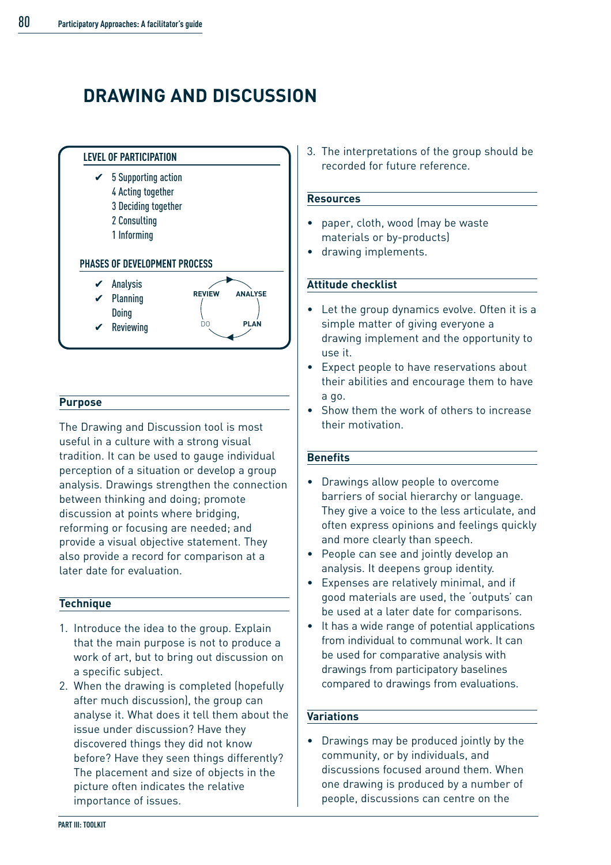# **DRAWING AND DISCUSSION**



#### **Purpose**

The Drawing and Discussion tool is most useful in a culture with a strong visual tradition. It can be used to gauge individual perception of a situation or develop a group analysis. Drawings strengthen the connection between thinking and doing; promote discussion at points where bridging, reforming or focusing are needed; and provide a visual objective statement. They also provide a record for comparison at a later date for evaluation.

#### **Technique**

- 1. Introduce the idea to the group. Explain that the main purpose is not to produce a work of art, but to bring out discussion on a specific subject.
- 2. When the drawing is completed (hopefully after much discussion), the group can analyse it. What does it tell them about the issue under discussion? Have they discovered things they did not know before? Have they seen things differently? The placement and size of objects in the picture often indicates the relative importance of issues.

3. The interpretations of the group should be recorded for future reference.

#### **Resources**

- paper, cloth, wood (may be waste materials or by-products)
- drawing implements.

#### **Attitude checklist**

- Let the group dynamics evolve. Often it is a simple matter of giving everyone a drawing implement and the opportunity to use it.
- Expect people to have reservations about their abilities and encourage them to have a go.
- Show them the work of others to increase their motivation.

#### **Benefits**

- Drawings allow people to overcome barriers of social hierarchy or language. They give a voice to the less articulate, and often express opinions and feelings quickly and more clearly than speech.
- People can see and jointly develop an analysis. It deepens group identity.
- Expenses are relatively minimal, and if good materials are used, the 'outputs' can be used at a later date for comparisons.
- It has a wide range of potential applications from individual to communal work. It can be used for comparative analysis with drawings from participatory baselines compared to drawings from evaluations.

#### **Variations**

• Drawings may be produced jointly by the community, or by individuals, and discussions focused around them. When one drawing is produced by a number of people, discussions can centre on the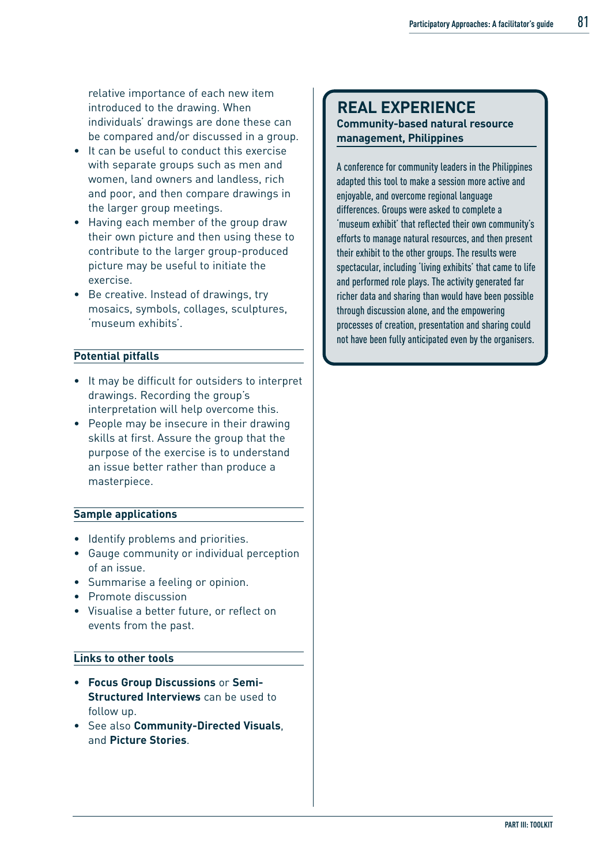relative importance of each new item introduced to the drawing. When individuals' drawings are done these can be compared and/or discussed in a group.

- It can be useful to conduct this exercise with separate groups such as men and women, land owners and landless, rich and poor, and then compare drawings in the larger group meetings.
- Having each member of the group draw their own picture and then using these to contribute to the larger group-produced picture may be useful to initiate the exercise.
- Be creative. Instead of drawings, try mosaics, symbols, collages, sculptures, 'museum exhibits'.

#### **Potential pitfalls**

- It may be difficult for outsiders to interpret drawings. Recording the group's interpretation will help overcome this.
- People may be insecure in their drawing skills at first. Assure the group that the purpose of the exercise is to understand an issue better rather than produce a masterpiece.

#### **Sample applications**

- Identify problems and priorities.
- Gauge community or individual perception of an issue.
- Summarise a feeling or opinion.
- Promote discussion
- Visualise a better future, or reflect on events from the past.

#### **Links to other tools**

- **Focus Group Discussions** or **Semi-Structured Interviews** can be used to follow up.
- See also **Community-Directed Visuals**, and **Picture Stories**.

### **REAL EXPERIENCE Community-based natural resource management, Philippines**

A conference for community leaders in the Philippines adapted this tool to make a session more active and enjoyable, and overcome regional language differences. Groups were asked to complete a 'museum exhibit' that reflected their own community's efforts to manage natural resources, and then present their exhibit to the other groups. The results were spectacular, including 'living exhibits' that came to life and performed role plays. The activity generated far richer data and sharing than would have been possible through discussion alone, and the empowering processes of creation, presentation and sharing could not have been fully anticipated even by the organisers.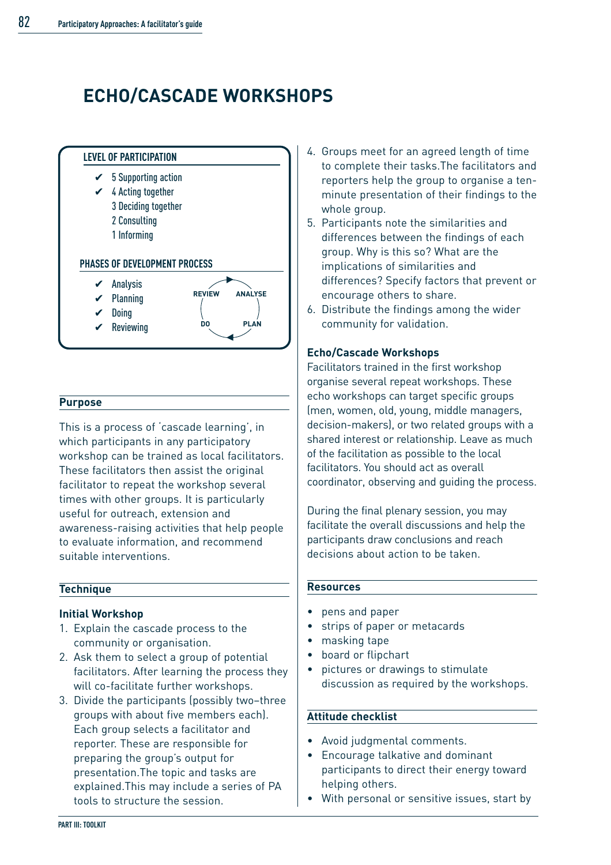# **ECHO/CASCADE WORKSHOPS**



#### **Purpose**

This is a process of 'cascade learning', in which participants in any participatory workshop can be trained as local facilitators. These facilitators then assist the original facilitator to repeat the workshop several times with other groups. It is particularly useful for outreach, extension and awareness-raising activities that help people to evaluate information, and recommend suitable interventions.

#### **Technique**

#### **Initial Workshop**

- 1. Explain the cascade process to the community or organisation.
- 2. Ask them to select a group of potential facilitators. After learning the process they will co-facilitate further workshops.
- 3. Divide the participants (possibly two–three groups with about five members each). Each group selects a facilitator and reporter. These are responsible for preparing the group's output for presentation.The topic and tasks are explained.This may include a series of PA tools to structure the session.
- 4. Groups meet for an agreed length of time to complete their tasks.The facilitators and reporters help the group to organise a tenminute presentation of their findings to the whole group.
- 5. Participants note the similarities and differences between the findings of each group. Why is this so? What are the implications of similarities and differences? Specify factors that prevent or encourage others to share.
- 6. Distribute the findings among the wider community for validation.

#### **Echo/Cascade Workshops**

Facilitators trained in the first workshop organise several repeat workshops. These echo workshops can target specific groups (men, women, old, young, middle managers, decision-makers), or two related groups with a shared interest or relationship. Leave as much of the facilitation as possible to the local facilitators. You should act as overall coordinator, observing and guiding the process.

During the final plenary session, you may facilitate the overall discussions and help the participants draw conclusions and reach decisions about action to be taken.

#### **Resources**

- pens and paper
- strips of paper or metacards
- masking tape
- board or flipchart
- pictures or drawings to stimulate discussion as required by the workshops.

#### **Attitude checklist**

- Avoid judgmental comments.
- Encourage talkative and dominant participants to direct their energy toward helping others.
- With personal or sensitive issues, start by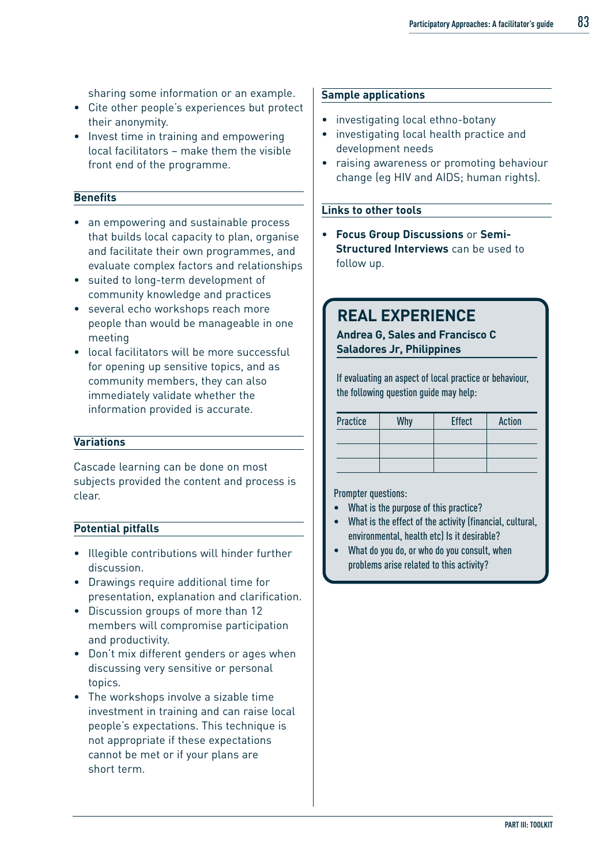sharing some information or an example.

- Cite other people's experiences but protect their anonymity.
- Invest time in training and empowering local facilitators – make them the visible front end of the programme.

#### **Benefits**

- an empowering and sustainable process that builds local capacity to plan, organise and facilitate their own programmes, and evaluate complex factors and relationships
- suited to long-term development of community knowledge and practices
- several echo workshops reach more people than would be manageable in one meeting
- local facilitators will be more successful for opening up sensitive topics, and as community members, they can also immediately validate whether the information provided is accurate.

#### **Variations**

Cascade learning can be done on most subjects provided the content and process is clear.

#### **Potential pitfalls**

- Illegible contributions will hinder further discussion.
- Drawings require additional time for presentation, explanation and clarification.
- Discussion groups of more than 12 members will compromise participation and productivity.
- Don't mix different genders or ages when discussing very sensitive or personal topics.
- The workshops involve a sizable time investment in training and can raise local people's expectations. This technique is not appropriate if these expectations cannot be met or if your plans are short term.

#### **Sample applications**

- investigating local ethno-botany
- investigating local health practice and development needs
- raising awareness or promoting behaviour change (eg HIV and AIDS; human rights).

#### **Links to other tools**

• **Focus Group Discussions** or **Semi-Structured Interviews** can be used to follow up.

### **REAL EXPERIENCE**

#### **Andrea G, Sales and Francisco C Saladores Jr, Philippines**

If evaluating an aspect of local practice or behaviour, the following question guide may help:

| Practice | Why | <b>Effect</b> | <b>Action</b> |
|----------|-----|---------------|---------------|
|          |     |               |               |
|          |     |               |               |
|          |     |               |               |

Prompter questions:

- What is the purpose of this practice?
- What is the effect of the activity (financial, cultural, environmental, health etc) Is it desirable?
- What do you do, or who do you consult, when problems arise related to this activity?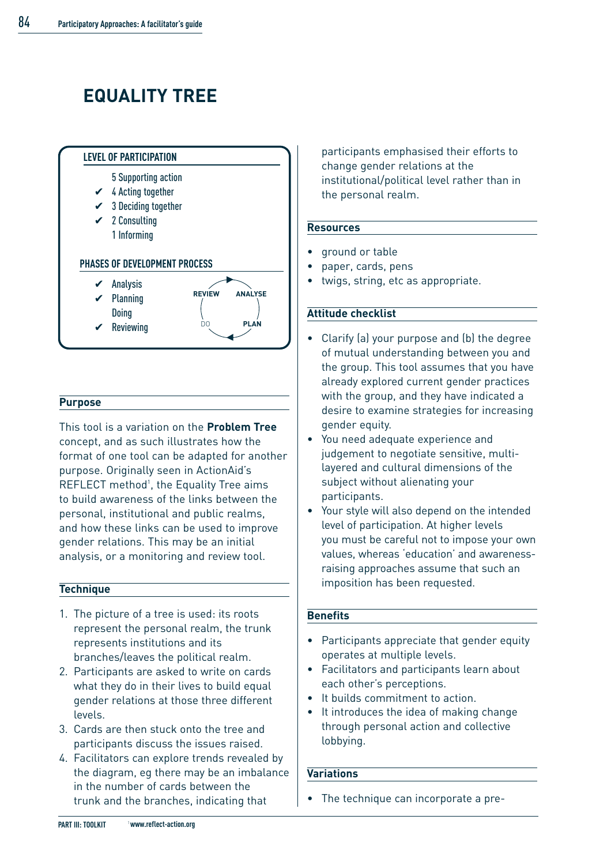# **EQUALITY TREE**



#### **Purpose**

This tool is a variation on the **Problem Tree** concept, and as such illustrates how the format of one tool can be adapted for another purpose. Originally seen in ActionAid's REFLECT method<sup>1</sup>, the Equality Tree aims to build awareness of the links between the personal, institutional and public realms, and how these links can be used to improve gender relations. This may be an initial analysis, or a monitoring and review tool.

#### **Technique**

- 1. The picture of a tree is used: its roots represent the personal realm, the trunk represents institutions and its branches/leaves the political realm.
- 2. Participants are asked to write on cards what they do in their lives to build equal gender relations at those three different levels.
- 3. Cards are then stuck onto the tree and participants discuss the issues raised.
- 4. Facilitators can explore trends revealed by the diagram, eg there may be an imbalance in the number of cards between the trunk and the branches, indicating that

participants emphasised their efforts to change gender relations at the institutional/political level rather than in the personal realm.

#### **Resources**

- ground or table
- paper, cards, pens
- twigs, string, etc as appropriate.

#### **Attitude checklist**

- Clarify (a) your purpose and (b) the degree of mutual understanding between you and the group. This tool assumes that you have already explored current gender practices with the group, and they have indicated a desire to examine strategies for increasing gender equity.
- You need adequate experience and judgement to negotiate sensitive, multilayered and cultural dimensions of the subject without alienating your participants.
- Your style will also depend on the intended level of participation. At higher levels you must be careful not to impose your own values, whereas 'education' and awarenessraising approaches assume that such an imposition has been requested.

#### **Benefits**

- Participants appreciate that gender equity operates at multiple levels.
- Facilitators and participants learn about each other's perceptions.
- It builds commitment to action.
- It introduces the idea of making change through personal action and collective lobbying.

#### **Variations**

• The technique can incorporate a pre-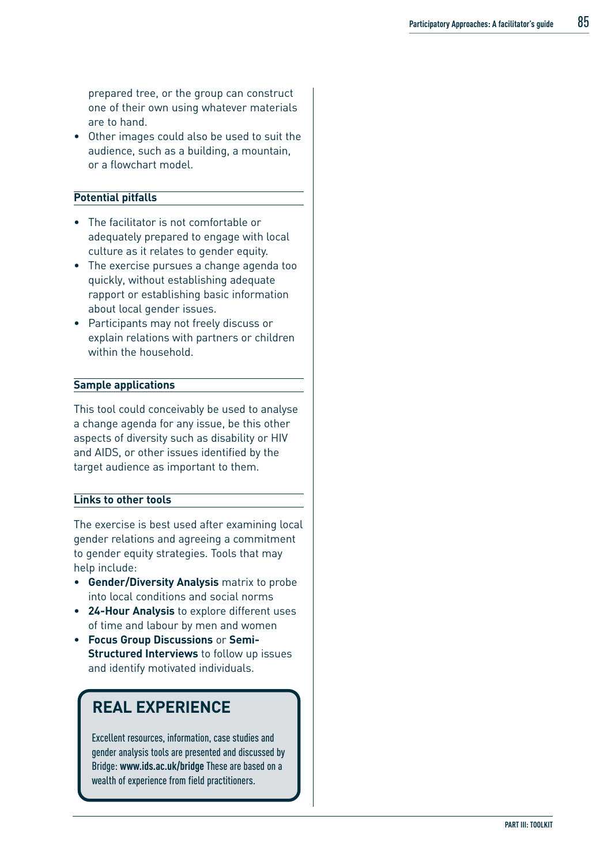prepared tree, or the group can construct one of their own using whatever materials are to hand.

• Other images could also be used to suit the audience, such as a building, a mountain, or a flowchart model.

#### **Potential pitfalls**

- The facilitator is not comfortable or adequately prepared to engage with local culture as it relates to gender equity.
- The exercise pursues a change agenda too quickly, without establishing adequate rapport or establishing basic information about local gender issues.
- Participants may not freely discuss or explain relations with partners or children within the household.

#### **Sample applications**

This tool could conceivably be used to analyse a change agenda for any issue, be this other aspects of diversity such as disability or HIV and AIDS, or other issues identified by the target audience as important to them.

#### **Links to other tools**

The exercise is best used after examining local gender relations and agreeing a commitment to gender equity strategies. Tools that may help include:

- **Gender/Diversity Analysis** matrix to probe into local conditions and social norms
- **24-Hour Analysis** to explore different uses of time and labour by men and women
- **Focus Group Discussions** or **Semi-Structured Interviews** to follow up issues and identify motivated individuals.

## **REAL EXPERIENCE**

Excellent resources, information, case studies and gender analysis tools are presented and discussed by Bridge: **www.ids.ac.uk/bridge** These are based on a wealth of experience from field practitioners.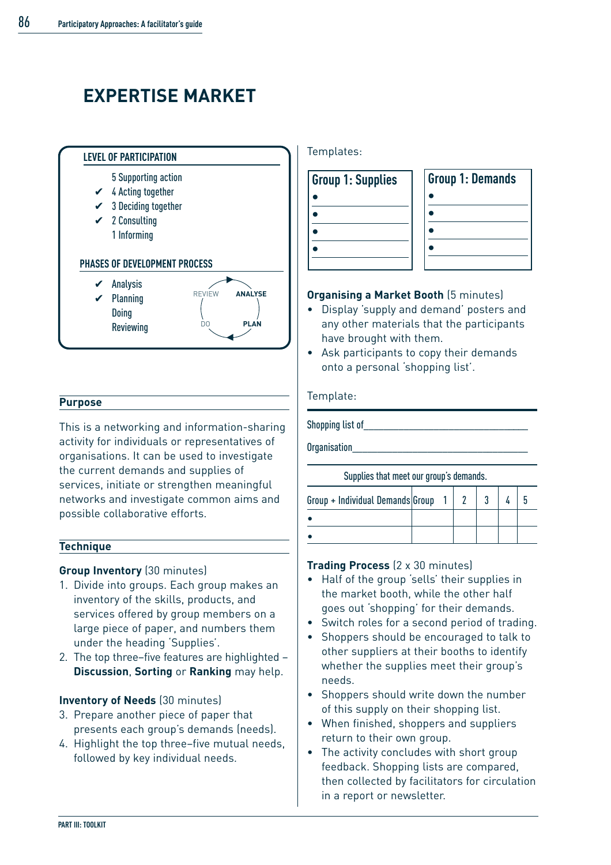# **EXPERTISE MARKET**



#### **Purpose**

This is a networking and information-sharing activity for individuals or representatives of organisations. It can be used to investigate the current demands and supplies of services, initiate or strengthen meaningful networks and investigate common aims and possible collaborative efforts.

#### **Technique**

#### **Group Inventory** (30 minutes)

- 1. Divide into groups. Each group makes an inventory of the skills, products, and services offered by group members on a large piece of paper, and numbers them under the heading 'Supplies'.
- 2. The top three–five features are highlighted **Discussion**, **Sorting** or **Ranking** may help.

#### **Inventory of Needs** (30 minutes)

- 3. Prepare another piece of paper that presents each group's demands (needs).
- 4. Highlight the top three–five mutual needs, followed by key individual needs.

Templates:

| <b>Group 1: Supplies</b> | <b>Group 1: Demands</b> |
|--------------------------|-------------------------|
|                          |                         |
|                          |                         |
|                          |                         |
|                          |                         |
|                          |                         |

#### **Organising a Market Booth** (5 minutes)

- Display 'supply and demand' posters and any other materials that the participants have brought with them.
- Ask participants to copy their demands onto a personal 'shopping list'.

#### Template:

Shopping list of

Organisation\_\_\_\_\_\_\_\_\_\_\_\_\_\_\_\_\_\_\_\_\_\_\_\_\_\_\_\_\_\_\_\_\_\_\_

Supplies that meet our group's demands.

| Group + Individual Demands Group |  |  |  |
|----------------------------------|--|--|--|
|                                  |  |  |  |
|                                  |  |  |  |

#### **Trading Process** (2 x 30 minutes)

- Half of the group 'sells' their supplies in the market booth, while the other half goes out 'shopping' for their demands.
- Switch roles for a second period of trading.
- Shoppers should be encouraged to talk to other suppliers at their booths to identify whether the supplies meet their group's needs.
- Shoppers should write down the number of this supply on their shopping list.
- When finished, shoppers and suppliers return to their own group.
- The activity concludes with short group feedback. Shopping lists are compared, then collected by facilitators for circulation in a report or newsletter.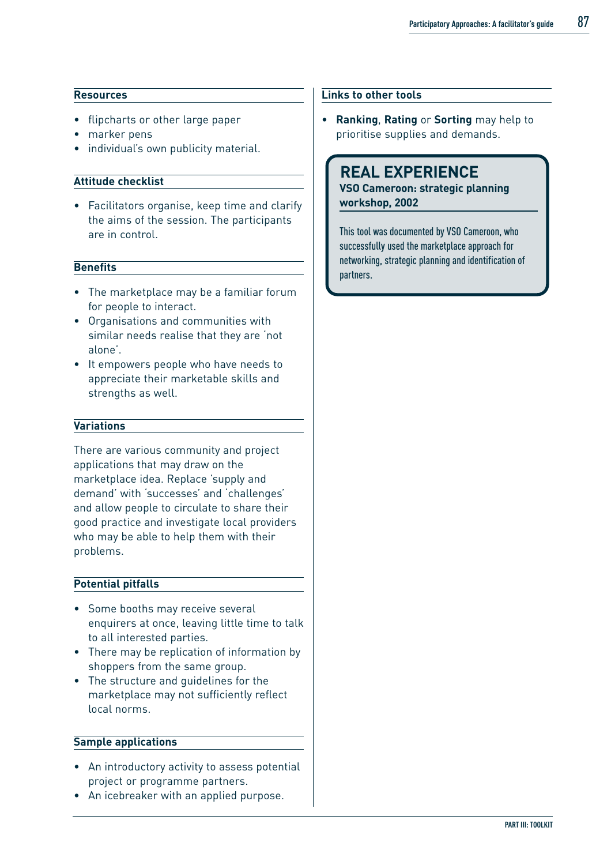#### **Resources**

- flipcharts or other large paper
- marker pens
- individual's own publicity material.

#### **Attitude checklist**

• Facilitators organise, keep time and clarify the aims of the session. The participants are in control.

#### **Benefits**

- The marketplace may be a familiar forum for people to interact.
- Organisations and communities with similar needs realise that they are 'not alone'.
- It empowers people who have needs to appreciate their marketable skills and strengths as well.

#### **Variations**

There are various community and project applications that may draw on the marketplace idea. Replace 'supply and demand' with 'successes' and 'challenges' and allow people to circulate to share their good practice and investigate local providers who may be able to help them with their problems.

#### **Potential pitfalls**

- Some booths may receive several enquirers at once, leaving little time to talk to all interested parties.
- There may be replication of information by shoppers from the same group.
- The structure and guidelines for the marketplace may not sufficiently reflect local norms.

#### **Sample applications**

- An introductory activity to assess potential project or programme partners.
- An icebreaker with an applied purpose.

#### **Links to other tools**

• **Ranking**, **Rating** or **Sorting** may help to prioritise supplies and demands.

### **REAL EXPERIENCE**

**VSO Cameroon: strategic planning workshop, 2002**

This tool was documented by VSO Cameroon, who successfully used the marketplace approach for networking, strategic planning and identification of partners.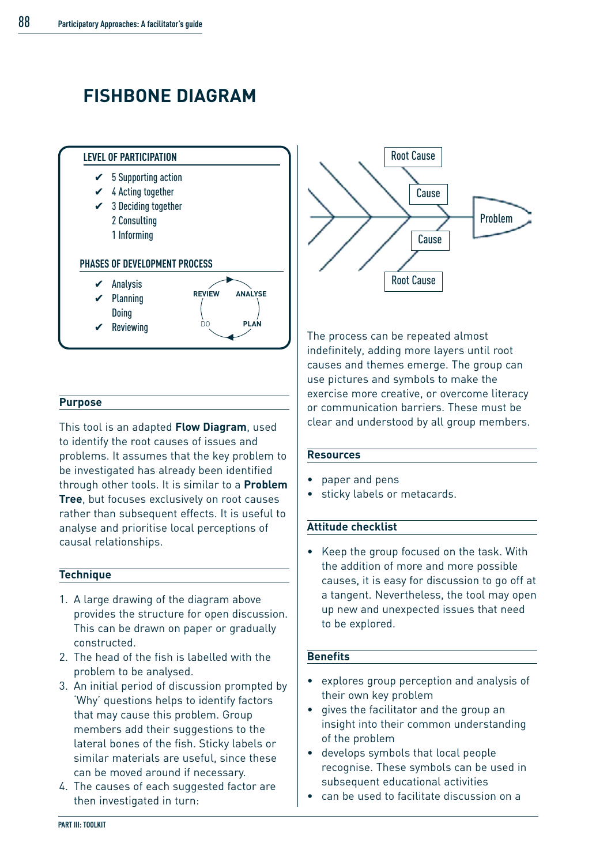# **FISHBONE DIAGRAM**



#### **Purpose**

This tool is an adapted **Flow Diagram**, used to identify the root causes of issues and problems. It assumes that the key problem to be investigated has already been identified through other tools. It is similar to a **Problem Tree**, but focuses exclusively on root causes rather than subsequent effects. It is useful to analyse and prioritise local perceptions of causal relationships.

#### **Technique**

- 1. A large drawing of the diagram above provides the structure for open discussion. This can be drawn on paper or gradually constructed.
- 2. The head of the fish is labelled with the problem to be analysed.
- 3. An initial period of discussion prompted by 'Why' questions helps to identify factors that may cause this problem. Group members add their suggestions to the lateral bones of the fish. Sticky labels or similar materials are useful, since these can be moved around if necessary.
- 4. The causes of each suggested factor are then investigated in turn:



The process can be repeated almost indefinitely, adding more layers until root causes and themes emerge. The group can use pictures and symbols to make the exercise more creative, or overcome literacy or communication barriers. These must be clear and understood by all group members.

#### **Resources**

- paper and pens
- sticky labels or metacards.

#### **Attitude checklist**

• Keep the group focused on the task. With the addition of more and more possible causes, it is easy for discussion to go off at a tangent. Nevertheless, the tool may open up new and unexpected issues that need to be explored.

#### **Benefits**

- explores group perception and analysis of their own key problem
- gives the facilitator and the group an insight into their common understanding of the problem
- develops symbols that local people recognise. These symbols can be used in subsequent educational activities
- can be used to facilitate discussion on a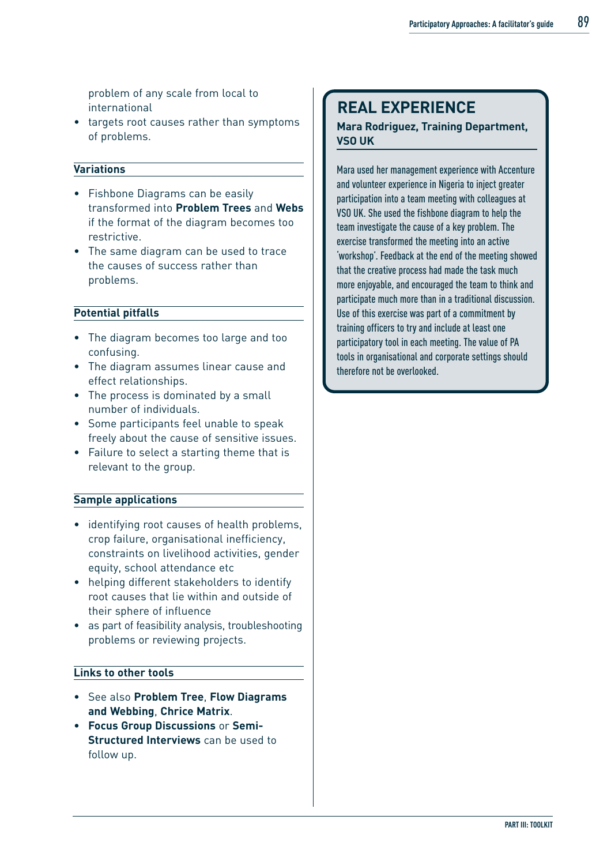problem of any scale from local to international

• targets root causes rather than symptoms of problems.

#### **Variations**

- Fishbone Diagrams can be easily transformed into **Problem Trees** and **Webs** if the format of the diagram becomes too restrictive.
- The same diagram can be used to trace the causes of success rather than problems.

#### **Potential pitfalls**

- The diagram becomes too large and too confusing.
- The diagram assumes linear cause and effect relationships.
- The process is dominated by a small number of individuals.
- Some participants feel unable to speak freely about the cause of sensitive issues.
- Failure to select a starting theme that is relevant to the group.

#### **Sample applications**

- identifying root causes of health problems, crop failure, organisational inefficiency, constraints on livelihood activities, gender equity, school attendance etc
- helping different stakeholders to identify root causes that lie within and outside of their sphere of influence
- as part of feasibility analysis, troubleshooting problems or reviewing projects.

#### **Links to other tools**

- See also **Problem Tree**, **Flow Diagrams and Webbing**, **Chrice Matrix**.
- **Focus Group Discussions** or **Semi-Structured Interviews** can be used to follow up.

### **REAL EXPERIENCE**

#### **Mara Rodriguez, Training Department, VSO UK**

Mara used her management experience with Accenture and volunteer experience in Nigeria to inject greater participation into a team meeting with colleagues at VSO UK. She used the fishbone diagram to help the team investigate the cause of a key problem. The exercise transformed the meeting into an active 'workshop'. Feedback at the end of the meeting showed that the creative process had made the task much more enjoyable, and encouraged the team to think and participate much more than in a traditional discussion. Use of this exercise was part of a commitment by training officers to try and include at least one participatory tool in each meeting. The value of PA tools in organisational and corporate settings should therefore not be overlooked.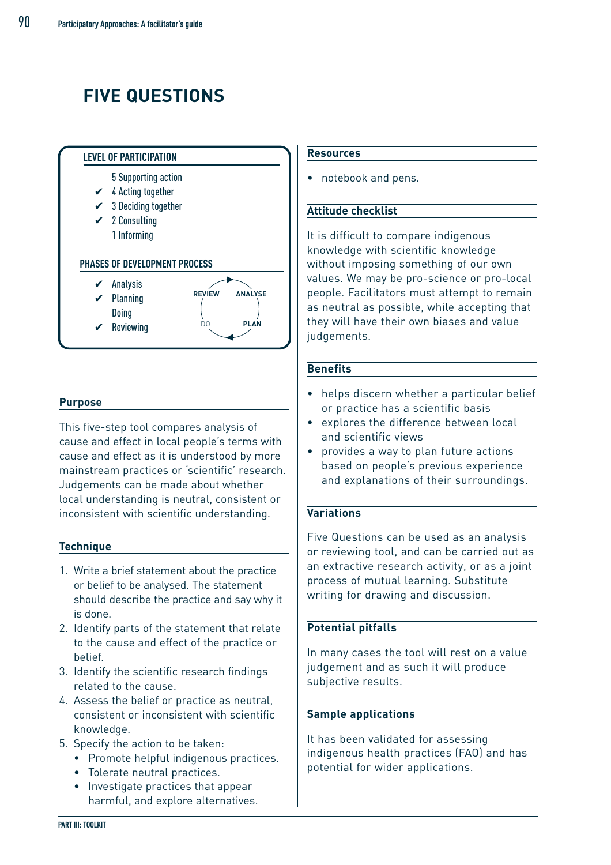# **FIVE QUESTIONS**



#### **Purpose**

This five-step tool compares analysis of cause and effect in local people's terms with cause and effect as it is understood by more mainstream practices or 'scientific' research. Judgements can be made about whether local understanding is neutral, consistent or inconsistent with scientific understanding.

#### **Technique**

- 1. Write a brief statement about the practice or belief to be analysed. The statement should describe the practice and say why it is done.
- 2. Identify parts of the statement that relate to the cause and effect of the practice or belief.
- 3. Identify the scientific research findings related to the cause.
- 4. Assess the belief or practice as neutral, consistent or inconsistent with scientific knowledge.
- 5. Specify the action to be taken:
	- Promote helpful indigenous practices.
	- Tolerate neutral practices.
	- Investigate practices that appear harmful, and explore alternatives.

#### **Resources**

• notebook and pens.

#### **Attitude checklist**

It is difficult to compare indigenous knowledge with scientific knowledge without imposing something of our own values. We may be pro-science or pro-local people. Facilitators must attempt to remain as neutral as possible, while accepting that they will have their own biases and value judgements.

#### **Benefits**

- helps discern whether a particular belief or practice has a scientific basis
- explores the difference between local and scientific views
- provides a way to plan future actions based on people's previous experience and explanations of their surroundings.

#### **Variations**

Five Questions can be used as an analysis or reviewing tool, and can be carried out as an extractive research activity, or as a joint process of mutual learning. Substitute writing for drawing and discussion.

#### **Potential pitfalls**

In many cases the tool will rest on a value judgement and as such it will produce subjective results.

#### **Sample applications**

It has been validated for assessing indigenous health practices (FAO) and has potential for wider applications.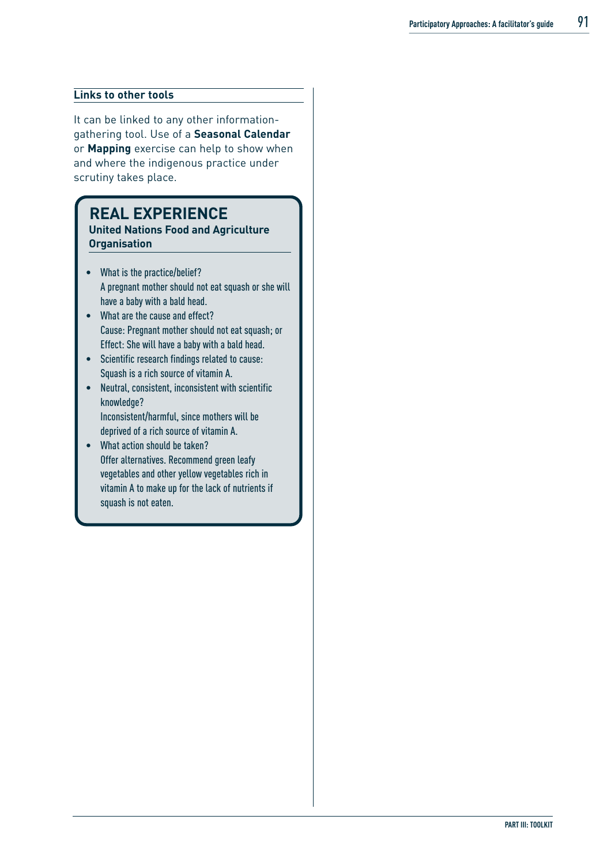#### **Links to other tools**

It can be linked to any other informationgathering tool. Use of a **Seasonal Calendar** or **Mapping** exercise can help to show when and where the indigenous practice under scrutiny takes place.

## **REAL EXPERIENCE**

**United Nations Food and Agriculture Organisation** 

- What is the practice/belief? A pregnant mother should not eat squash or she will have a baby with a bald head.
- What are the cause and effect? Cause: Pregnant mother should not eat squash; or Effect: She will have a baby with a bald head.
- Scientific research findings related to cause: Squash is a rich source of vitamin A.
- Neutral, consistent, inconsistent with scientific knowledge? Inconsistent/harmful, since mothers will be deprived of a rich source of vitamin A.
- What action should be taken? Offer alternatives. Recommend green leafy vegetables and other yellow vegetables rich in vitamin A to make up for the lack of nutrients if squash is not eaten.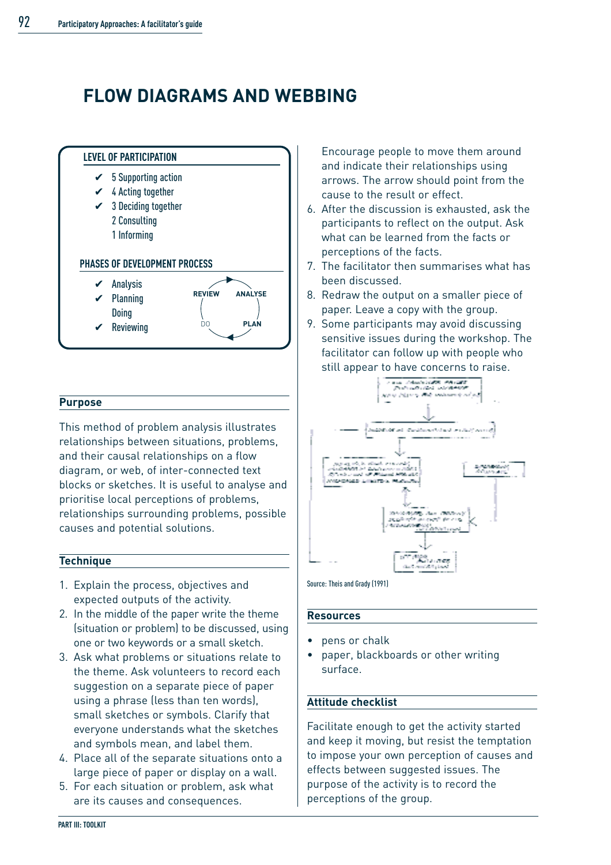## **FLOW DIAGRAMS AND WEBBING**



#### **Purpose**

This method of problem analysis illustrates relationships between situations, problems, and their causal relationships on a flow diagram, or web, of inter-connected text blocks or sketches. It is useful to analyse and prioritise local perceptions of problems, relationships surrounding problems, possible causes and potential solutions.

#### **Technique**

- 1. Explain the process, objectives and expected outputs of the activity.
- 2. In the middle of the paper write the theme (situation or problem) to be discussed, using one or two keywords or a small sketch.
- 3. Ask what problems or situations relate to the theme. Ask volunteers to record each suggestion on a separate piece of paper using a phrase (less than ten words), small sketches or symbols. Clarify that everyone understands what the sketches and symbols mean, and label them.
- 4. Place all of the separate situations onto a large piece of paper or display on a wall.
- 5. For each situation or problem, ask what are its causes and consequences.

Encourage people to move them around and indicate their relationships using arrows. The arrow should point from the cause to the result or effect.

- 6. After the discussion is exhausted, ask the participants to reflect on the output. Ask what can be learned from the facts or perceptions of the facts.
- 7. The facilitator then summarises what has been discussed.
- 8. Redraw the output on a smaller piece of paper. Leave a copy with the group.
- 9. Some participants may avoid discussing sensitive issues during the workshop. The facilitator can follow up with people who still appear to have concerns to raise.



Source: Theis and Grady (1991)

#### **Resources**

- pens or chalk
- paper, blackboards or other writing surface.

#### **Attitude checklist**

Facilitate enough to get the activity started and keep it moving, but resist the temptation to impose your own perception of causes and effects between suggested issues. The purpose of the activity is to record the perceptions of the group.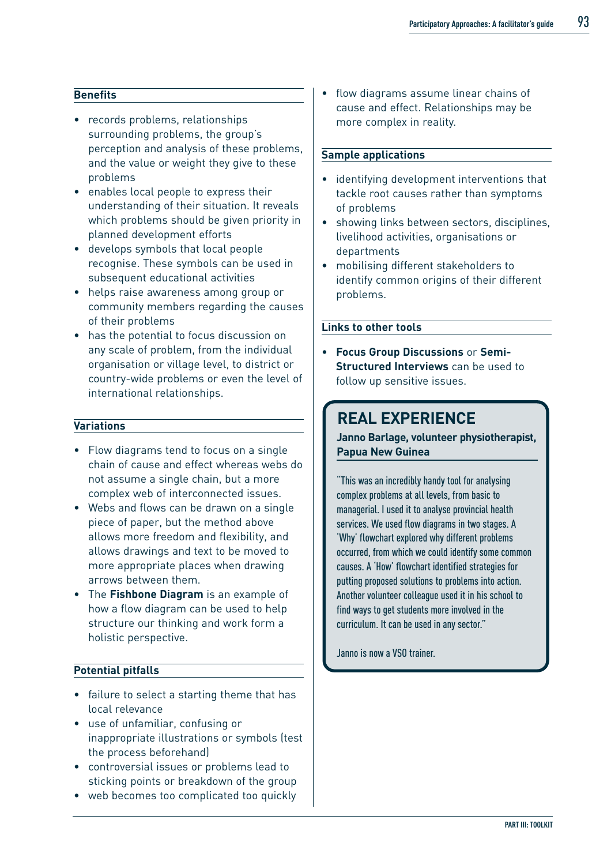#### **Benefits**

- records problems, relationships surrounding problems, the group's perception and analysis of these problems, and the value or weight they give to these problems
- enables local people to express their understanding of their situation. It reveals which problems should be given priority in planned development efforts
- develops symbols that local people recognise. These symbols can be used in subsequent educational activities
- helps raise awareness among group or community members regarding the causes of their problems
- has the potential to focus discussion on any scale of problem, from the individual organisation or village level, to district or country-wide problems or even the level of international relationships.

#### **Variations**

- Flow diagrams tend to focus on a single chain of cause and effect whereas webs do not assume a single chain, but a more complex web of interconnected issues.
- Webs and flows can be drawn on a single piece of paper, but the method above allows more freedom and flexibility, and allows drawings and text to be moved to more appropriate places when drawing arrows between them.
- The **Fishbone Diagram** is an example of how a flow diagram can be used to help structure our thinking and work form a holistic perspective.

#### **Potential pitfalls**

- failure to select a starting theme that has local relevance
- use of unfamiliar, confusing or inappropriate illustrations or symbols (test the process beforehand)
- controversial issues or problems lead to sticking points or breakdown of the group
- web becomes too complicated too quickly

• flow diagrams assume linear chains of cause and effect. Relationships may be more complex in reality.

#### **Sample applications**

- identifying development interventions that tackle root causes rather than symptoms of problems
- showing links between sectors, disciplines, livelihood activities, organisations or departments
- mobilising different stakeholders to identify common origins of their different problems.

#### **Links to other tools**

• **Focus Group Discussions** or **Semi-Structured Interviews** can be used to follow up sensitive issues.

### **REAL EXPERIENCE**

**Janno Barlage, volunteer physiotherapist, Papua New Guinea**

"This was an incredibly handy tool for analysing complex problems at all levels, from basic to managerial. I used it to analyse provincial health services. We used flow diagrams in two stages. A 'Why' flowchart explored why different problems occurred, from which we could identify some common causes. A 'How' flowchart identified strategies for putting proposed solutions to problems into action. Another volunteer colleague used it in his school to find ways to get students more involved in the curriculum. It can be used in any sector."

Janno is now a VSO trainer.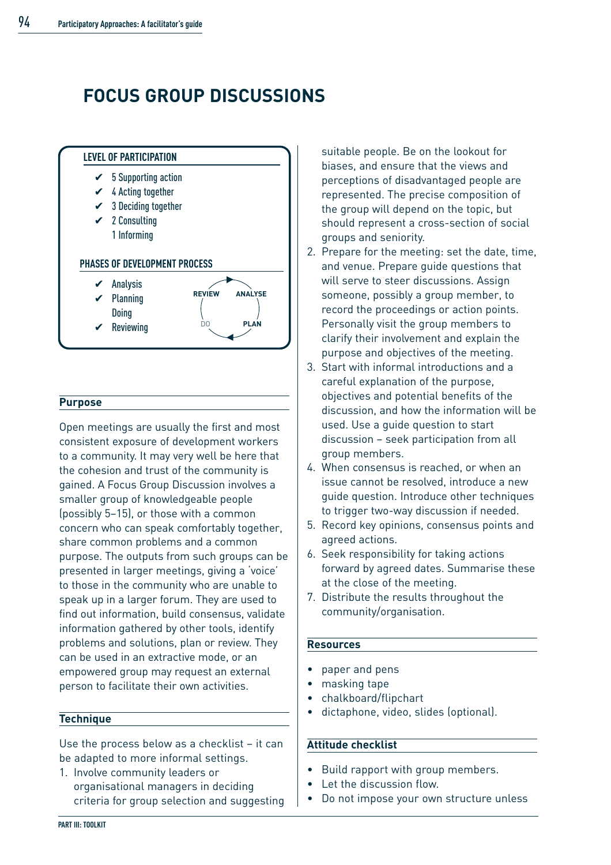# **FOCUS GROUP DISCUSSIONS**



#### **Purpose**

Open meetings are usually the first and most consistent exposure of development workers to a community. It may very well be here that the cohesion and trust of the community is gained. A Focus Group Discussion involves a smaller group of knowledgeable people (possibly 5–15), or those with a common concern who can speak comfortably together, share common problems and a common purpose. The outputs from such groups can be presented in larger meetings, giving a 'voice' to those in the community who are unable to speak up in a larger forum. They are used to find out information, build consensus, validate information gathered by other tools, identify problems and solutions, plan or review. They can be used in an extractive mode, or an empowered group may request an external person to facilitate their own activities.

#### **Technique**

Use the process below as a checklist – it can be adapted to more informal settings.

1. Involve community leaders or organisational managers in deciding criteria for group selection and suggesting

suitable people. Be on the lookout for biases, and ensure that the views and perceptions of disadvantaged people are represented. The precise composition of the group will depend on the topic, but should represent a cross-section of social groups and seniority.

- 2. Prepare for the meeting: set the date, time, and venue. Prepare guide questions that will serve to steer discussions. Assign someone, possibly a group member, to record the proceedings or action points. Personally visit the group members to clarify their involvement and explain the purpose and objectives of the meeting.
- 3. Start with informal introductions and a careful explanation of the purpose, objectives and potential benefits of the discussion, and how the information will be used. Use a guide question to start discussion – seek participation from all group members.
- 4. When consensus is reached, or when an issue cannot be resolved, introduce a new guide question. Introduce other techniques to trigger two-way discussion if needed.
- 5. Record key opinions, consensus points and agreed actions.
- 6. Seek responsibility for taking actions forward by agreed dates. Summarise these at the close of the meeting.
- 7. Distribute the results throughout the community/organisation.

#### **Resources**

- paper and pens
- masking tape
- chalkboard/flipchart
- dictaphone, video, slides (optional).

#### **Attitude checklist**

- Build rapport with group members.
- Let the discussion flow.
- Do not impose your own structure unless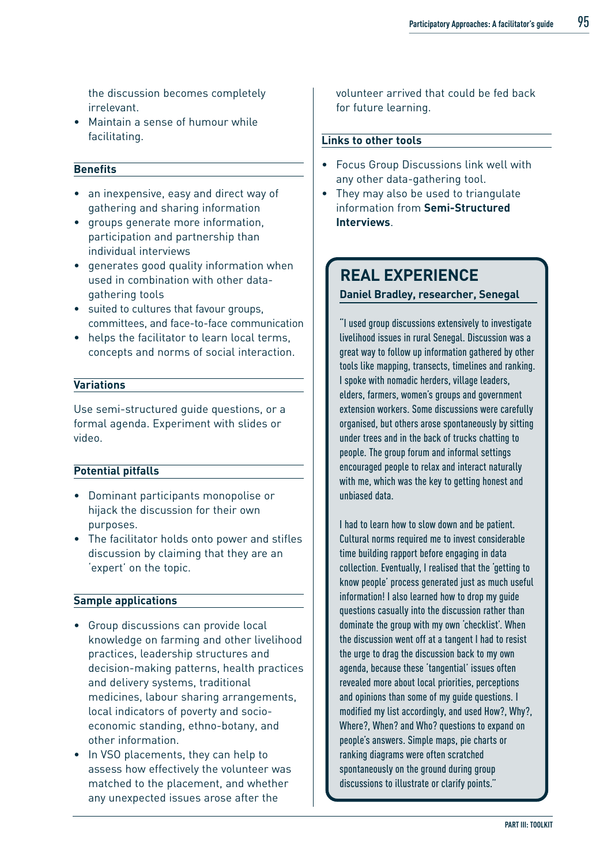the discussion becomes completely irrelevant.

• Maintain a sense of humour while facilitating.

#### **Benefits**

- an inexpensive, easy and direct way of gathering and sharing information
- groups generate more information, participation and partnership than individual interviews
- generates good quality information when used in combination with other datagathering tools
- suited to cultures that favour groups, committees, and face-to-face communication
- helps the facilitator to learn local terms, concepts and norms of social interaction.

#### **Variations**

Use semi-structured guide questions, or a formal agenda. Experiment with slides or video.

#### **Potential pitfalls**

- Dominant participants monopolise or hijack the discussion for their own purposes.
- The facilitator holds onto power and stifles discussion by claiming that they are an 'expert' on the topic.

#### **Sample applications**

- Group discussions can provide local knowledge on farming and other livelihood practices, leadership structures and decision-making patterns, health practices and delivery systems, traditional medicines, labour sharing arrangements, local indicators of poverty and socioeconomic standing, ethno-botany, and other information.
- In VSO placements, they can help to assess how effectively the volunteer was matched to the placement, and whether any unexpected issues arose after the

volunteer arrived that could be fed back for future learning.

#### **Links to other tools**

- Focus Group Discussions link well with any other data-gathering tool.
- They may also be used to triangulate information from **Semi-Structured Interviews**.

### **REAL EXPERIENCE Daniel Bradley, researcher, Senegal**

"I used group discussions extensively to investigate livelihood issues in rural Senegal. Discussion was a great way to follow up information gathered by other tools like mapping, transects, timelines and ranking. I spoke with nomadic herders, village leaders, elders, farmers, women's groups and government extension workers. Some discussions were carefully organised, but others arose spontaneously by sitting under trees and in the back of trucks chatting to people. The group forum and informal settings encouraged people to relax and interact naturally with me, which was the key to getting honest and unbiased data.

I had to learn how to slow down and be patient. Cultural norms required me to invest considerable time building rapport before engaging in data collection. Eventually, I realised that the 'getting to know people' process generated just as much useful information! I also learned how to drop my guide questions casually into the discussion rather than dominate the group with my own 'checklist'. When the discussion went off at a tangent I had to resist the urge to drag the discussion back to my own agenda, because these 'tangential' issues often revealed more about local priorities, perceptions and opinions than some of my guide questions. I modified my list accordingly, and used How?, Why?, Where?, When? and Who? questions to expand on people's answers. Simple maps, pie charts or ranking diagrams were often scratched spontaneously on the ground during group discussions to illustrate or clarify points."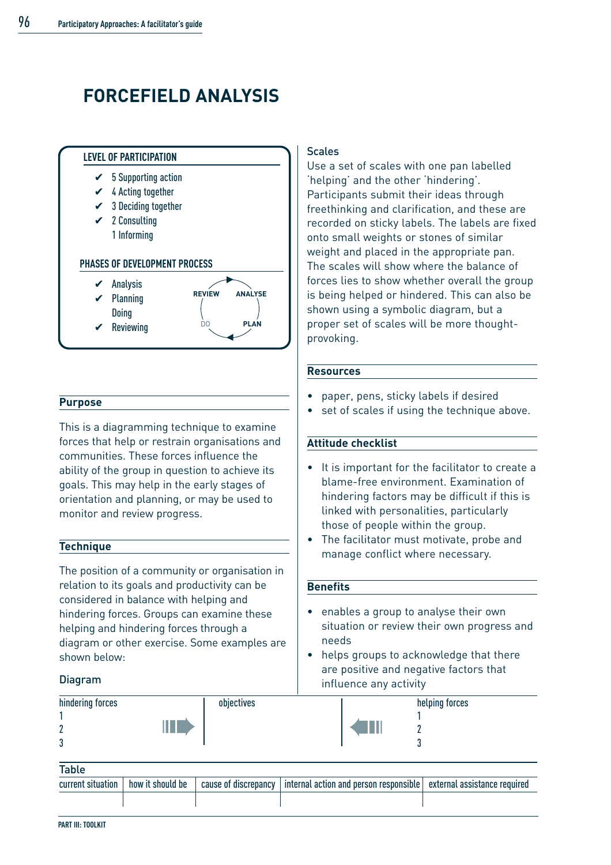# **FORCEFIELD ANALYSIS**



#### **Purpose**

This is a diagramming technique to examine forces that help or restrain organisations and communities. These forces influence the ability of the group in question to achieve its goals. This may help in the early stages of orientation and planning, or may be used to monitor and review progress.

#### **Technique**

The position of a community or organisation in relation to its goals and productivity can be considered in balance with helping and hindering forces. Groups can examine these helping and hindering forces through a diagram or other exercise. Some examples are shown below:

#### Diagram

#### **Scales**

Use a set of scales with one pan labelled 'helping' and the other 'hindering'. Participants submit their ideas through freethinking and clarification, and these are recorded on sticky labels. The labels are fixed onto small weights or stones of similar weight and placed in the appropriate pan. The scales will show where the balance of forces lies to show whether overall the group is being helped or hindered. This can also be shown using a symbolic diagram, but a proper set of scales will be more thoughtprovoking.

#### **Resources**

- paper, pens, sticky labels if desired
- set of scales if using the technique above.

#### **Attitude checklist**

- It is important for the facilitator to create a blame-free environment. Examination of hindering factors may be difficult if this is linked with personalities, particularly those of people within the group.
- The facilitator must motivate, probe and manage conflict where necessary.

#### **Benefits**

- enables a group to analyse their own situation or review their own progress and needs
- helps groups to acknowledge that there are positive and negative factors that influence any activity

| hindering forces |   | objectives |    | helping forces |
|------------------|---|------------|----|----------------|
|                  |   |            |    |                |
| n<br>L           | L |            | ÆШ |                |
| n<br>υ           |   |            |    |                |

| Table             |                  |                      |                                                                     |  |
|-------------------|------------------|----------------------|---------------------------------------------------------------------|--|
| current situation | how it should be | cause of discrepancy | internal action and person responsible external assistance required |  |
|                   |                  |                      |                                                                     |  |
|                   |                  |                      |                                                                     |  |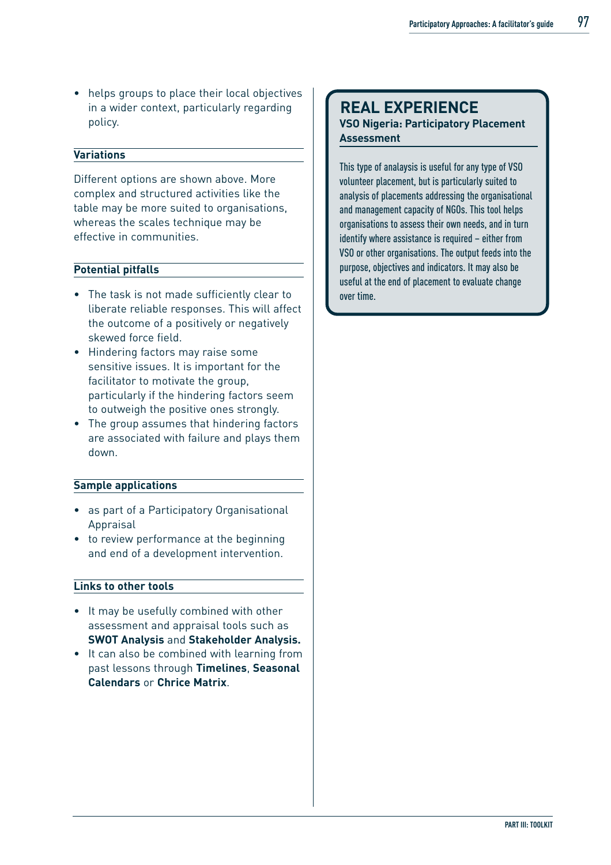• helps groups to place their local objectives in a wider context, particularly regarding policy.

#### **Variations**

Different options are shown above. More complex and structured activities like the table may be more suited to organisations, whereas the scales technique may be effective in communities.

#### **Potential pitfalls**

- The task is not made sufficiently clear to liberate reliable responses. This will affect the outcome of a positively or negatively skewed force field.
- Hindering factors may raise some sensitive issues. It is important for the facilitator to motivate the group, particularly if the hindering factors seem to outweigh the positive ones strongly.
- The group assumes that hindering factors are associated with failure and plays them down.

#### **Sample applications**

- as part of a Participatory Organisational Appraisal
- to review performance at the beginning and end of a development intervention.

#### **Links to other tools**

- It may be usefully combined with other assessment and appraisal tools such as **SWOT Analysis** and **Stakeholder Analysis.**
- It can also be combined with learning from past lessons through **Timelines**, **Seasonal Calendars** or **Chrice Matrix**.

#### **REAL EXPERIENCE VSO Nigeria: Participatory Placement Assessment**

This type of analaysis is useful for any type of VSO volunteer placement, but is particularly suited to analysis of placements addressing the organisational and management capacity of NGOs. This tool helps organisations to assess their own needs, and in turn identify where assistance is required – either from VSO or other organisations. The output feeds into the purpose, objectives and indicators. It may also be useful at the end of placement to evaluate change over time.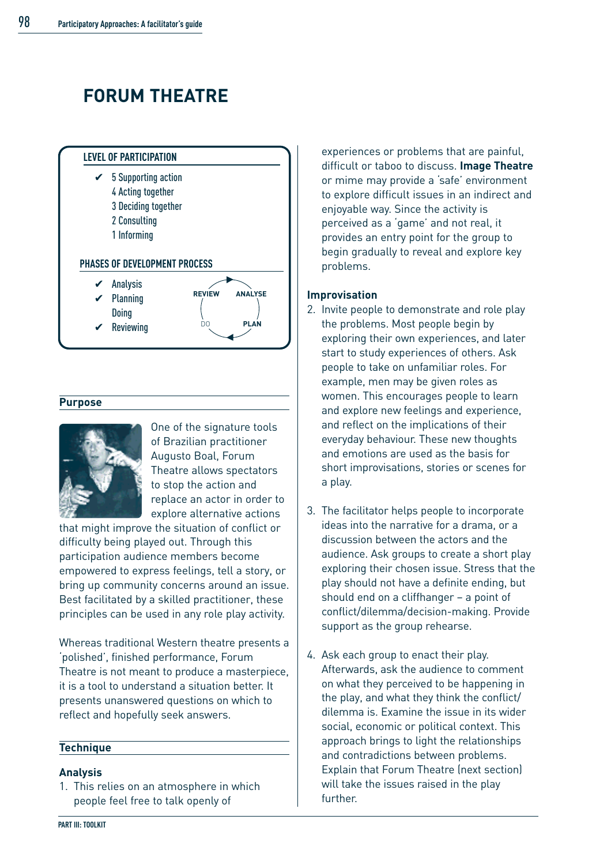# **FORUM THEATRE**



#### **Purpose**



One of the signature tools of Brazilian practitioner Augusto Boal, Forum Theatre allows spectators to stop the action and replace an actor in order to explore alternative actions

that might improve the situation of conflict or difficulty being played out. Through this participation audience members become empowered to express feelings, tell a story, or bring up community concerns around an issue. Best facilitated by a skilled practitioner, these principles can be used in any role play activity.

Whereas traditional Western theatre presents a 'polished', finished performance, Forum Theatre is not meant to produce a masterpiece, it is a tool to understand a situation better. It presents unanswered questions on which to reflect and hopefully seek answers.

#### **Technique**

#### **Analysis**

1. This relies on an atmosphere in which people feel free to talk openly of

experiences or problems that are painful, difficult or taboo to discuss. **Image Theatre** or mime may provide a 'safe' environment to explore difficult issues in an indirect and enjoyable way. Since the activity is perceived as a 'game' and not real, it provides an entry point for the group to begin gradually to reveal and explore key problems.

#### **Improvisation**

- 2. Invite people to demonstrate and role play the problems. Most people begin by exploring their own experiences, and later start to study experiences of others. Ask people to take on unfamiliar roles. For example, men may be given roles as women. This encourages people to learn and explore new feelings and experience, and reflect on the implications of their everyday behaviour. These new thoughts and emotions are used as the basis for short improvisations, stories or scenes for a play.
- 3. The facilitator helps people to incorporate ideas into the narrative for a drama, or a discussion between the actors and the audience. Ask groups to create a short play exploring their chosen issue. Stress that the play should not have a definite ending, but should end on a cliffhanger – a point of conflict/dilemma/decision-making. Provide support as the group rehearse.
- 4. Ask each group to enact their play. Afterwards, ask the audience to comment on what they perceived to be happening in the play, and what they think the conflict/ dilemma is. Examine the issue in its wider social, economic or political context. This approach brings to light the relationships and contradictions between problems. Explain that Forum Theatre (next section) will take the issues raised in the play further.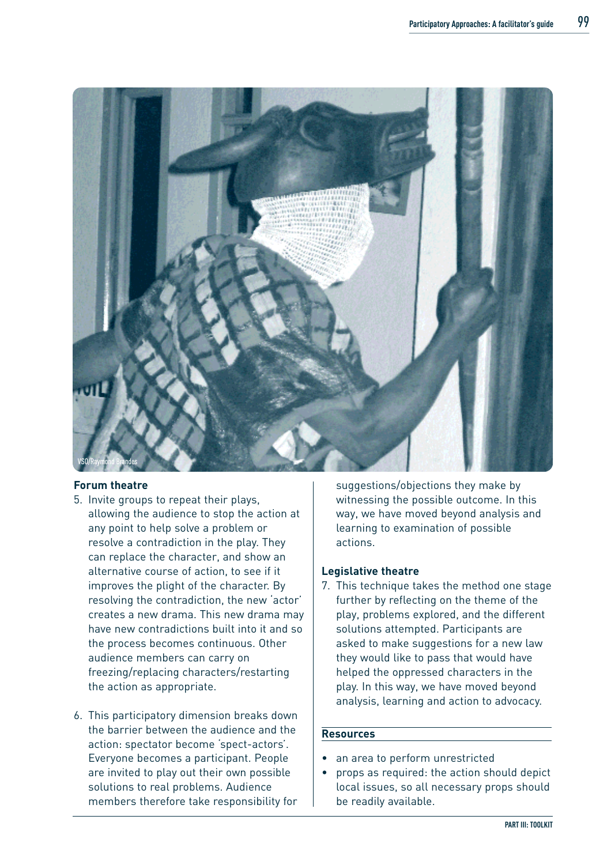

#### **Forum theatre**

- 5. Invite groups to repeat their plays, allowing the audience to stop the action at any point to help solve a problem or resolve a contradiction in the play. They can replace the character, and show an alternative course of action, to see if it improves the plight of the character. By resolving the contradiction, the new 'actor' creates a new drama. This new drama may have new contradictions built into it and so the process becomes continuous. Other audience members can carry on freezing/replacing characters/restarting the action as appropriate.
- 6. This participatory dimension breaks down the barrier between the audience and the action: spectator become 'spect-actors'. Everyone becomes a participant. People are invited to play out their own possible solutions to real problems. Audience members therefore take responsibility for

suggestions/objections they make by witnessing the possible outcome. In this way, we have moved beyond analysis and learning to examination of possible actions.

#### **Legislative theatre**

7. This technique takes the method one stage further by reflecting on the theme of the play, problems explored, and the different solutions attempted. Participants are asked to make suggestions for a new law they would like to pass that would have helped the oppressed characters in the play. In this way, we have moved beyond analysis, learning and action to advocacy.

#### **Resources**

- an area to perform unrestricted
- props as required: the action should depict local issues, so all necessary props should be readily available.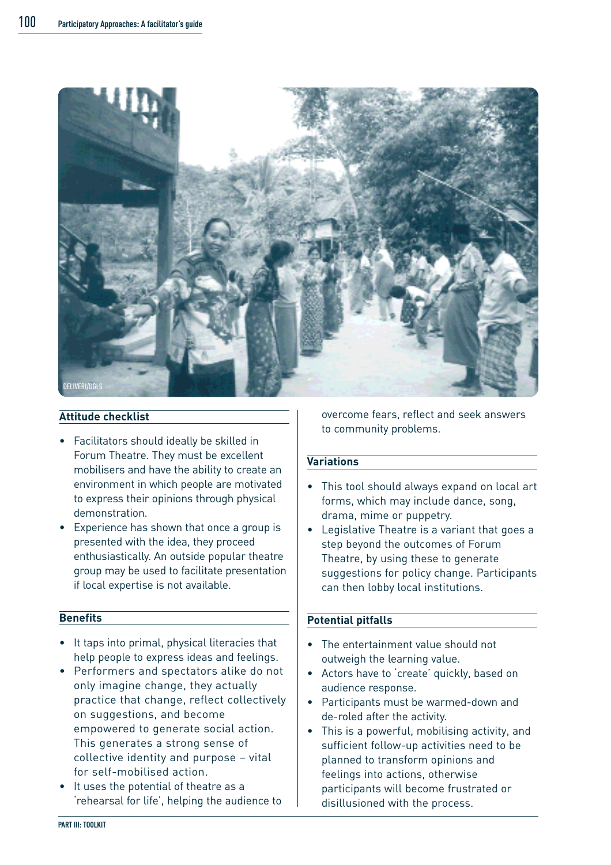

#### **Attitude checklist**

- Facilitators should ideally be skilled in Forum Theatre. They must be excellent mobilisers and have the ability to create an environment in which people are motivated to express their opinions through physical demonstration.
- Experience has shown that once a group is presented with the idea, they proceed enthusiastically. An outside popular theatre group may be used to facilitate presentation if local expertise is not available.

#### **Benefits**

- It taps into primal, physical literacies that help people to express ideas and feelings.
- Performers and spectators alike do not only imagine change, they actually practice that change, reflect collectively on suggestions, and become empowered to generate social action. This generates a strong sense of collective identity and purpose – vital for self-mobilised action.
- It uses the potential of theatre as a 'rehearsal for life', helping the audience to

overcome fears, reflect and seek answers to community problems.

#### **Variations**

- This tool should always expand on local art forms, which may include dance, song, drama, mime or puppetry.
- Legislative Theatre is a variant that goes a step beyond the outcomes of Forum Theatre, by using these to generate suggestions for policy change. Participants can then lobby local institutions.

#### **Potential pitfalls**

- The entertainment value should not outweigh the learning value.
- Actors have to 'create' quickly, based on audience response.
- Participants must be warmed-down and de-roled after the activity.
- This is a powerful, mobilising activity, and sufficient follow-up activities need to be planned to transform opinions and feelings into actions, otherwise participants will become frustrated or disillusioned with the process.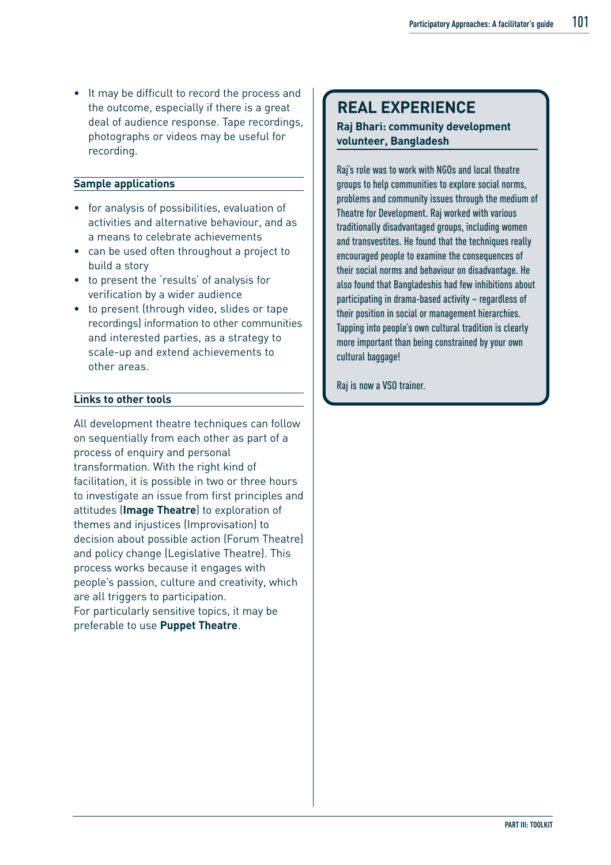• It may be difficult to record the process and the outcome, especially if there is a great deal of audience response. Tape recordings, photographs or videos may be useful for recording.

#### **Sample applications**

- for analysis of possibilities, evaluation of activities and alternative behaviour, and as a means to celebrate achievements
- can be used often throughout a project to build a story
- to present the 'results' of analysis for verification by a wider audience
- to present (through video, slides or tape recordings) information to other communities and interested parties, as a strategy to scale-up and extend achievements to other areas.

#### **Links to other tools**

All development theatre techniques can follow on sequentially from each other as part of a process of enquiry and personal transformation. With the right kind of facilitation, it is possible in two or three hours to investigate an issue from first principles and attitudes (**Image Theatre**) to exploration of themes and injustices (Improvisation) to decision about possible action (Forum Theatre) and policy change (Legislative Theatre). This process works because it engages with people's passion, culture and creativity, which are all triggers to participation. For particularly sensitive topics, it may be preferable to use **Puppet Theatre**.

### **REAL EXPERIENCE**

#### **Raj Bhari: community development volunteer, Bangladesh**

Raj's role was to work with NGOs and local theatre groups to help communities to explore social norms, problems and community issues through the medium of Theatre for Development. Raj worked with various traditionally disadvantaged groups, including women and transvestites. He found that the techniques really encouraged people to examine the consequences of their social norms and behaviour on disadvantage. He also found that Bangladeshis had few inhibitions about participating in drama-based activity – regardless of their position in social or management hierarchies. Tapping into people's own cultural tradition is clearly more important than being constrained by your own cultural baggage!

Raj is now a VSO trainer.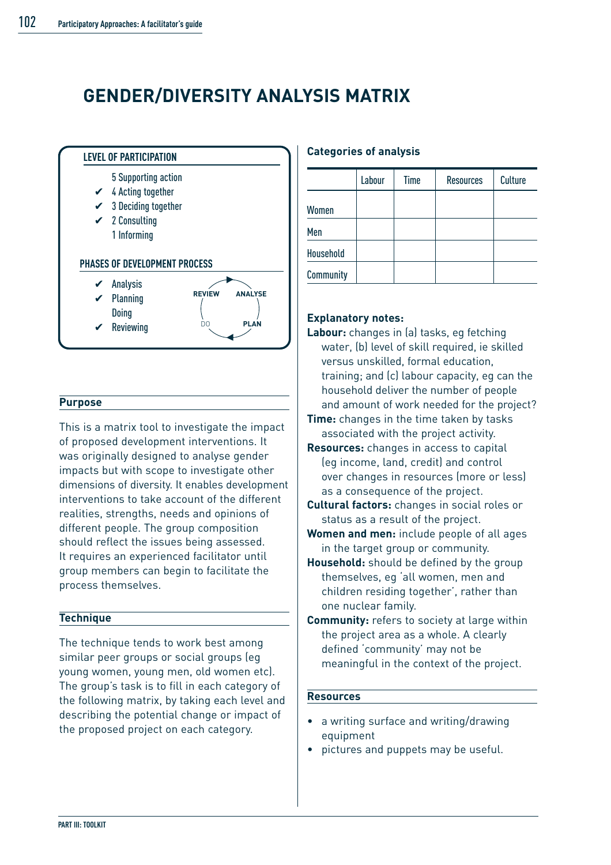### **GENDER/DIVERSITY ANALYSIS MATRIX**



#### **Purpose**

This is a matrix tool to investigate the impact of proposed development interventions. It was originally designed to analyse gender impacts but with scope to investigate other dimensions of diversity. It enables development interventions to take account of the different realities, strengths, needs and opinions of different people. The group composition should reflect the issues being assessed. It requires an experienced facilitator until group members can begin to facilitate the process themselves.

#### **Technique**

The technique tends to work best among similar peer groups or social groups (eg young women, young men, old women etc). The group's task is to fill in each category of the following matrix, by taking each level and describing the potential change or impact of the proposed project on each category.

#### **Categories of analysis**

|           | Labour | Time | <b>Resources</b> | <b>Culture</b> |
|-----------|--------|------|------------------|----------------|
| Women     |        |      |                  |                |
| Men       |        |      |                  |                |
| Household |        |      |                  |                |
| Community |        |      |                  |                |

#### **Explanatory notes:**

- **Labour:** changes in (a) tasks, eg fetching water, (b) level of skill required, ie skilled versus unskilled, formal education, training; and (c) labour capacity, eg can the household deliver the number of people and amount of work needed for the project?
- **Time:** changes in the time taken by tasks associated with the project activity.
- **Resources:** changes in access to capital (eg income, land, credit) and control over changes in resources (more or less) as a consequence of the project.
- **Cultural factors:** changes in social roles or status as a result of the project.
- **Women and men:** include people of all ages in the target group or community.
- **Household:** should be defined by the group themselves, eg 'all women, men and children residing together', rather than one nuclear family.
- **Community:** refers to society at large within the project area as a whole. A clearly defined 'community' may not be meaningful in the context of the project.

#### **Resources**

- a writing surface and writing/drawing equipment
- pictures and puppets may be useful.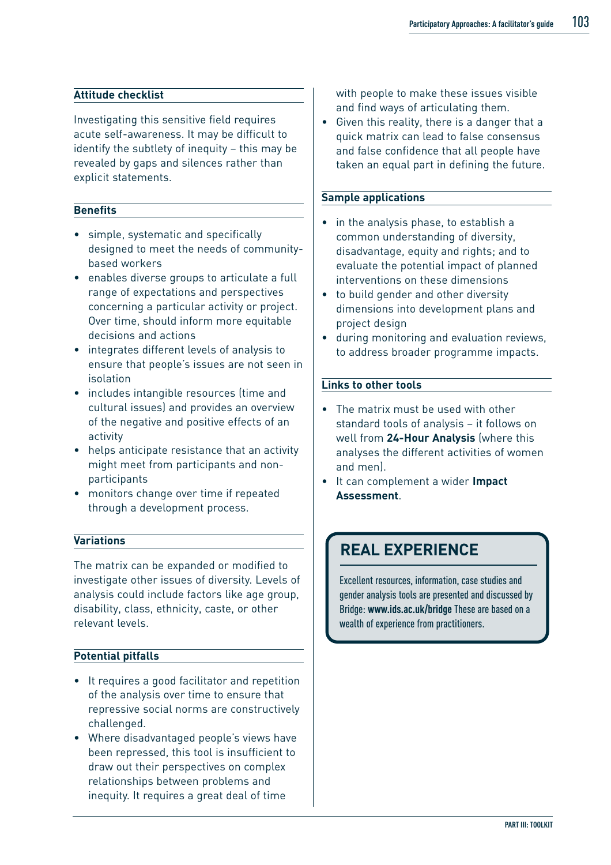#### **Attitude checklist**

Investigating this sensitive field requires acute self-awareness. It may be difficult to identify the subtlety of inequity – this may be revealed by gaps and silences rather than explicit statements.

#### **Benefits**

- simple, systematic and specifically designed to meet the needs of communitybased workers
- enables diverse groups to articulate a full range of expectations and perspectives concerning a particular activity or project. Over time, should inform more equitable decisions and actions
- integrates different levels of analysis to ensure that people's issues are not seen in isolation
- includes intangible resources (time and cultural issues) and provides an overview of the negative and positive effects of an activity
- helps anticipate resistance that an activity might meet from participants and nonparticipants
- monitors change over time if repeated through a development process.

#### **Variations**

The matrix can be expanded or modified to investigate other issues of diversity. Levels of analysis could include factors like age group, disability, class, ethnicity, caste, or other relevant levels.

#### **Potential pitfalls**

- It requires a good facilitator and repetition of the analysis over time to ensure that repressive social norms are constructively challenged.
- Where disadvantaged people's views have been repressed, this tool is insufficient to draw out their perspectives on complex relationships between problems and inequity. It requires a great deal of time

with people to make these issues visible and find ways of articulating them.

• Given this reality, there is a danger that a quick matrix can lead to false consensus and false confidence that all people have taken an equal part in defining the future.

#### **Sample applications**

- in the analysis phase, to establish a common understanding of diversity, disadvantage, equity and rights; and to evaluate the potential impact of planned interventions on these dimensions
- to build gender and other diversity dimensions into development plans and project design
- during monitoring and evaluation reviews, to address broader programme impacts.

#### **Links to other tools**

- The matrix must be used with other standard tools of analysis – it follows on well from **24-Hour Analysis** (where this analyses the different activities of women and men).
- It can complement a wider **Impact Assessment**.

### **REAL EXPERIENCE**

Excellent resources, information, case studies and gender analysis tools are presented and discussed by Bridge: **www.ids.ac.uk/bridge** These are based on a wealth of experience from practitioners.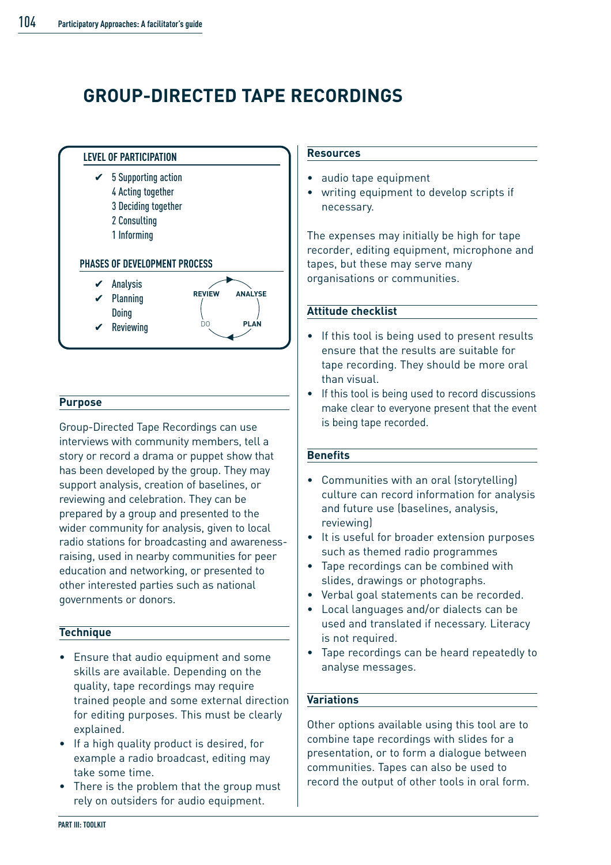## **GROUP-DIRECTED TAPE RECORDINGS**



#### **Purpose**

Group-Directed Tape Recordings can use interviews with community members, tell a story or record a drama or puppet show that has been developed by the group. They may support analysis, creation of baselines, or reviewing and celebration. They can be prepared by a group and presented to the wider community for analysis, given to local radio stations for broadcasting and awarenessraising, used in nearby communities for peer education and networking, or presented to other interested parties such as national governments or donors.

#### **Technique**

- Ensure that audio equipment and some skills are available. Depending on the quality, tape recordings may require trained people and some external direction for editing purposes. This must be clearly explained.
- If a high quality product is desired, for example a radio broadcast, editing may take some time.
- There is the problem that the group must rely on outsiders for audio equipment.

#### **Resources**

- audio tape equipment
- writing equipment to develop scripts if necessary.

The expenses may initially be high for tape recorder, editing equipment, microphone and tapes, but these may serve many organisations or communities.

#### **Attitude checklist**

- If this tool is being used to present results ensure that the results are suitable for tape recording. They should be more oral than visual.
- If this tool is being used to record discussions make clear to everyone present that the event is being tape recorded.

#### **Benefits**

- Communities with an oral (storytelling) culture can record information for analysis and future use (baselines, analysis, reviewing)
- It is useful for broader extension purposes such as themed radio programmes
- Tape recordings can be combined with slides, drawings or photographs.
- Verbal goal statements can be recorded.
- Local languages and/or dialects can be used and translated if necessary. Literacy is not required.
- Tape recordings can be heard repeatedly to analyse messages.

#### **Variations**

Other options available using this tool are to combine tape recordings with slides for a presentation, or to form a dialogue between communities. Tapes can also be used to record the output of other tools in oral form.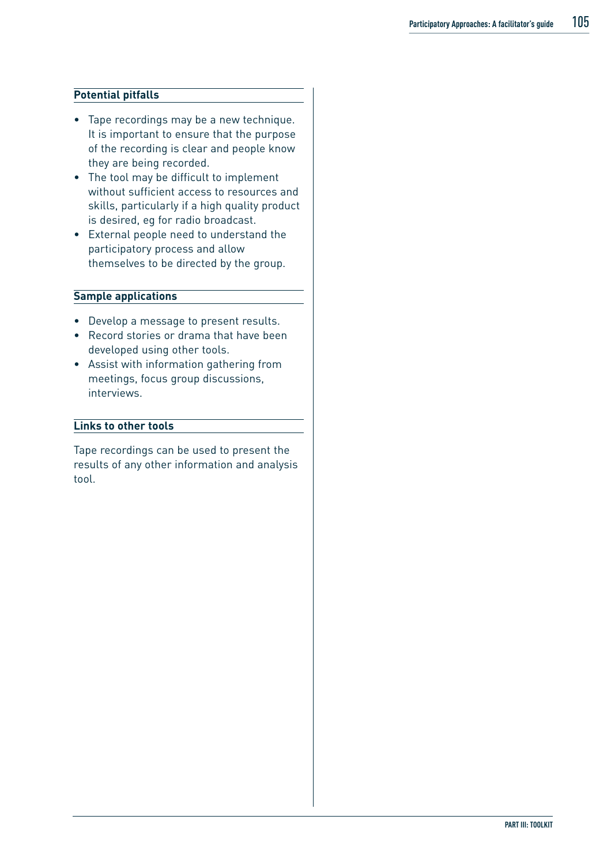#### **Potential pitfalls**

- Tape recordings may be a new technique. It is important to ensure that the purpose of the recording is clear and people know they are being recorded.
- The tool may be difficult to implement without sufficient access to resources and skills, particularly if a high quality product is desired, eg for radio broadcast.
- External people need to understand the participatory process and allow themselves to be directed by the group.

#### **Sample applications**

- Develop a message to present results.
- Record stories or drama that have been developed using other tools.
- Assist with information gathering from meetings, focus group discussions, interviews.

#### **Links to other tools**

Tape recordings can be used to present the results of any other information and analysis tool.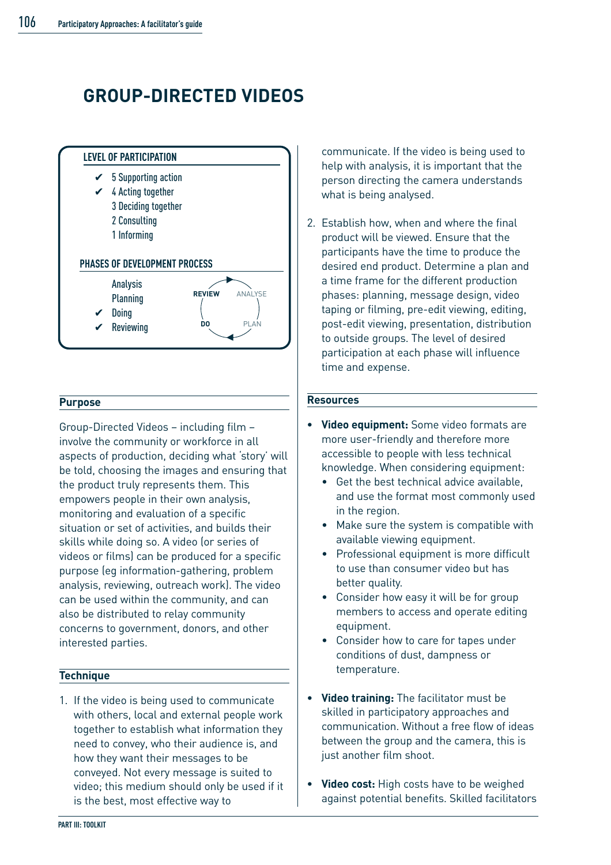## **GROUP-DIRECTED VIDEOS**



#### **Purpose**

Group-Directed Videos – including film – involve the community or workforce in all aspects of production, deciding what 'story' will be told, choosing the images and ensuring that the product truly represents them. This empowers people in their own analysis, monitoring and evaluation of a specific situation or set of activities, and builds their skills while doing so. A video (or series of videos or films) can be produced for a specific purpose (eg information-gathering, problem analysis, reviewing, outreach work). The video can be used within the community, and can also be distributed to relay community concerns to government, donors, and other interested parties.

#### **Technique**

1. If the video is being used to communicate with others, local and external people work together to establish what information they need to convey, who their audience is, and how they want their messages to be conveyed. Not every message is suited to video; this medium should only be used if it is the best, most effective way to

communicate. If the video is being used to help with analysis, it is important that the person directing the camera understands what is being analysed.

2. Establish how, when and where the final product will be viewed. Ensure that the participants have the time to produce the desired end product. Determine a plan and a time frame for the different production phases: planning, message design, video taping or filming, pre-edit viewing, editing, post-edit viewing, presentation, distribution to outside groups. The level of desired participation at each phase will influence time and expense.

#### **Resources**

- **• Video equipment:** Some video formats are more user-friendly and therefore more accessible to people with less technical knowledge. When considering equipment:
	- Get the best technical advice available, and use the format most commonly used in the region.
	- Make sure the system is compatible with available viewing equipment.
	- Professional equipment is more difficult to use than consumer video but has better quality.
	- Consider how easy it will be for group members to access and operate editing equipment.
	- Consider how to care for tapes under conditions of dust, dampness or temperature.
- **• Video training:** The facilitator must be skilled in participatory approaches and communication. Without a free flow of ideas between the group and the camera, this is just another film shoot.
- **• Video cost:** High costs have to be weighed against potential benefits. Skilled facilitators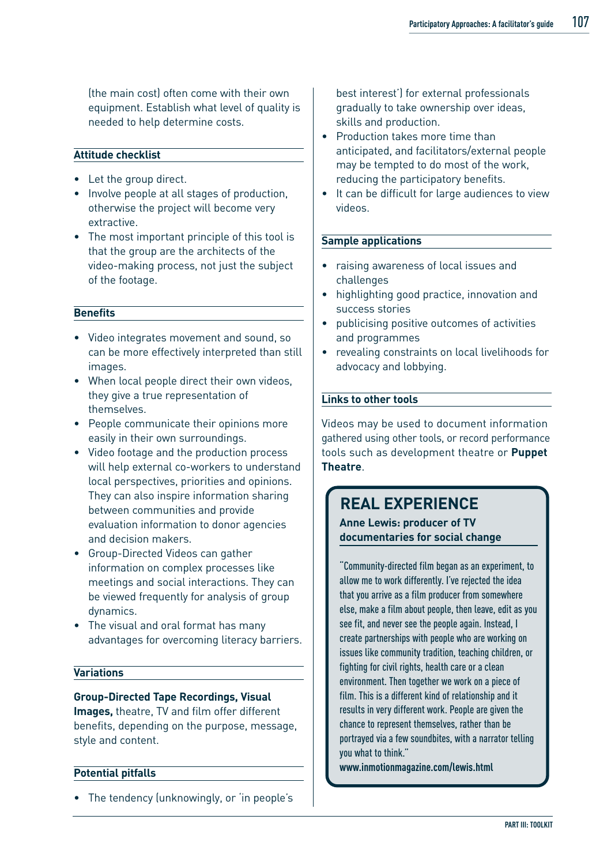(the main cost) often come with their own equipment. Establish what level of quality is needed to help determine costs.

#### **Attitude checklist**

- Let the group direct.
- Involve people at all stages of production, otherwise the project will become very extractive.
- The most important principle of this tool is that the group are the architects of the video-making process, not just the subject of the footage.

#### **Benefits**

- Video integrates movement and sound, so can be more effectively interpreted than still images.
- When local people direct their own videos, they give a true representation of themselves.
- People communicate their opinions more easily in their own surroundings.
- Video footage and the production process will help external co-workers to understand local perspectives, priorities and opinions. They can also inspire information sharing between communities and provide evaluation information to donor agencies and decision makers.
- Group-Directed Videos can gather information on complex processes like meetings and social interactions. They can be viewed frequently for analysis of group dynamics.
- The visual and oral format has many advantages for overcoming literacy barriers.

#### **Variations**

#### **Group-Directed Tape Recordings, Visual**

**Images,** theatre, TV and film offer different benefits, depending on the purpose, message, style and content.

#### **Potential pitfalls**

• The tendency (unknowingly, or 'in people's

best interest') for external professionals gradually to take ownership over ideas, skills and production.

- Production takes more time than anticipated, and facilitators/external people may be tempted to do most of the work, reducing the participatory benefits.
- It can be difficult for large audiences to view videos.

#### **Sample applications**

- raising awareness of local issues and challenges
- highlighting good practice, innovation and success stories
- publicising positive outcomes of activities and programmes
- revealing constraints on local livelihoods for advocacy and lobbying.

#### **Links to other tools**

Videos may be used to document information gathered using other tools, or record performance tools such as development theatre or **Puppet Theatre**.

### **REAL EXPERIENCE**

**Anne Lewis: producer of TV documentaries for social change**

"Community-directed film began as an experiment, to allow me to work differently. I've rejected the idea that you arrive as a film producer from somewhere else, make a film about people, then leave, edit as you see fit, and never see the people again. Instead, I create partnerships with people who are working on issues like community tradition, teaching children, or fighting for civil rights, health care or a clean environment. Then together we work on a piece of film. This is a different kind of relationship and it results in very different work. People are given the chance to represent themselves, rather than be portrayed via a few soundbites, with a narrator telling you what to think."

**www.inmotionmagazine.com/lewis.html**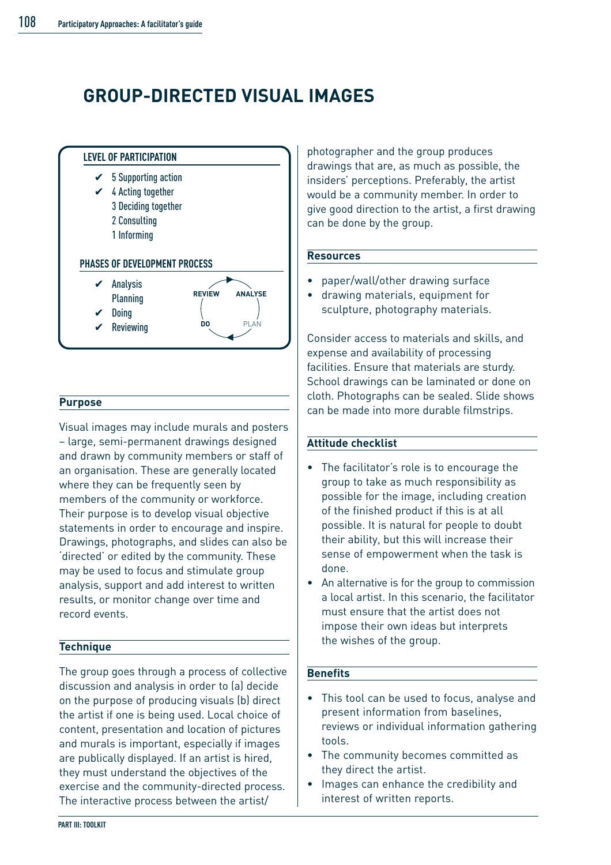### **GROUP-DIRECTED VISUAL IMAGES**



#### **Purpose**

Visual images may include murals and posters – large, semi-permanent drawings designed and drawn by community members or staff of an organisation. These are generally located where they can be frequently seen by members of the community or workforce. Their purpose is to develop visual objective statements in order to encourage and inspire. Drawings, photographs, and slides can also be 'directed' or edited by the community. These may be used to focus and stimulate group analysis, support and add interest to written results, or monitor change over time and record events.

#### **Technique**

The group goes through a process of collective discussion and analysis in order to (a) decide on the purpose of producing visuals (b) direct the artist if one is being used. Local choice of content, presentation and location of pictures and murals is important, especially if images are publically displayed. If an artist is hired, they must understand the objectives of the exercise and the community-directed process. The interactive process between the artist/

photographer and the group produces drawings that are, as much as possible, the insiders' perceptions. Preferably, the artist would be a community member. In order to give good direction to the artist, a first drawing can be done by the group.

#### **Resources**

- paper/wall/other drawing surface
- drawing materials, equipment for sculpture, photography materials.

Consider access to materials and skills, and expense and availability of processing facilities. Ensure that materials are sturdy. School drawings can be laminated or done on cloth. Photographs can be sealed. Slide shows can be made into more durable filmstrips.

#### **Attitude checklist**

- The facilitator's role is to encourage the group to take as much responsibility as possible for the image, including creation of the finished product if this is at all possible. It is natural for people to doubt their ability, but this will increase their sense of empowerment when the task is done.
- An alternative is for the group to commission a local artist. In this scenario, the facilitator must ensure that the artist does not impose their own ideas but interprets the wishes of the group.

#### **Benefits**

- This tool can be used to focus, analyse and present information from baselines, reviews or individual information gathering tools.
- The community becomes committed as they direct the artist.
- Images can enhance the credibility and interest of written reports.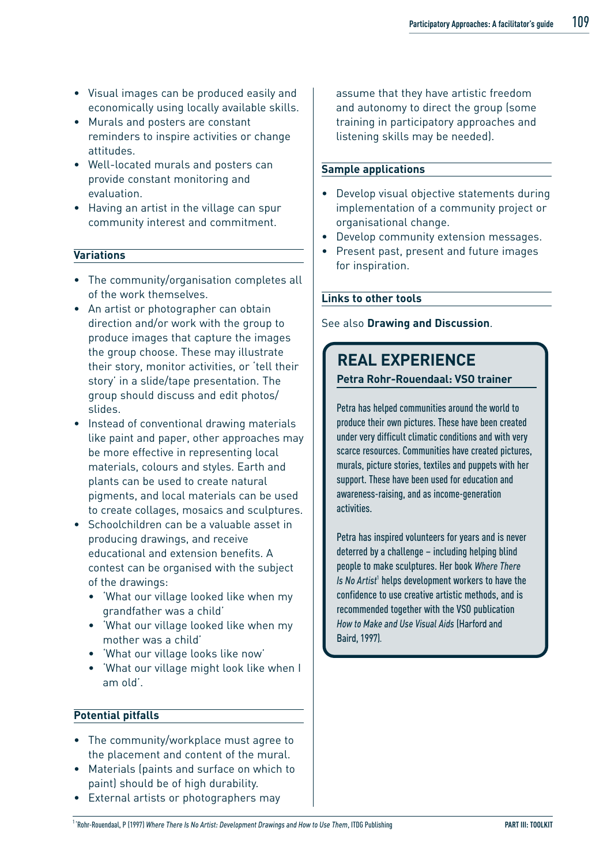- Visual images can be produced easily and economically using locally available skills.
- Murals and posters are constant reminders to inspire activities or change attitudes.
- Well-located murals and posters can provide constant monitoring and evaluation.
- Having an artist in the village can spur community interest and commitment.

#### **Variations**

- The community/organisation completes all of the work themselves.
- An artist or photographer can obtain direction and/or work with the group to produce images that capture the images the group choose. These may illustrate their story, monitor activities, or 'tell their story' in a slide/tape presentation. The group should discuss and edit photos/ slides.
- Instead of conventional drawing materials like paint and paper, other approaches may be more effective in representing local materials, colours and styles. Earth and plants can be used to create natural pigments, and local materials can be used to create collages, mosaics and sculptures.
- Schoolchildren can be a valuable asset in producing drawings, and receive educational and extension benefits. A contest can be organised with the subject of the drawings:
	- 'What our village looked like when my grandfather was a child'
	- 'What our village looked like when my mother was a child'
	- 'What our village looks like now'
	- 'What our village might look like when I am old'.

#### **Potential pitfalls**

- The community/workplace must agree to the placement and content of the mural.
- Materials (paints and surface on which to paint) should be of high durability.
- External artists or photographers may

assume that they have artistic freedom and autonomy to direct the group (some training in participatory approaches and listening skills may be needed).

#### **Sample applications**

- Develop visual objective statements during implementation of a community project or organisational change.
- Develop community extension messages.
- Present past, present and future images for inspiration.

#### **Links to other tools**

See also **Drawing and Discussion**.

## **REAL EXPERIENCE**

**Petra Rohr-Rouendaal: VSO trainer**

Petra has helped communities around the world to produce their own pictures. These have been created under very difficult climatic conditions and with very scarce resources. Communities have created pictures, murals, picture stories, textiles and puppets with her support. These have been used for education and awareness-raising, and as income-generation activities.

Petra has inspired volunteers for years and is never deterred by a challenge – including helping blind people to make sculptures. Her book *Where There Is No Artist<sup>1</sup>* helps development workers to have the confidence to use creative artistic methods, and is recommended together with the VSO publication *How to Make and Use Visual Aids* (Harford and Baird, 1997).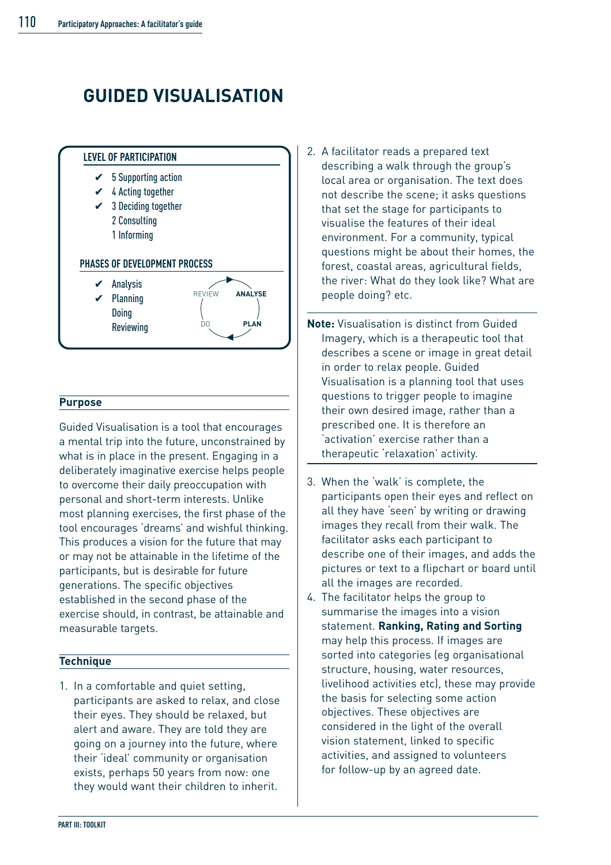# **GUIDED VISUALISATION**



#### **Purpose**

Guided Visualisation is a tool that encourages a mental trip into the future, unconstrained by what is in place in the present. Engaging in a deliberately imaginative exercise helps people to overcome their daily preoccupation with personal and short-term interests. Unlike most planning exercises, the first phase of the tool encourages 'dreams' and wishful thinking. This produces a vision for the future that may or may not be attainable in the lifetime of the participants, but is desirable for future generations. The specific objectives established in the second phase of the exercise should, in contrast, be attainable and measurable targets.

#### **Technique**

1. In a comfortable and quiet setting, participants are asked to relax, and close their eyes. They should be relaxed, but alert and aware. They are told they are going on a journey into the future, where their 'ideal' community or organisation exists, perhaps 50 years from now: one they would want their children to inherit.

- 2. A facilitator reads a prepared text describing a walk through the group's local area or organisation. The text does not describe the scene; it asks questions that set the stage for participants to visualise the features of their ideal environment. For a community, typical questions might be about their homes, the forest, coastal areas, agricultural fields, the river: What do they look like? What are people doing? etc.
- **Note:** Visualisation is distinct from Guided Imagery, which is a therapeutic tool that describes a scene or image in great detail in order to relax people. Guided Visualisation is a planning tool that uses questions to trigger people to imagine their own desired image, rather than a prescribed one. It is therefore an 'activation' exercise rather than a therapeutic 'relaxation' activity.
- 3. When the 'walk' is complete, the participants open their eyes and reflect on all they have 'seen' by writing or drawing images they recall from their walk. The facilitator asks each participant to describe one of their images, and adds the pictures or text to a flipchart or board until all the images are recorded.
- 4. The facilitator helps the group to summarise the images into a vision statement. **Ranking, Rating and Sorting** may help this process. If images are sorted into categories (eg organisational structure, housing, water resources, livelihood activities etc), these may provide the basis for selecting some action objectives. These objectives are considered in the light of the overall vision statement, linked to specific activities, and assigned to volunteers for follow-up by an agreed date.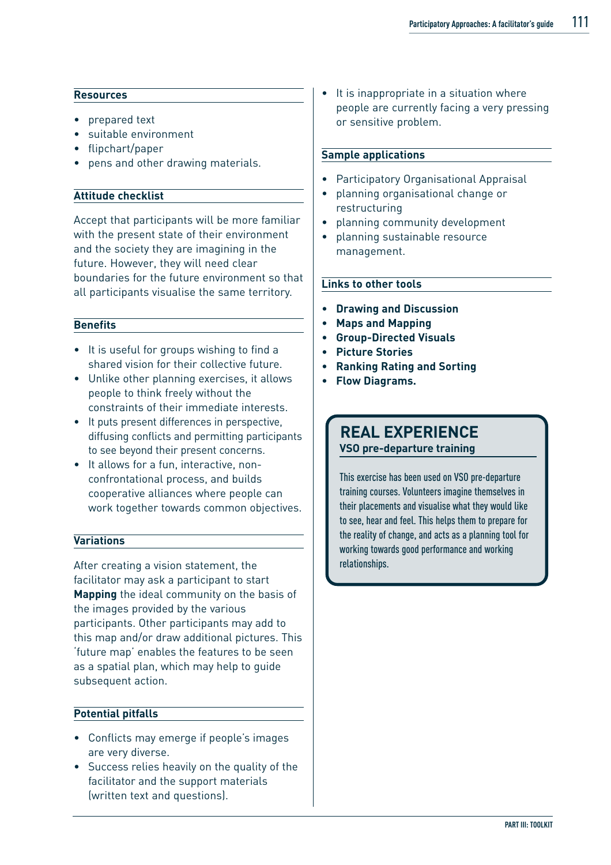#### **Resources**

- prepared text
- suitable environment
- flipchart/paper
- pens and other drawing materials.

#### **Attitude checklist**

Accept that participants will be more familiar with the present state of their environment and the society they are imagining in the future. However, they will need clear boundaries for the future environment so that all participants visualise the same territory.

#### **Benefits**

- It is useful for groups wishing to find a shared vision for their collective future.
- Unlike other planning exercises, it allows people to think freely without the constraints of their immediate interests.
- It puts present differences in perspective, diffusing conflicts and permitting participants to see beyond their present concerns.
- It allows for a fun, interactive, nonconfrontational process, and builds cooperative alliances where people can work together towards common objectives.

#### **Variations**

After creating a vision statement, the facilitator may ask a participant to start **Mapping** the ideal community on the basis of the images provided by the various participants. Other participants may add to this map and/or draw additional pictures. This 'future map' enables the features to be seen as a spatial plan, which may help to guide subsequent action.

#### **Potential pitfalls**

- Conflicts may emerge if people's images are very diverse.
- Success relies heavily on the quality of the facilitator and the support materials (written text and questions).

It is inappropriate in a situation where people are currently facing a very pressing or sensitive problem.

#### **Sample applications**

- Participatory Organisational Appraisal
- planning organisational change or restructuring
- planning community development
- planning sustainable resource management.

#### **Links to other tools**

- **Drawing and Discussion**
- **Maps and Mapping**
- **Group-Directed Visuals**
- **Picture Stories**
- **Ranking Rating and Sorting**
- **Flow Diagrams.**

### **REAL EXPERIENCE**

**VSO pre-departure training**

This exercise has been used on VSO pre-departure training courses. Volunteers imagine themselves in their placements and visualise what they would like to see, hear and feel. This helps them to prepare for the reality of change, and acts as a planning tool for working towards good performance and working relationships.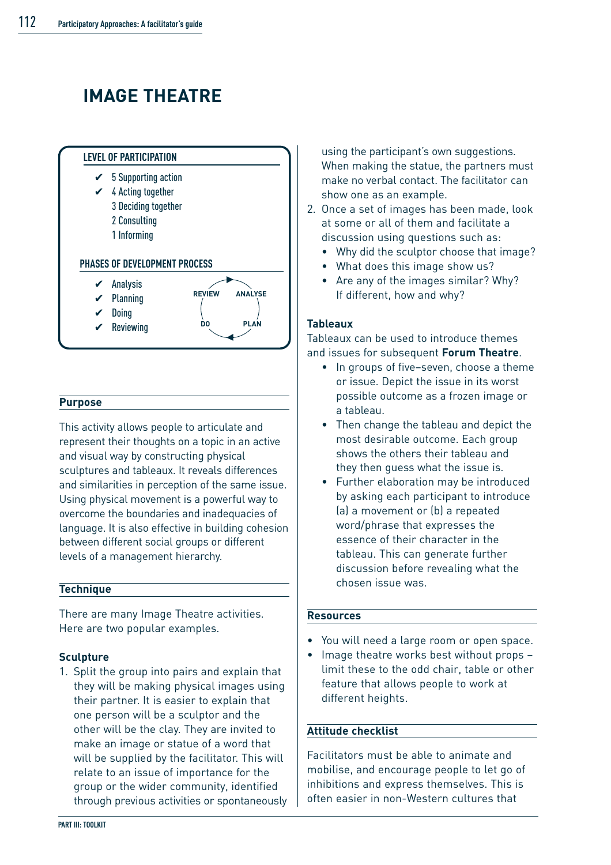# **IMAGE THEATRE**



#### **Purpose**

This activity allows people to articulate and represent their thoughts on a topic in an active and visual way by constructing physical sculptures and tableaux. It reveals differences and similarities in perception of the same issue. Using physical movement is a powerful way to overcome the boundaries and inadequacies of language. It is also effective in building cohesion between different social groups or different levels of a management hierarchy.

#### **Technique**

There are many Image Theatre activities. Here are two popular examples.

#### **Sculpture**

1. Split the group into pairs and explain that they will be making physical images using their partner. It is easier to explain that one person will be a sculptor and the other will be the clay. They are invited to make an image or statue of a word that will be supplied by the facilitator. This will relate to an issue of importance for the group or the wider community, identified through previous activities or spontaneously

using the participant's own suggestions. When making the statue, the partners must make no verbal contact. The facilitator can show one as an example.

- 2. Once a set of images has been made, look at some or all of them and facilitate a discussion using questions such as:
	- Why did the sculptor choose that image?
	- What does this image show us?
	- Are any of the images similar? Why? If different, how and why?

#### **Tableaux**

Tableaux can be used to introduce themes and issues for subsequent **Forum Theatre**.

- In groups of five–seven, choose a theme or issue. Depict the issue in its worst possible outcome as a frozen image or a tableau.
- Then change the tableau and depict the most desirable outcome. Each group shows the others their tableau and they then guess what the issue is.
- Further elaboration may be introduced by asking each participant to introduce (a) a movement or (b) a repeated word/phrase that expresses the essence of their character in the tableau. This can generate further discussion before revealing what the chosen issue was.

#### **Resources**

- You will need a large room or open space.
- Image theatre works best without props limit these to the odd chair, table or other feature that allows people to work at different heights.

#### **Attitude checklist**

Facilitators must be able to animate and mobilise, and encourage people to let go of inhibitions and express themselves. This is often easier in non-Western cultures that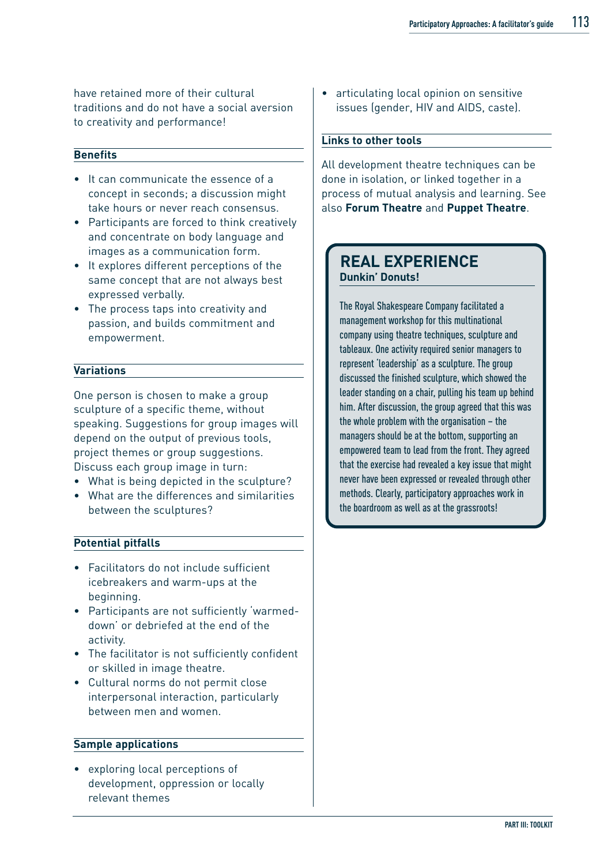have retained more of their cultural traditions and do not have a social aversion to creativity and performance!

#### **Benefits**

- It can communicate the essence of a concept in seconds; a discussion might take hours or never reach consensus.
- Participants are forced to think creatively and concentrate on body language and images as a communication form.
- It explores different perceptions of the same concept that are not always best expressed verbally.
- The process taps into creativity and passion, and builds commitment and empowerment.

#### **Variations**

One person is chosen to make a group sculpture of a specific theme, without speaking. Suggestions for group images will depend on the output of previous tools, project themes or group suggestions. Discuss each group image in turn:

- What is being depicted in the sculpture?
- What are the differences and similarities between the sculptures?

#### **Potential pitfalls**

- Facilitators do not include sufficient icebreakers and warm-ups at the beginning.
- Participants are not sufficiently 'warmeddown' or debriefed at the end of the activity.
- The facilitator is not sufficiently confident or skilled in image theatre.
- Cultural norms do not permit close interpersonal interaction, particularly between men and women.

#### **Sample applications**

• exploring local perceptions of development, oppression or locally relevant themes

• articulating local opinion on sensitive issues (gender, HIV and AIDS, caste).

#### **Links to other tools**

All development theatre techniques can be done in isolation, or linked together in a process of mutual analysis and learning. See also **Forum Theatre** and **Puppet Theatre**.

### **REAL EXPERIENCE Dunkin' Donuts!**

The Royal Shakespeare Company facilitated a management workshop for this multinational company using theatre techniques, sculpture and tableaux. One activity required senior managers to represent 'leadership' as a sculpture. The group discussed the finished sculpture, which showed the leader standing on a chair, pulling his team up behind him. After discussion, the group agreed that this was the whole problem with the organisation – the managers should be at the bottom, supporting an empowered team to lead from the front. They agreed that the exercise had revealed a key issue that might never have been expressed or revealed through other methods. Clearly, participatory approaches work in the boardroom as well as at the grassroots!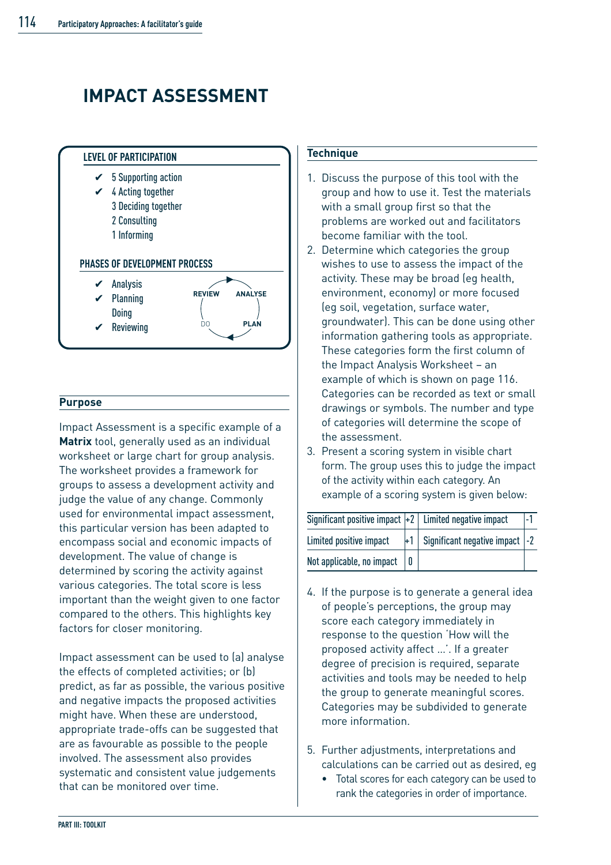## **IMPACT ASSESSMENT**



#### **Purpose**

Impact Assessment is a specific example of a **Matrix** tool, generally used as an individual worksheet or large chart for group analysis. The worksheet provides a framework for groups to assess a development activity and judge the value of any change. Commonly used for environmental impact assessment, this particular version has been adapted to encompass social and economic impacts of development. The value of change is determined by scoring the activity against various categories. The total score is less important than the weight given to one factor compared to the others. This highlights key factors for closer monitoring.

Impact assessment can be used to (a) analyse the effects of completed activities; or (b) predict, as far as possible, the various positive and negative impacts the proposed activities might have. When these are understood, appropriate trade-offs can be suggested that are as favourable as possible to the people involved. The assessment also provides systematic and consistent value judgements that can be monitored over time.

#### **Technique**

- 1. Discuss the purpose of this tool with the group and how to use it. Test the materials with a small group first so that the problems are worked out and facilitators become familiar with the tool.
- 2. Determine which categories the group wishes to use to assess the impact of the activity. These may be broad (eg health, environment, economy) or more focused (eg soil, vegetation, surface water, groundwater). This can be done using other information gathering tools as appropriate. These categories form the first column of the Impact Analysis Worksheet – an example of which is shown on page 116. Categories can be recorded as text or small drawings or symbols. The number and type of categories will determine the scope of the assessment.
- 3. Present a scoring system in visible chart form. The group uses this to judge the impact of the activity within each category. An example of a scoring system is given below:

| Significant positive impact $ +2 $ Limited negative impact |      |                                 |  |
|------------------------------------------------------------|------|---------------------------------|--|
| Limited positive impact                                    | $+1$ | Significant negative impact  -2 |  |
| Not applicable, no impact                                  |      |                                 |  |

- 4. If the purpose is to generate a general idea of people's perceptions, the group may score each category immediately in response to the question 'How will the proposed activity affect …'. If a greater degree of precision is required, separate activities and tools may be needed to help the group to generate meaningful scores. Categories may be subdivided to generate more information.
- 5. Further adjustments, interpretations and calculations can be carried out as desired, eg
	- Total scores for each category can be used to rank the categories in order of importance.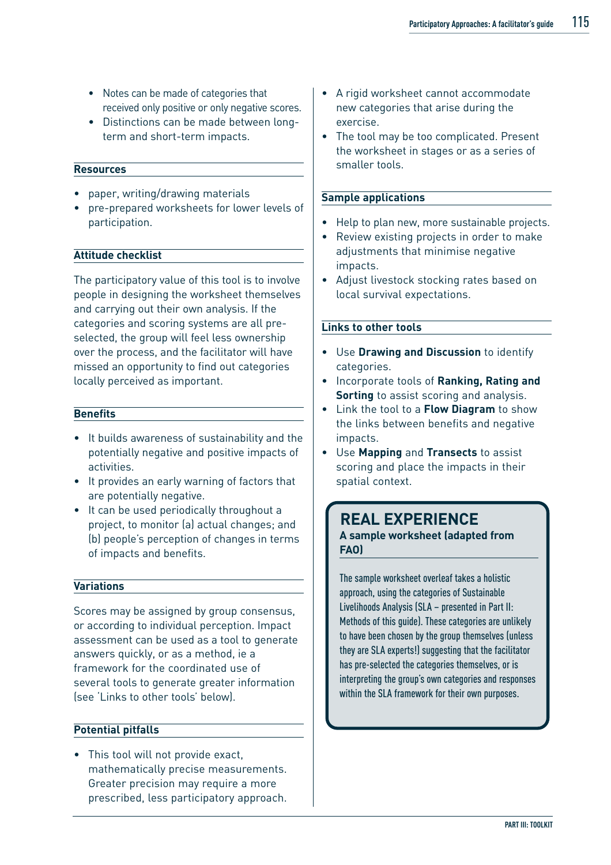- Notes can be made of categories that received only positive or only negative scores.
- Distinctions can be made between longterm and short-term impacts.

#### **Resources**

- paper, writing/drawing materials
- pre-prepared worksheets for lower levels of participation.

#### **Attitude checklist**

The participatory value of this tool is to involve people in designing the worksheet themselves and carrying out their own analysis. If the categories and scoring systems are all preselected, the group will feel less ownership over the process, and the facilitator will have missed an opportunity to find out categories locally perceived as important.

#### **Benefits**

- It builds awareness of sustainability and the potentially negative and positive impacts of activities.
- It provides an early warning of factors that are potentially negative.
- It can be used periodically throughout a project, to monitor (a) actual changes; and (b) people's perception of changes in terms of impacts and benefits.

#### **Variations**

Scores may be assigned by group consensus, or according to individual perception. Impact assessment can be used as a tool to generate answers quickly, or as a method, ie a framework for the coordinated use of several tools to generate greater information (see 'Links to other tools' below).

#### **Potential pitfalls**

• This tool will not provide exact, mathematically precise measurements. Greater precision may require a more prescribed, less participatory approach.

- A rigid worksheet cannot accommodate new categories that arise during the exercise.
- The tool may be too complicated. Present the worksheet in stages or as a series of smaller tools.

#### **Sample applications**

- Help to plan new, more sustainable projects.
- Review existing projects in order to make adjustments that minimise negative impacts.
- Adjust livestock stocking rates based on local survival expectations.

#### **Links to other tools**

- Use **Drawing and Discussion** to identify categories.
- Incorporate tools of **Ranking, Rating and Sorting** to assist scoring and analysis.
- Link the tool to a **Flow Diagram** to show the links between benefits and negative impacts.
- Use **Mapping** and **Transects** to assist scoring and place the impacts in their spatial context.

### **REAL EXPERIENCE A sample worksheet (adapted from FAO)**

The sample worksheet overleaf takes a holistic approach, using the categories of Sustainable Livelihoods Analysis (SLA – presented in Part II: Methods of this guide). These categories are unlikely to have been chosen by the group themselves (unless they are SLA experts!) suggesting that the facilitator has pre-selected the categories themselves, or is interpreting the group's own categories and responses within the SLA framework for their own purposes.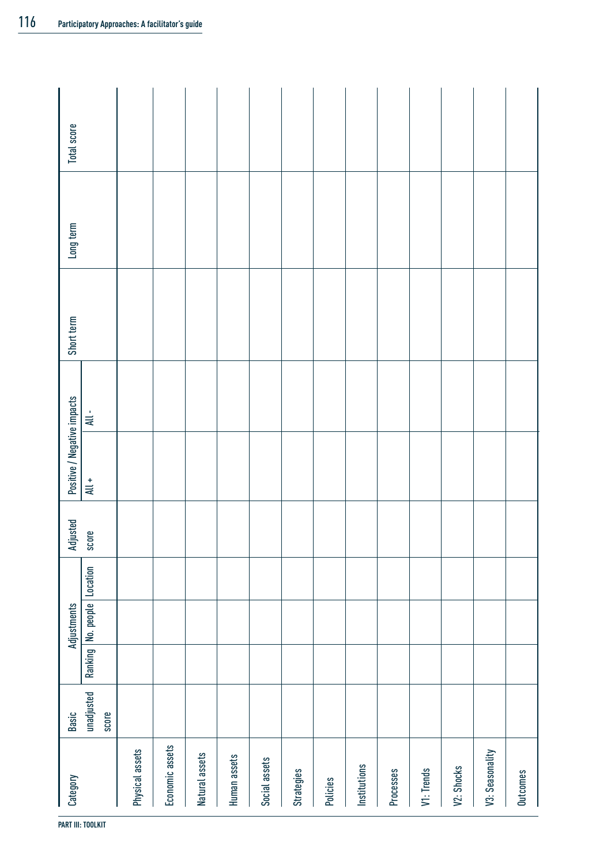| Category          | Basic               | Adjustments                 | Adjusted | Positive / Negative impacts |         | Short term | Long term | <b>Total score</b> |
|-------------------|---------------------|-----------------------------|----------|-----------------------------|---------|------------|-----------|--------------------|
|                   | unadjusted<br>score | Ranking No. people Location | score    | $\overline{\mathsf{All}}$ + | $All -$ |            |           |                    |
| Physical assets   |                     |                             |          |                             |         |            |           |                    |
| Economic assets   |                     |                             |          |                             |         |            |           |                    |
| Natural assets    |                     |                             |          |                             |         |            |           |                    |
| Human assets      |                     |                             |          |                             |         |            |           |                    |
| Social assets     |                     |                             |          |                             |         |            |           |                    |
| <b>Strategies</b> |                     |                             |          |                             |         |            |           |                    |
| Policies          |                     |                             |          |                             |         |            |           |                    |
| Institutions      |                     |                             |          |                             |         |            |           |                    |
| Processes         |                     |                             |          |                             |         |            |           |                    |
| V1: Trends        |                     |                             |          |                             |         |            |           |                    |
| V2: Shocks        |                     |                             |          |                             |         |            |           |                    |
| V3: Seasonality   |                     |                             |          |                             |         |            |           |                    |
| <b>Outcomes</b>   |                     |                             |          |                             |         |            |           |                    |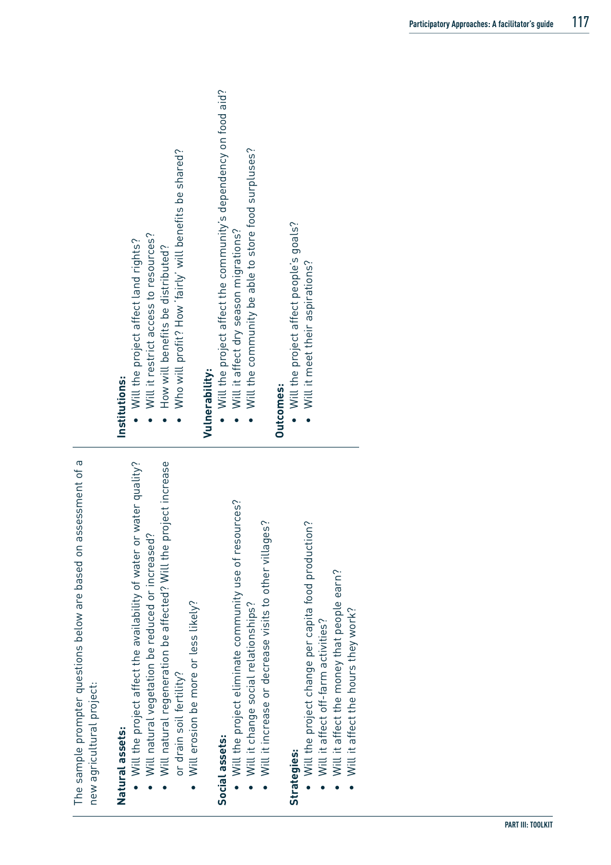| assessment of a<br>The sample prompter questions below are based on<br>new agricultural project:                                                                                                                                                                                      |                                                                                                                                                                                               |
|---------------------------------------------------------------------------------------------------------------------------------------------------------------------------------------------------------------------------------------------------------------------------------------|-----------------------------------------------------------------------------------------------------------------------------------------------------------------------------------------------|
| Will natural regeneration be affected? Will the project increase<br>or water quality?<br>Will natural vegetation be reduced or increased?<br>Will the project affect the availability of water<br>Will erosion be more or less likely?<br>or drain soil fertility?<br>Natural assets: | Who will profit? How 'fairly' will benefits be shared?<br>Will it restrict access to resources?<br>Will the project affect land rights?<br>How will benefits be distributed?<br>Institutions: |
| Will the project eliminate community use of resources?<br>Will it increase or decrease visits to other villages?<br>Will it change social relationships?<br>Social assets:                                                                                                            | Will the project affect the community's dependency on food aid?<br>Will the community be able to store food surpluses?<br>Will it affect dry season migrations?<br>Vulnerability:             |
| Will the project change per capita food production?<br>Will it affect the money that people earn?<br>Will it affect the hours they work?<br>Will it affect off-farm activities?<br>Strategies:                                                                                        | • Will the project affect people's goals?<br>Will it meet their aspirations?<br>Outcomes:                                                                                                     |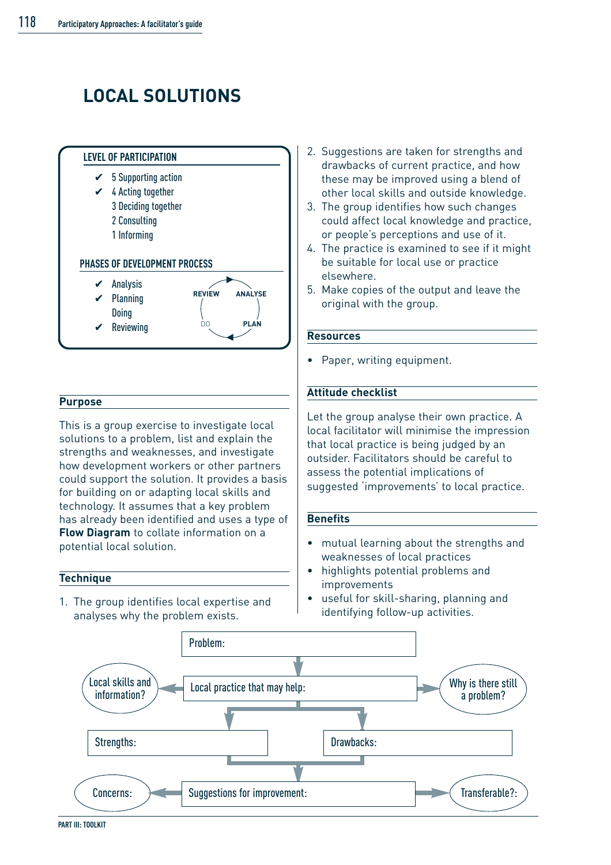# **LOCAL SOLUTIONS**



#### **Purpose**

This is a group exercise to investigate local solutions to a problem, list and explain the strengths and weaknesses, and investigate how development workers or other partners could support the solution. It provides a basis for building on or adapting local skills and technology. It assumes that a key problem has already been identified and uses a type of **Flow Diagram** to collate information on a potential local solution.

#### **Technique**

1. The group identifies local expertise and analyses why the problem exists.

- 2. Suggestions are taken for strengths and drawbacks of current practice, and how these may be improved using a blend of other local skills and outside knowledge.
- 3. The group identifies how such changes could affect local knowledge and practice, or people's perceptions and use of it.
- 4. The practice is examined to see if it might be suitable for local use or practice elsewhere.
- 5. Make copies of the output and leave the original with the group.

#### **Resources**

• Paper, writing equipment.

#### **Attitude checklist**

Let the group analyse their own practice. A local facilitator will minimise the impression that local practice is being judged by an outsider. Facilitators should be careful to assess the potential implications of suggested 'improvements' to local practice.

#### **Benefits**

- mutual learning about the strengths and weaknesses of local practices
- highlights potential problems and improvements
- useful for skill-sharing, planning and identifying follow-up activities.

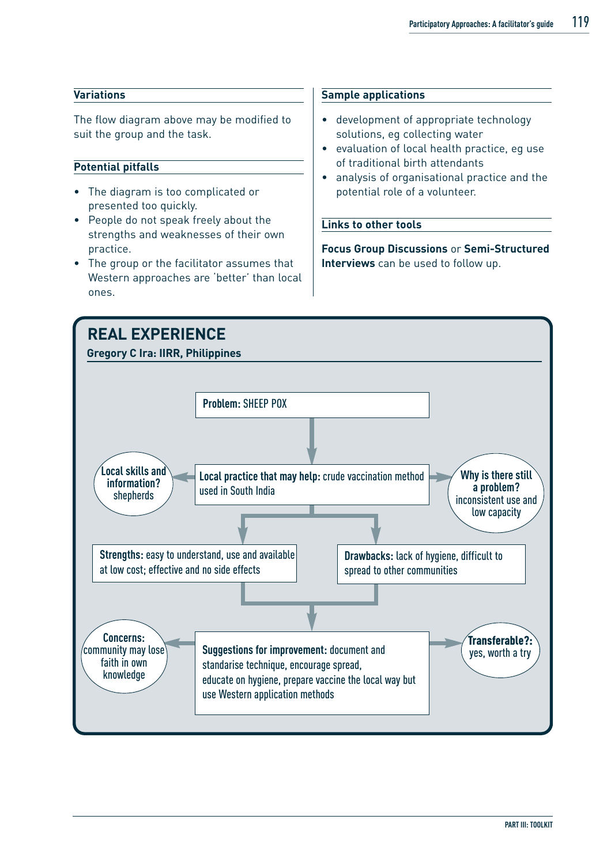#### **Variations**

The flow diagram above may be modified to suit the group and the task.

#### **Potential pitfalls**

- The diagram is too complicated or presented too quickly.
- People do not speak freely about the strengths and weaknesses of their own practice.
- The group or the facilitator assumes that Western approaches are 'better' than local ones.

#### **Sample applications**

- development of appropriate technology solutions, eg collecting water
- evaluation of local health practice, eg use of traditional birth attendants
- analysis of organisational practice and the potential role of a volunteer.

#### **Links to other tools**

**Focus Group Discussions** or **Semi-Structured Interviews** can be used to follow up.

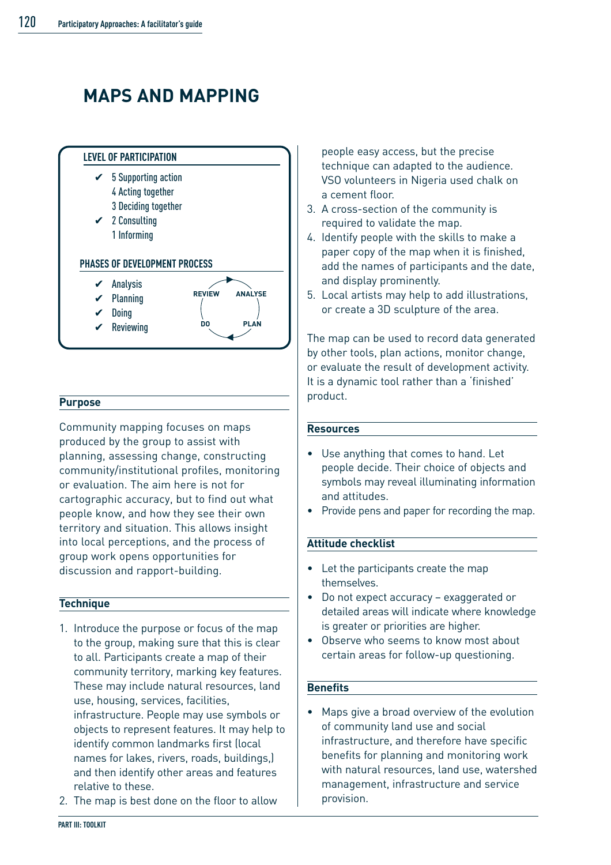### **MAPS AND MAPPING**



#### **Purpose**

Community mapping focuses on maps produced by the group to assist with planning, assessing change, constructing community/institutional profiles, monitoring or evaluation. The aim here is not for cartographic accuracy, but to find out what people know, and how they see their own territory and situation. This allows insight into local perceptions, and the process of group work opens opportunities for discussion and rapport-building.

#### **Technique**

- 1. Introduce the purpose or focus of the map to the group, making sure that this is clear to all. Participants create a map of their community territory, marking key features. These may include natural resources, land use, housing, services, facilities, infrastructure. People may use symbols or objects to represent features. It may help to identify common landmarks first (local names for lakes, rivers, roads, buildings,) and then identify other areas and features relative to these.
- 2. The map is best done on the floor to allow

people easy access, but the precise technique can adapted to the audience. VSO volunteers in Nigeria used chalk on a cement floor.

- 3. A cross-section of the community is required to validate the map.
- 4. Identify people with the skills to make a paper copy of the map when it is finished, add the names of participants and the date, and display prominently.
- 5. Local artists may help to add illustrations, or create a 3D sculpture of the area.

The map can be used to record data generated by other tools, plan actions, monitor change, or evaluate the result of development activity. It is a dynamic tool rather than a 'finished' product.

#### **Resources**

- Use anything that comes to hand. Let people decide. Their choice of objects and symbols may reveal illuminating information and attitudes.
- Provide pens and paper for recording the map.

#### **Attitude checklist**

- Let the participants create the map themselves.
- Do not expect accuracy exaggerated or detailed areas will indicate where knowledge is greater or priorities are higher.
- Observe who seems to know most about certain areas for follow-up questioning.

#### **Benefits**

• Maps give a broad overview of the evolution of community land use and social infrastructure, and therefore have specific benefits for planning and monitoring work with natural resources, land use, watershed management, infrastructure and service provision.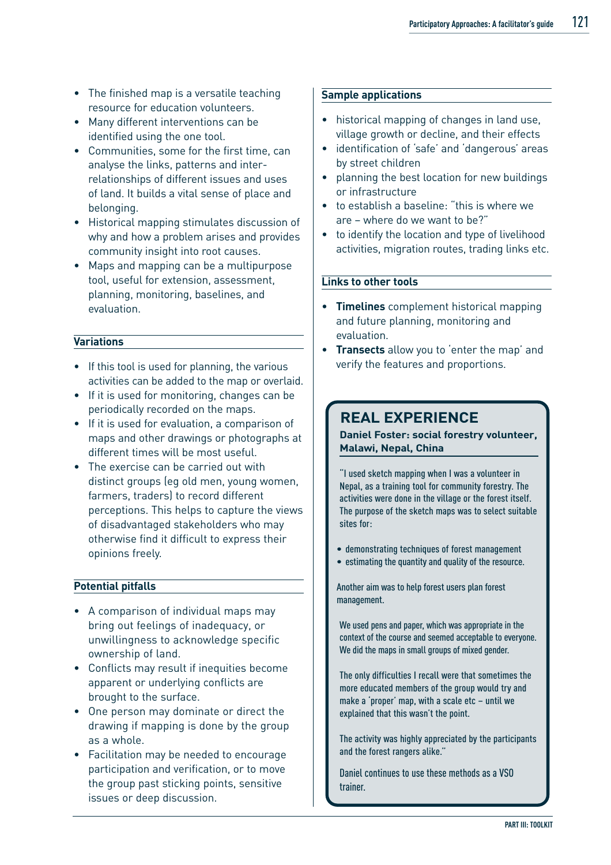- The finished map is a versatile teaching resource for education volunteers.
- Many different interventions can be identified using the one tool.
- Communities, some for the first time, can analyse the links, patterns and interrelationships of different issues and uses of land. It builds a vital sense of place and belonging.
- Historical mapping stimulates discussion of why and how a problem arises and provides community insight into root causes.
- Maps and mapping can be a multipurpose tool, useful for extension, assessment, planning, monitoring, baselines, and evaluation.

#### **Variations**

- If this tool is used for planning, the various activities can be added to the map or overlaid.
- If it is used for monitoring, changes can be periodically recorded on the maps.
- If it is used for evaluation, a comparison of maps and other drawings or photographs at different times will be most useful.
- The exercise can be carried out with distinct groups (eg old men, young women, farmers, traders) to record different perceptions. This helps to capture the views of disadvantaged stakeholders who may otherwise find it difficult to express their opinions freely.

#### **Potential pitfalls**

- A comparison of individual maps may bring out feelings of inadequacy, or unwillingness to acknowledge specific ownership of land.
- Conflicts may result if inequities become apparent or underlying conflicts are brought to the surface.
- One person may dominate or direct the drawing if mapping is done by the group as a whole.
- Facilitation may be needed to encourage participation and verification, or to move the group past sticking points, sensitive issues or deep discussion.

#### **Sample applications**

- historical mapping of changes in land use, village growth or decline, and their effects
- identification of 'safe' and 'dangerous' areas by street children
- planning the best location for new buildings or infrastructure
- to establish a baseline: "this is where we are – where do we want to be?"
- to identify the location and type of livelihood activities, migration routes, trading links etc.

#### **Links to other tools**

- **Timelines** complement historical mapping and future planning, monitoring and evaluation.
- **Transects** allow you to 'enter the map' and verify the features and proportions.

### **REAL EXPERIENCE**

**Daniel Foster: social forestry volunteer, Malawi, Nepal, China**

"I used sketch mapping when I was a volunteer in Nepal, as a training tool for community forestry. The activities were done in the village or the forest itself. The purpose of the sketch maps was to select suitable sites for:

- demonstrating techniques of forest management
- estimating the quantity and quality of the resource.

Another aim was to help forest users plan forest management.

We used pens and paper, which was appropriate in the context of the course and seemed acceptable to everyone. We did the maps in small groups of mixed gender.

The only difficulties I recall were that sometimes the more educated members of the group would try and make a 'proper' map, with a scale etc – until we explained that this wasn't the point.

The activity was highly appreciated by the participants and the forest rangers alike."

Daniel continues to use these methods as a VSO trainer.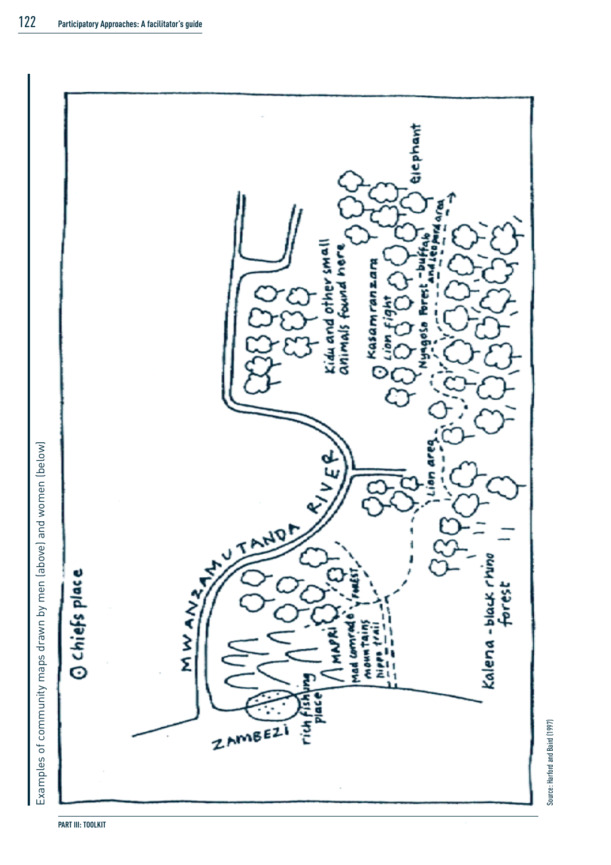

Source: Harford and Baird (1997)

Source: Harford and Baird (1997)

Examples of community maps drawn by men (above) and women (below) Examples of community maps drawn by men (above) and women (below)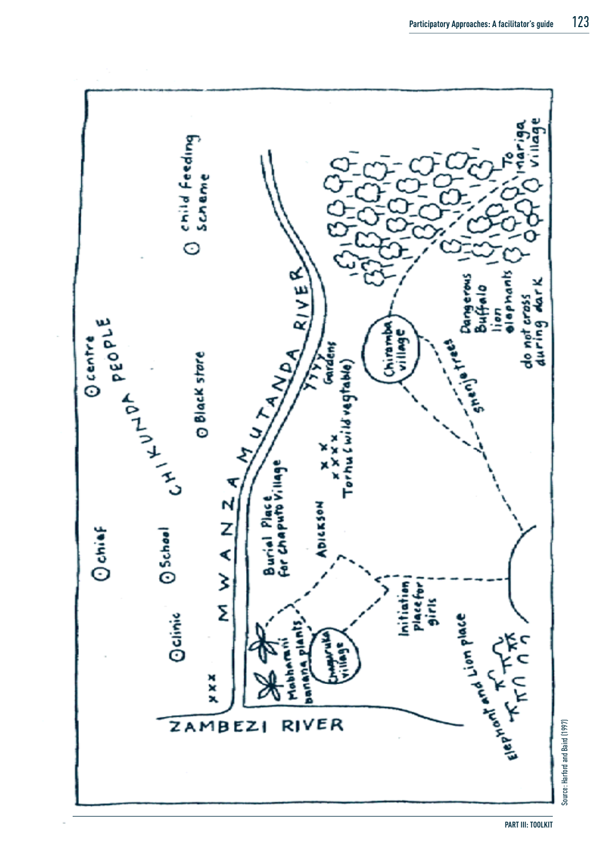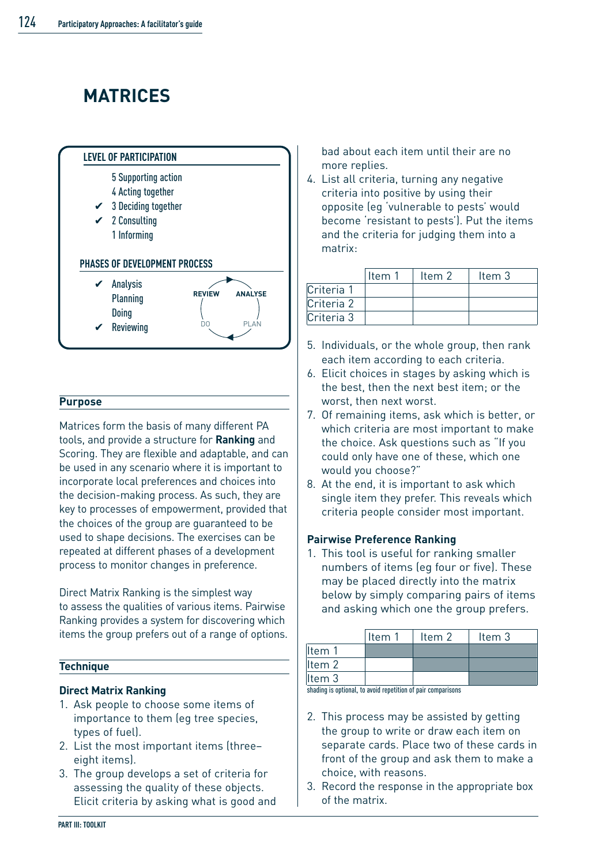# **MATRICES**



#### **Purpose**

Matrices form the basis of many different PA tools, and provide a structure for **Ranking** and Scoring. They are flexible and adaptable, and can be used in any scenario where it is important to incorporate local preferences and choices into the decision-making process. As such, they are key to processes of empowerment, provided that the choices of the group are guaranteed to be used to shape decisions. The exercises can be repeated at different phases of a development process to monitor changes in preference.

Direct Matrix Ranking is the simplest way to assess the qualities of various items. Pairwise Ranking provides a system for discovering which items the group prefers out of a range of options.

#### **Technique**

#### **Direct Matrix Ranking**

- 1. Ask people to choose some items of importance to them (eg tree species, types of fuel).
- 2. List the most important items (three– eight items).
- 3. The group develops a set of criteria for assessing the quality of these objects. Elicit criteria by asking what is good and

bad about each item until their are no more replies.

4. List all criteria, turning any negative criteria into positive by using their opposite (eg 'vulnerable to pests' would become 'resistant to pests'). Put the items and the criteria for judging them into a matrix:

|            | ltem 1 | ltem 2 | Item 3 |
|------------|--------|--------|--------|
| Criteria 1 |        |        |        |
| Criteria 2 |        |        |        |
| Criteria 3 |        |        |        |

- 5. Individuals, or the whole group, then rank each item according to each criteria.
- 6. Elicit choices in stages by asking which is the best, then the next best item; or the worst, then next worst.
- 7. Of remaining items, ask which is better, or which criteria are most important to make the choice. Ask questions such as "If you could only have one of these, which one would you choose?"
- 8. At the end, it is important to ask which single item they prefer. This reveals which criteria people consider most important.

#### **Pairwise Preference Ranking**

1. This tool is useful for ranking smaller numbers of items (eg four or five). These may be placed directly into the matrix below by simply comparing pairs of items and asking which one the group prefers.

|                                                             | ltem 1 | Item 2 | ltem 3 |  |  |  |  |  |
|-------------------------------------------------------------|--------|--------|--------|--|--|--|--|--|
| Item 1                                                      |        |        |        |  |  |  |  |  |
| Item 2                                                      |        |        |        |  |  |  |  |  |
| Item 3                                                      |        |        |        |  |  |  |  |  |
| sheding is entianal to quaid repatition of pair comportance |        |        |        |  |  |  |  |  |

shading is optional, to avoid repetition of pair comparisons

- 2. This process may be assisted by getting the group to write or draw each item on separate cards. Place two of these cards in front of the group and ask them to make a choice, with reasons.
- 3. Record the response in the appropriate box of the matrix.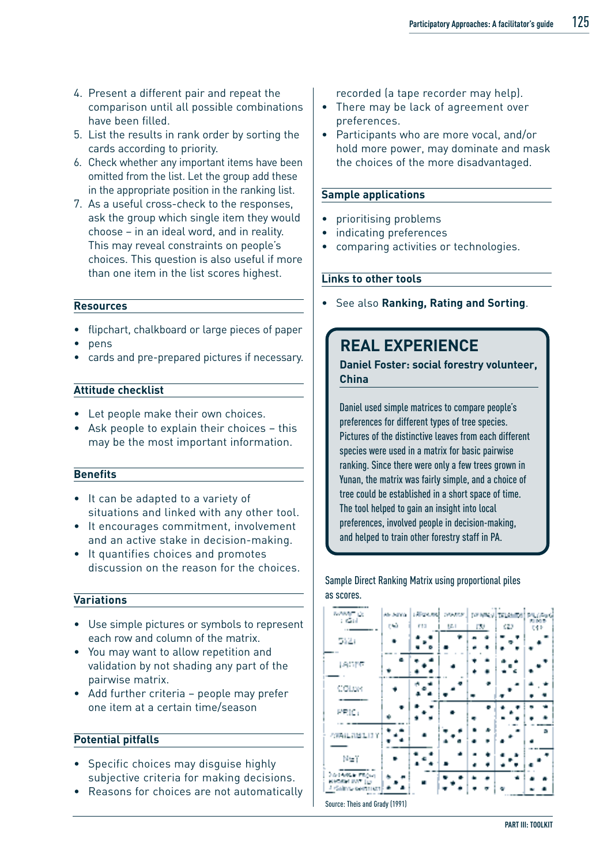- 4. Present a different pair and repeat the comparison until all possible combinations have been filled.
- 5. List the results in rank order by sorting the cards according to priority.
- 6. Check whether any important items have been omitted from the list. Let the group add these in the appropriate position in the ranking list.
- 7. As a useful cross-check to the responses, ask the group which single item they would choose – in an ideal word, and in reality. This may reveal constraints on people's choices. This question is also useful if more than one item in the list scores highest.

#### **Resources**

- flipchart, chalkboard or large pieces of paper
- pens
- cards and pre-prepared pictures if necessary.

#### **Attitude checklist**

- Let people make their own choices.
- Ask people to explain their choices this may be the most important information.

#### **Benefits**

- It can be adapted to a variety of situations and linked with any other tool.
- It encourages commitment, involvement and an active stake in decision-making.
- It quantifies choices and promotes discussion on the reason for the choices.

#### **Variations**

- Use simple pictures or symbols to represent each row and column of the matrix.
- You may want to allow repetition and validation by not shading any part of the pairwise matrix.
- Add further criteria people may prefer one item at a certain time/season

#### **Potential pitfalls**

- Specific choices may disguise highly subjective criteria for making decisions.
- Reasons for choices are not automatically

recorded (a tape recorder may help).

- There may be lack of agreement over preferences.
- Participants who are more vocal, and/or hold more power, may dominate and mask the choices of the more disadvantaged.

#### **Sample applications**

- prioritising problems
- indicating preferences
- comparing activities or technologies.

#### **Links to other tools**

• See also **Ranking, Rating and Sorting**.

### **REAL EXPERIENCE**

**Daniel Foster: social forestry volunteer, China**

Daniel used simple matrices to compare people's preferences for different types of tree species. Pictures of the distinctive leaves from each different species were used in a matrix for basic pairwise ranking. Since there were only a few trees grown in Yunan, the matrix was fairly simple, and a choice of tree could be established in a short space of time. The tool helped to gain an insight into local preferences, involved people in decision-making, and helped to train other forestry staff in PA.

Sample Direct Ranking Matrix using proportional piles as scores.

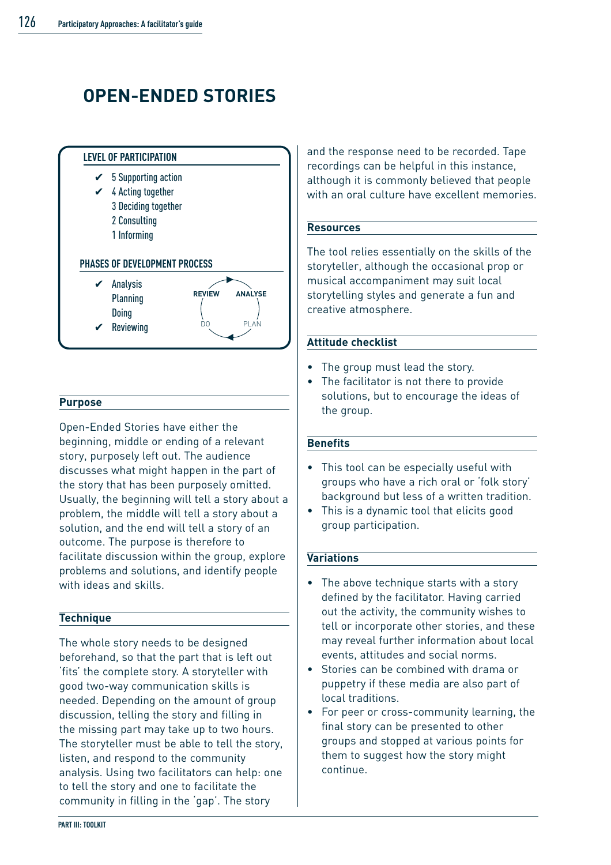# **OPEN-ENDED STORIES**



#### **Purpose**

Open-Ended Stories have either the beginning, middle or ending of a relevant story, purposely left out. The audience discusses what might happen in the part of the story that has been purposely omitted. Usually, the beginning will tell a story about a problem, the middle will tell a story about a solution, and the end will tell a story of an outcome. The purpose is therefore to facilitate discussion within the group, explore problems and solutions, and identify people with ideas and skills.

#### **Technique**

The whole story needs to be designed beforehand, so that the part that is left out 'fits' the complete story. A storyteller with good two-way communication skills is needed. Depending on the amount of group discussion, telling the story and filling in the missing part may take up to two hours. The storyteller must be able to tell the story, listen, and respond to the community analysis. Using two facilitators can help: one to tell the story and one to facilitate the community in filling in the 'gap'. The story

and the response need to be recorded. Tape recordings can be helpful in this instance, although it is commonly believed that people with an oral culture have excellent memories.

#### **Resources**

The tool relies essentially on the skills of the storyteller, although the occasional prop or musical accompaniment may suit local storytelling styles and generate a fun and creative atmosphere.

#### **Attitude checklist**

- The group must lead the story.
- The facilitator is not there to provide solutions, but to encourage the ideas of the group.

#### **Benefits**

- This tool can be especially useful with groups who have a rich oral or 'folk story' background but less of a written tradition.
- This is a dynamic tool that elicits good group participation.

#### **Variations**

- The above technique starts with a story defined by the facilitator. Having carried out the activity, the community wishes to tell or incorporate other stories, and these may reveal further information about local events, attitudes and social norms.
- Stories can be combined with drama or puppetry if these media are also part of local traditions.
- For peer or cross-community learning, the final story can be presented to other groups and stopped at various points for them to suggest how the story might continue.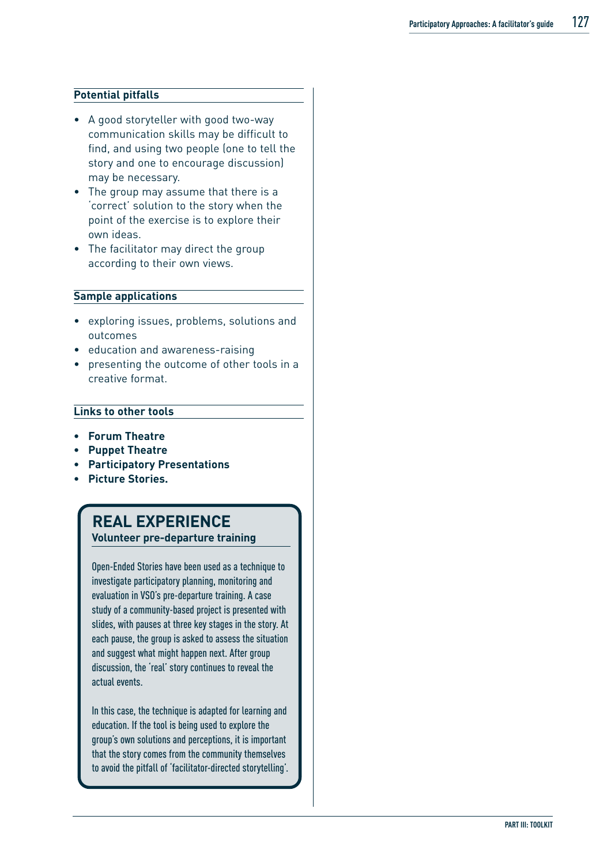#### **Potential pitfalls**

- A good storyteller with good two-way communication skills may be difficult to find, and using two people (one to tell the story and one to encourage discussion) may be necessary.
- The group may assume that there is a 'correct' solution to the story when the point of the exercise is to explore their own ideas.
- The facilitator may direct the group according to their own views.

#### **Sample applications**

- exploring issues, problems, solutions and outcomes
- education and awareness-raising
- presenting the outcome of other tools in a creative format.

#### **Links to other tools**

- **Forum Theatre**
- **• Puppet Theatre**
- **Participatory Presentations**
- **Picture Stories.**

### **REAL EXPERIENCE**

**Volunteer pre-departure training**

Open-Ended Stories have been used as a technique to investigate participatory planning, monitoring and evaluation in VSO's pre-departure training. A case study of a community-based project is presented with slides, with pauses at three key stages in the story. At each pause, the group is asked to assess the situation and suggest what might happen next. After group discussion, the 'real' story continues to reveal the actual events.

In this case, the technique is adapted for learning and education. If the tool is being used to explore the group's own solutions and perceptions, it is important that the story comes from the community themselves to avoid the pitfall of 'facilitator-directed storytelling'.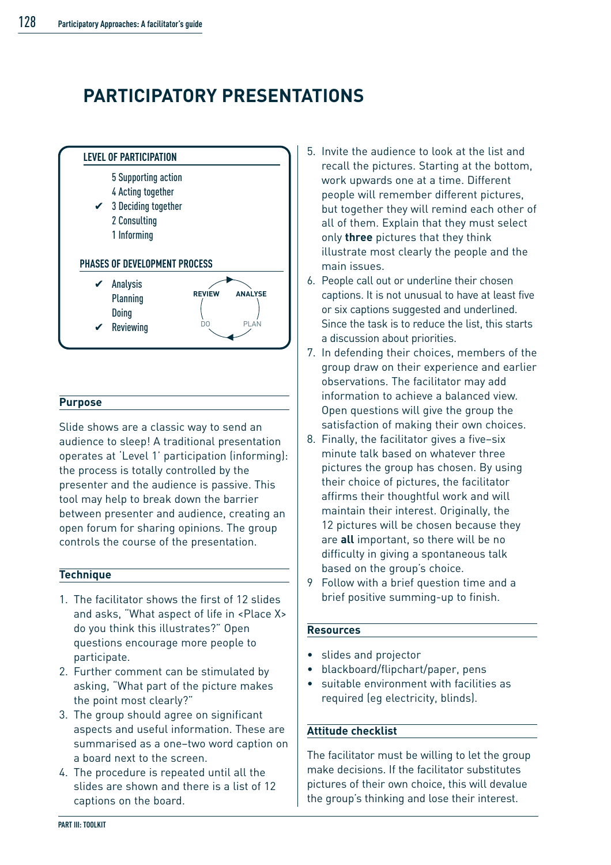### **PARTICIPATORY PRESENTATIONS**



#### **Purpose**

Slide shows are a classic way to send an audience to sleep! A traditional presentation operates at 'Level 1' participation (informing): the process is totally controlled by the presenter and the audience is passive. This tool may help to break down the barrier between presenter and audience, creating an open forum for sharing opinions. The group controls the course of the presentation.

#### **Technique**

- 1. The facilitator shows the first of 12 slides and asks, "What aspect of life in <Place X> do you think this illustrates?" Open questions encourage more people to participate.
- 2. Further comment can be stimulated by asking, "What part of the picture makes the point most clearly?"
- 3. The group should agree on significant aspects and useful information. These are summarised as a one–two word caption on a board next to the screen.
- 4. The procedure is repeated until all the slides are shown and there is a list of 12 captions on the board.
- 5. Invite the audience to look at the list and recall the pictures. Starting at the bottom, work upwards one at a time. Different people will remember different pictures, but together they will remind each other of all of them. Explain that they must select only **three** pictures that they think illustrate most clearly the people and the main issues.
- 6. People call out or underline their chosen captions. It is not unusual to have at least five or six captions suggested and underlined. Since the task is to reduce the list, this starts a discussion about priorities.
- 7. In defending their choices, members of the group draw on their experience and earlier observations. The facilitator may add information to achieve a balanced view. Open questions will give the group the satisfaction of making their own choices.
- 8. Finally, the facilitator gives a five–six minute talk based on whatever three pictures the group has chosen. By using their choice of pictures, the facilitator affirms their thoughtful work and will maintain their interest. Originally, the 12 pictures will be chosen because they are **all** important, so there will be no difficulty in giving a spontaneous talk based on the group's choice.
- 9 Follow with a brief question time and a brief positive summing-up to finish.

#### **Resources**

- slides and projector
- blackboard/flipchart/paper, pens
- suitable environment with facilities as required (eg electricity, blinds).

#### **Attitude checklist**

The facilitator must be willing to let the group make decisions. If the facilitator substitutes pictures of their own choice, this will devalue the group's thinking and lose their interest.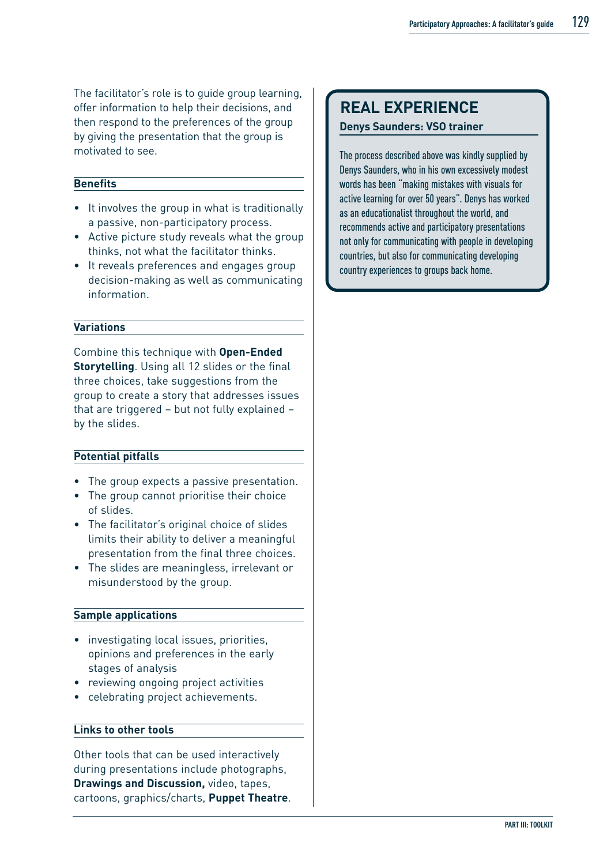The facilitator's role is to guide group learning, offer information to help their decisions, and then respond to the preferences of the group by giving the presentation that the group is motivated to see.

#### **Benefits**

- It involves the group in what is traditionally a passive, non-participatory process.
- Active picture study reveals what the group thinks, not what the facilitator thinks.
- It reveals preferences and engages group decision-making as well as communicating information.

#### **Variations**

Combine this technique with **Open-Ended Storytelling**. Using all 12 slides or the final three choices, take suggestions from the group to create a story that addresses issues that are triggered – but not fully explained – by the slides.

#### **Potential pitfalls**

- The group expects a passive presentation.
- The group cannot prioritise their choice of slides.
- The facilitator's original choice of slides limits their ability to deliver a meaningful presentation from the final three choices.
- The slides are meaningless, irrelevant or misunderstood by the group.

#### **Sample applications**

- investigating local issues, priorities, opinions and preferences in the early stages of analysis
- reviewing ongoing project activities
- celebrating project achievements.

#### **Links to other tools**

Other tools that can be used interactively during presentations include photographs, **Drawings and Discussion,** video, tapes, cartoons, graphics/charts, **Puppet Theatre**.

### **REAL EXPERIENCE**

**Denys Saunders: VSO trainer**

The process described above was kindly supplied by Denys Saunders, who in his own excessively modest words has been "making mistakes with visuals for active learning for over 50 years". Denys has worked as an educationalist throughout the world, and recommends active and participatory presentations not only for communicating with people in developing countries, but also for communicating developing country experiences to groups back home.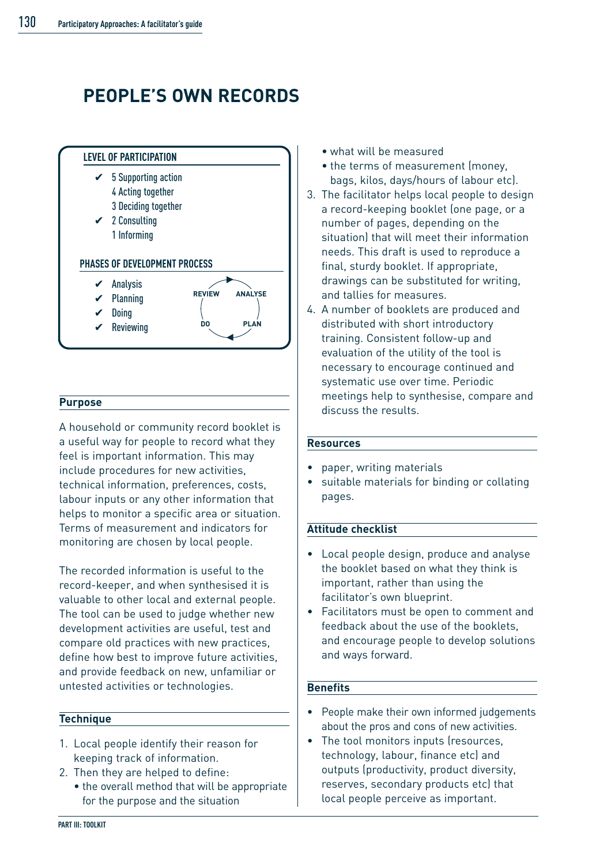## **PEOPLE'S OWN RECORDS**



#### **Purpose**

A household or community record booklet is a useful way for people to record what they feel is important information. This may include procedures for new activities, technical information, preferences, costs, labour inputs or any other information that helps to monitor a specific area or situation. Terms of measurement and indicators for monitoring are chosen by local people.

The recorded information is useful to the record-keeper, and when synthesised it is valuable to other local and external people. The tool can be used to judge whether new development activities are useful, test and compare old practices with new practices, define how best to improve future activities, and provide feedback on new, unfamiliar or untested activities or technologies.

#### **Technique**

- 1. Local people identify their reason for keeping track of information.
- 2. Then they are helped to define:
- the overall method that will be appropriate for the purpose and the situation
- what will be measured
- the terms of measurement (money, bags, kilos, days/hours of labour etc).
- 3. The facilitator helps local people to design a record-keeping booklet (one page, or a number of pages, depending on the situation) that will meet their information needs. This draft is used to reproduce a final, sturdy booklet. If appropriate, drawings can be substituted for writing, and tallies for measures.
- 4. A number of booklets are produced and distributed with short introductory training. Consistent follow-up and evaluation of the utility of the tool is necessary to encourage continued and systematic use over time. Periodic meetings help to synthesise, compare and discuss the results.

#### **Resources**

- paper, writing materials
- suitable materials for binding or collating pages.

#### **Attitude checklist**

- Local people design, produce and analyse the booklet based on what they think is important, rather than using the facilitator's own blueprint.
- Facilitators must be open to comment and feedback about the use of the booklets and encourage people to develop solutions and ways forward.

#### **Benefits**

- People make their own informed judgements about the pros and cons of new activities.
- The tool monitors inputs (resources, technology, labour, finance etc) and outputs (productivity, product diversity, reserves, secondary products etc) that local people perceive as important.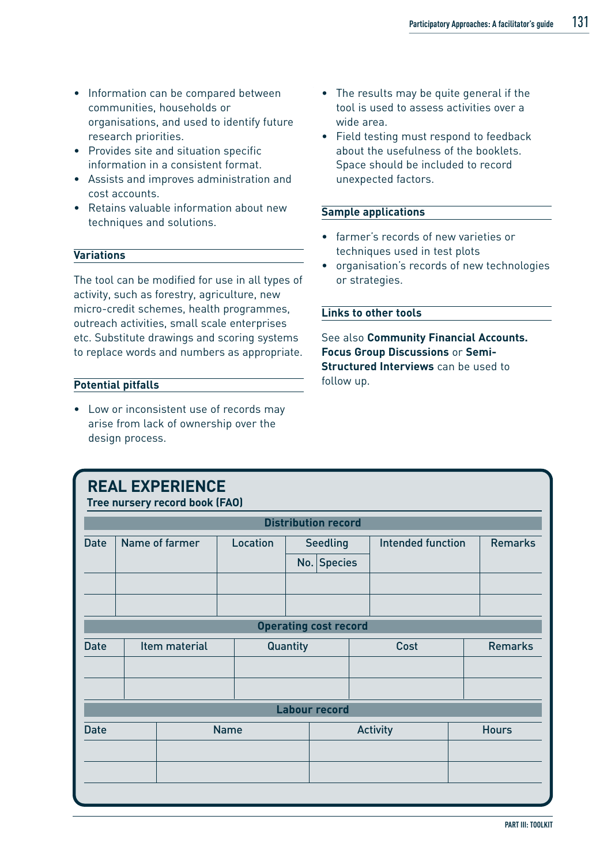- Information can be compared between communities, households or organisations, and used to identify future research priorities.
- Provides site and situation specific information in a consistent format.
- Assists and improves administration and cost accounts.
- Retains valuable information about new techniques and solutions.

#### **Variations**

The tool can be modified for use in all types of activity, such as forestry, agriculture, new micro-credit schemes, health programmes, outreach activities, small scale enterprises etc. Substitute drawings and scoring systems to replace words and numbers as appropriate.

#### **Potential pitfalls**

• Low or inconsistent use of records may arise from lack of ownership over the design process.

- The results may be quite general if the tool is used to assess activities over a wide area.
- Field testing must respond to feedback about the usefulness of the booklets. Space should be included to record unexpected factors.

#### **Sample applications**

- farmer's records of new varieties or techniques used in test plots
- organisation's records of new technologies or strategies.

#### **Links to other tools**

See also **Community Financial Accounts. Focus Group Discussions** or **Semi-Structured Interviews** can be used to follow up.

|                            | <b>REAL EXPERIENCE</b><br>Tree nursery record book (FAO) |                |          |          |                              |  |                          |  |                |  |
|----------------------------|----------------------------------------------------------|----------------|----------|----------|------------------------------|--|--------------------------|--|----------------|--|
|                            |                                                          |                |          |          | <b>Distribution record</b>   |  |                          |  |                |  |
| <b>Date</b>                |                                                          | Name of farmer | Location |          | <b>Seedling</b>              |  | <b>Intended function</b> |  | <b>Remarks</b> |  |
|                            |                                                          |                |          |          | No. Species                  |  |                          |  |                |  |
|                            |                                                          |                |          |          |                              |  |                          |  |                |  |
|                            |                                                          |                |          |          |                              |  |                          |  |                |  |
|                            |                                                          |                |          |          | <b>Operating cost record</b> |  |                          |  |                |  |
| <b>Date</b>                |                                                          | Item material  |          | Quantity |                              |  | Cost                     |  | <b>Remarks</b> |  |
|                            |                                                          |                |          |          |                              |  |                          |  |                |  |
|                            |                                                          |                |          |          |                              |  |                          |  |                |  |
| <b>Labour record</b>       |                                                          |                |          |          |                              |  |                          |  |                |  |
| <b>Name</b><br><b>Date</b> |                                                          |                |          |          |                              |  | <b>Activity</b>          |  | <b>Hours</b>   |  |
|                            |                                                          |                |          |          |                              |  |                          |  |                |  |
|                            |                                                          |                |          |          |                              |  |                          |  |                |  |
|                            |                                                          |                |          |          |                              |  |                          |  |                |  |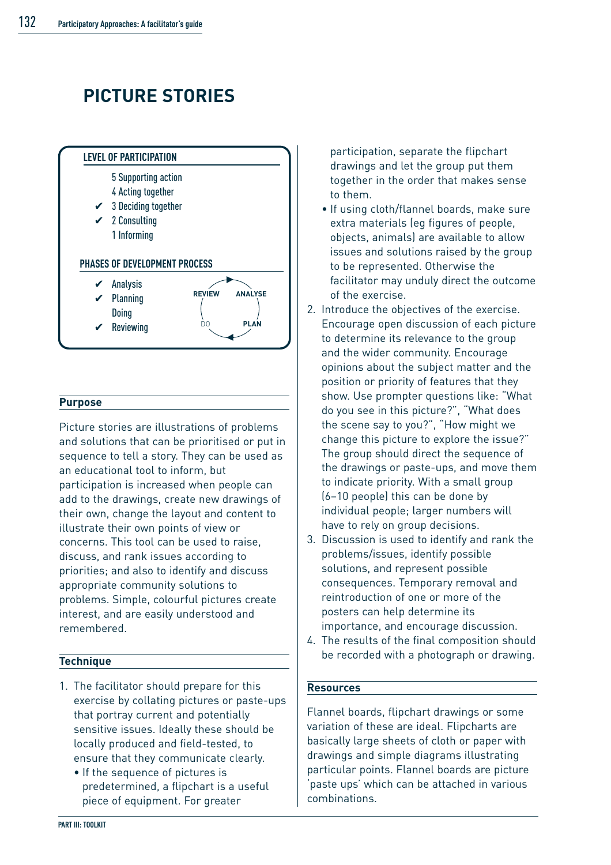# **PICTURE STORIES**



#### **Purpose**

Picture stories are illustrations of problems and solutions that can be prioritised or put in sequence to tell a story. They can be used as an educational tool to inform, but participation is increased when people can add to the drawings, create new drawings of their own, change the layout and content to illustrate their own points of view or concerns. This tool can be used to raise, discuss, and rank issues according to priorities; and also to identify and discuss appropriate community solutions to problems. Simple, colourful pictures create interest, and are easily understood and remembered.

#### **Technique**

- 1. The facilitator should prepare for this exercise by collating pictures or paste-ups that portray current and potentially sensitive issues. Ideally these should be locally produced and field-tested, to ensure that they communicate clearly.
	- If the sequence of pictures is predetermined, a flipchart is a useful piece of equipment. For greater

participation, separate the flipchart drawings and let the group put them together in the order that makes sense to them.

- If using cloth/flannel boards, make sure extra materials (eg figures of people, objects, animals) are available to allow issues and solutions raised by the group to be represented. Otherwise the facilitator may unduly direct the outcome of the exercise.
- 2. Introduce the objectives of the exercise. Encourage open discussion of each picture to determine its relevance to the group and the wider community. Encourage opinions about the subject matter and the position or priority of features that they show. Use prompter questions like: "What do you see in this picture?", "What does the scene say to you?", "How might we change this picture to explore the issue?" The group should direct the sequence of the drawings or paste-ups, and move them to indicate priority. With a small group (6–10 people) this can be done by individual people; larger numbers will have to rely on group decisions.
- 3. Discussion is used to identify and rank the problems/issues, identify possible solutions, and represent possible consequences. Temporary removal and reintroduction of one or more of the posters can help determine its importance, and encourage discussion.
- 4. The results of the final composition should be recorded with a photograph or drawing.

#### **Resources**

Flannel boards, flipchart drawings or some variation of these are ideal. Flipcharts are basically large sheets of cloth or paper with drawings and simple diagrams illustrating particular points. Flannel boards are picture 'paste ups' which can be attached in various combinations.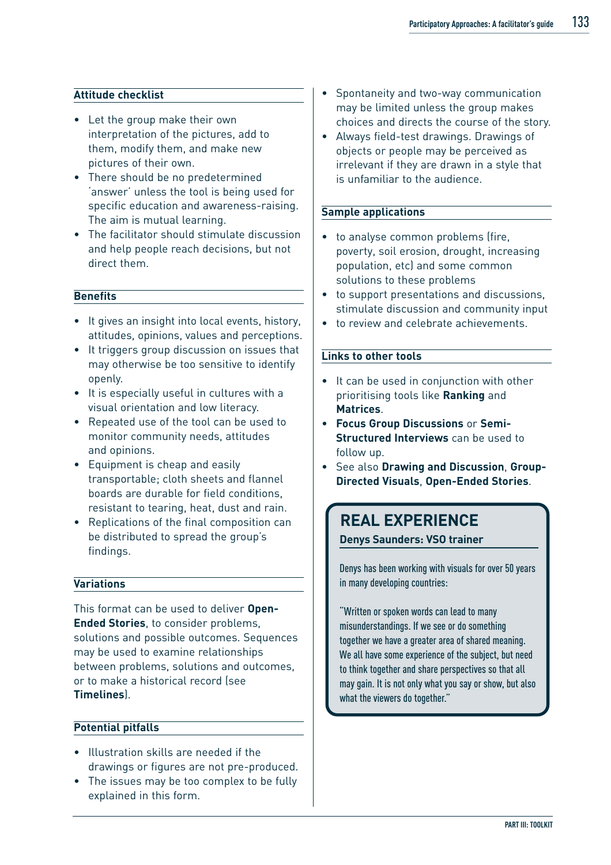#### **Attitude checklist**

- Let the group make their own interpretation of the pictures, add to them, modify them, and make new pictures of their own.
- There should be no predetermined 'answer' unless the tool is being used for specific education and awareness-raising. The aim is mutual learning.
- The facilitator should stimulate discussion and help people reach decisions, but not direct them.

#### **Benefits**

- It gives an insight into local events, history, attitudes, opinions, values and perceptions.
- It triggers group discussion on issues that may otherwise be too sensitive to identify openly.
- It is especially useful in cultures with a visual orientation and low literacy.
- Repeated use of the tool can be used to monitor community needs, attitudes and opinions.
- Equipment is cheap and easily transportable; cloth sheets and flannel boards are durable for field conditions, resistant to tearing, heat, dust and rain.
- Replications of the final composition can be distributed to spread the group's findings.

#### **Variations**

This format can be used to deliver **Open-Ended Stories**, to consider problems, solutions and possible outcomes. Sequences may be used to examine relationships between problems, solutions and outcomes, or to make a historical record (see **Timelines**).

#### **Potential pitfalls**

- Illustration skills are needed if the drawings or figures are not pre-produced.
- The issues may be too complex to be fully explained in this form.
- Spontaneity and two-way communication may be limited unless the group makes choices and directs the course of the story.
- Always field-test drawings. Drawings of objects or people may be perceived as irrelevant if they are drawn in a style that is unfamiliar to the audience.

#### **Sample applications**

- to analyse common problems (fire, poverty, soil erosion, drought, increasing population, etc) and some common solutions to these problems
- to support presentations and discussions, stimulate discussion and community input
- to review and celebrate achievements.

#### **Links to other tools**

- It can be used in conjunction with other prioritising tools like **Ranking** and **Matrices**.
- **Focus Group Discussions** or **Semi-Structured Interviews** can be used to follow up.
- See also **Drawing and Discussion**, **Group-Directed Visuals**, **Open-Ended Stories**.

### **REAL EXPERIENCE**

**Denys Saunders: VSO trainer**

Denys has been working with visuals for over 50 years in many developing countries:

"Written or spoken words can lead to many misunderstandings. If we see or do something together we have a greater area of shared meaning. We all have some experience of the subject, but need to think together and share perspectives so that all may gain. It is not only what you say or show, but also what the viewers do together."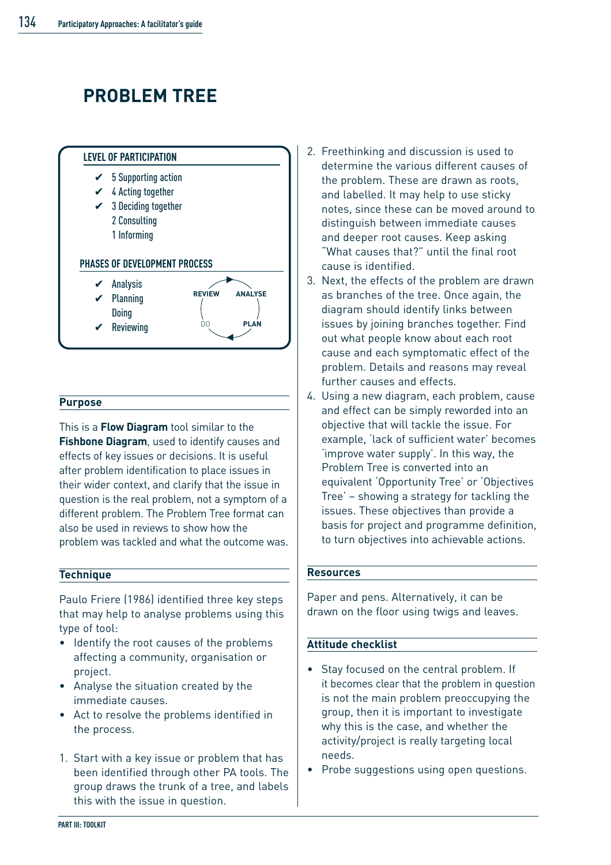# **PROBLEM TREE**



#### **Purpose**

This is a **Flow Diagram** tool similar to the **Fishbone Diagram**, used to identify causes and effects of key issues or decisions. It is useful after problem identification to place issues in their wider context, and clarify that the issue in question is the real problem, not a symptom of a different problem. The Problem Tree format can also be used in reviews to show how the problem was tackled and what the outcome was.

#### **Technique**

Paulo Friere (1986) identified three key steps that may help to analyse problems using this type of tool:

- Identify the root causes of the problems affecting a community, organisation or project.
- Analyse the situation created by the immediate causes.
- Act to resolve the problems identified in the process.
- 1. Start with a key issue or problem that has been identified through other PA tools. The group draws the trunk of a tree, and labels this with the issue in question.
- 2. Freethinking and discussion is used to determine the various different causes of the problem. These are drawn as roots, and labelled. It may help to use sticky notes, since these can be moved around to distinguish between immediate causes and deeper root causes. Keep asking "What causes that?" until the final root cause is identified.
- 3. Next, the effects of the problem are drawn as branches of the tree. Once again, the diagram should identify links between issues by joining branches together. Find out what people know about each root cause and each symptomatic effect of the problem. Details and reasons may reveal further causes and effects.
- 4. Using a new diagram, each problem, cause and effect can be simply reworded into an objective that will tackle the issue. For example, 'lack of sufficient water' becomes 'improve water supply'. In this way, the Problem Tree is converted into an equivalent 'Opportunity Tree' or 'Objectives Tree' – showing a strategy for tackling the issues. These objectives than provide a basis for project and programme definition, to turn objectives into achievable actions.

#### **Resources**

Paper and pens. Alternatively, it can be drawn on the floor using twigs and leaves.

#### **Attitude checklist**

- Stay focused on the central problem. If it becomes clear that the problem in question is not the main problem preoccupying the group, then it is important to investigate why this is the case, and whether the activity/project is really targeting local needs.
- Probe suggestions using open questions.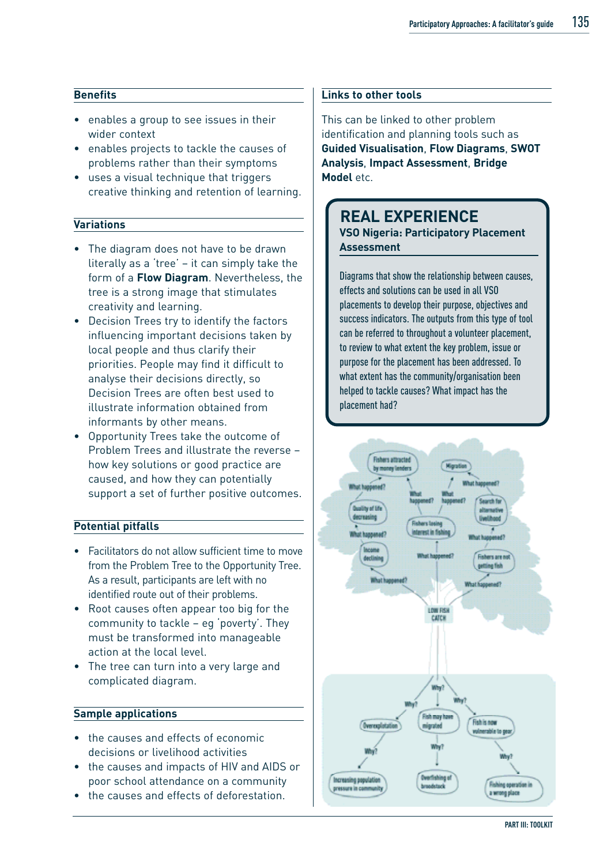#### **Benefits**

- enables a group to see issues in their wider context
- enables projects to tackle the causes of problems rather than their symptoms
- uses a visual technique that triggers creative thinking and retention of learning.

#### **Variations**

- The diagram does not have to be drawn literally as a 'tree' – it can simply take the form of a **Flow Diagram**. Nevertheless, the tree is a strong image that stimulates creativity and learning.
- Decision Trees try to identify the factors influencing important decisions taken by local people and thus clarify their priorities. People may find it difficult to analyse their decisions directly, so Decision Trees are often best used to illustrate information obtained from informants by other means.
- Opportunity Trees take the outcome of Problem Trees and illustrate the reverse – how key solutions or good practice are caused, and how they can potentially support a set of further positive outcomes.

#### **Potential pitfalls**

- Facilitators do not allow sufficient time to move from the Problem Tree to the Opportunity Tree. As a result, participants are left with no identified route out of their problems.
- Root causes often appear too big for the community to tackle – eg 'poverty'. They must be transformed into manageable action at the local level.
- The tree can turn into a very large and complicated diagram.

#### **Sample applications**

- the causes and effects of economic decisions or livelihood activities
- the causes and impacts of HIV and AIDS or poor school attendance on a community
- the causes and effects of deforestation.

#### **Links to other tools**

This can be linked to other problem identification and planning tools such as **Guided Visualisation**, **Flow Diagrams**, **SWOT Analysis**, **Impact Assessment**, **Bridge Model** etc.

### **REAL EXPERIENCE**

**VSO Nigeria: Participatory Placement Assessment**

Diagrams that show the relationship between causes, effects and solutions can be used in all VSO placements to develop their purpose, objectives and success indicators. The outputs from this type of tool can be referred to throughout a volunteer placement, to review to what extent the key problem, issue or purpose for the placement has been addressed. To what extent has the community/organisation been helped to tackle causes? What impact has the placement had?

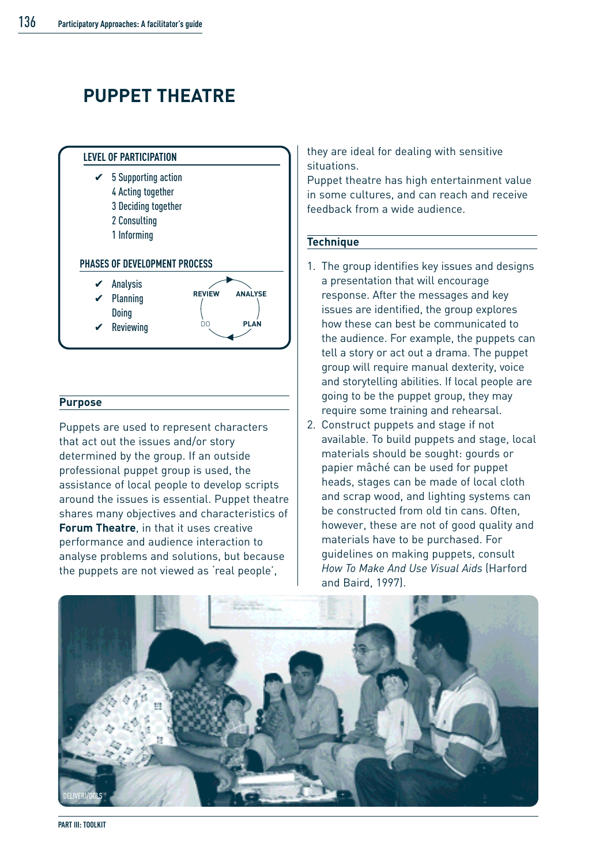## **PUPPET THEATRE**



#### **Purpose**

Puppets are used to represent characters that act out the issues and/or story determined by the group. If an outside professional puppet group is used, the assistance of local people to develop scripts around the issues is essential. Puppet theatre shares many objectives and characteristics of **Forum Theatre**, in that it uses creative performance and audience interaction to analyse problems and solutions, but because the puppets are not viewed as 'real people',

they are ideal for dealing with sensitive situations.

Puppet theatre has high entertainment value in some cultures, and can reach and receive feedback from a wide audience.

#### **Technique**

- 1. The group identifies key issues and designs a presentation that will encourage response. After the messages and key issues are identified, the group explores how these can best be communicated to the audience. For example, the puppets can tell a story or act out a drama. The puppet group will require manual dexterity, voice and storytelling abilities. If local people are going to be the puppet group, they may require some training and rehearsal.
- 2. Construct puppets and stage if not available. To build puppets and stage, local materials should be sought: gourds or papier mâché can be used for puppet heads, stages can be made of local cloth and scrap wood, and lighting systems can be constructed from old tin cans. Often, however, these are not of good quality and materials have to be purchased. For guidelines on making puppets, consult *How To Make And Use Visual Aids* (Harford and Baird, 1997).



**PART III: TOOLKIT**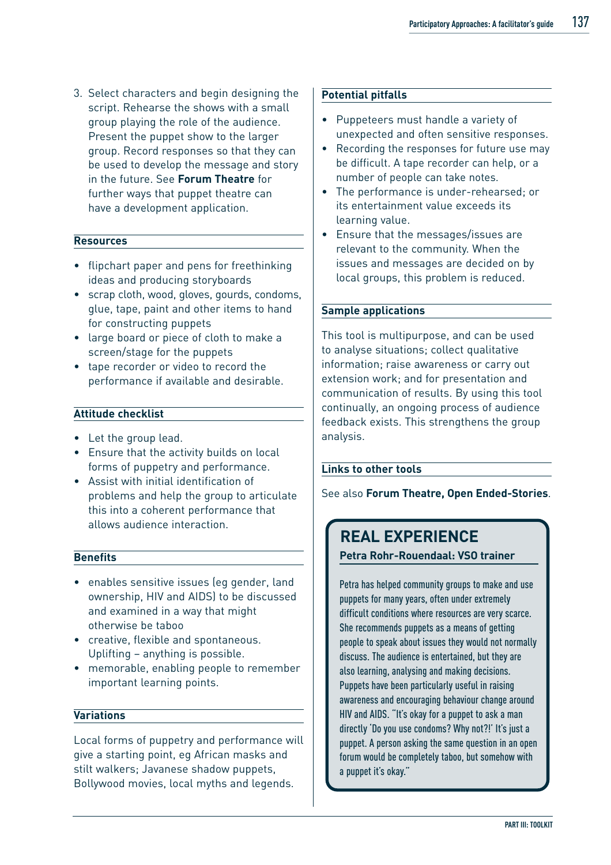3. Select characters and begin designing the script. Rehearse the shows with a small group playing the role of the audience. Present the puppet show to the larger group. Record responses so that they can be used to develop the message and story in the future. See **Forum Theatre** for further ways that puppet theatre can have a development application.

#### **Resources**

- flipchart paper and pens for freethinking ideas and producing storyboards
- scrap cloth, wood, gloves, gourds, condoms, glue, tape, paint and other items to hand for constructing puppets
- large board or piece of cloth to make a screen/stage for the puppets
- tape recorder or video to record the performance if available and desirable.

#### **Attitude checklist**

- Let the group lead.
- Ensure that the activity builds on local forms of puppetry and performance.
- Assist with initial identification of problems and help the group to articulate this into a coherent performance that allows audience interaction.

#### **Benefits**

- enables sensitive issues (eg gender, land ownership, HIV and AIDS) to be discussed and examined in a way that might otherwise be taboo
- creative, flexible and spontaneous. Uplifting – anything is possible.
- memorable, enabling people to remember important learning points.

#### **Variations**

Local forms of puppetry and performance will give a starting point, eg African masks and stilt walkers; Javanese shadow puppets, Bollywood movies, local myths and legends.

#### **Potential pitfalls**

- Puppeteers must handle a variety of unexpected and often sensitive responses.
- Recording the responses for future use may be difficult. A tape recorder can help, or a number of people can take notes.
- The performance is under-rehearsed; or its entertainment value exceeds its learning value.
- Ensure that the messages/issues are relevant to the community. When the issues and messages are decided on by local groups, this problem is reduced.

#### **Sample applications**

This tool is multipurpose, and can be used to analyse situations; collect qualitative information; raise awareness or carry out extension work; and for presentation and communication of results. By using this tool continually, an ongoing process of audience feedback exists. This strengthens the group analysis.

#### **Links to other tools**

See also **Forum Theatre, Open Ended-Stories**.

### **REAL EXPERIENCE**

**Petra Rohr-Rouendaal: VSO trainer**

Petra has helped community groups to make and use puppets for many years, often under extremely difficult conditions where resources are very scarce. She recommends puppets as a means of getting people to speak about issues they would not normally discuss. The audience is entertained, but they are also learning, analysing and making decisions. Puppets have been particularly useful in raising awareness and encouraging behaviour change around HIV and AIDS. "It's okay for a puppet to ask a man directly 'Do you use condoms? Why not?!' It's just a puppet. A person asking the same question in an open forum would be completely taboo, but somehow with a puppet it's okay."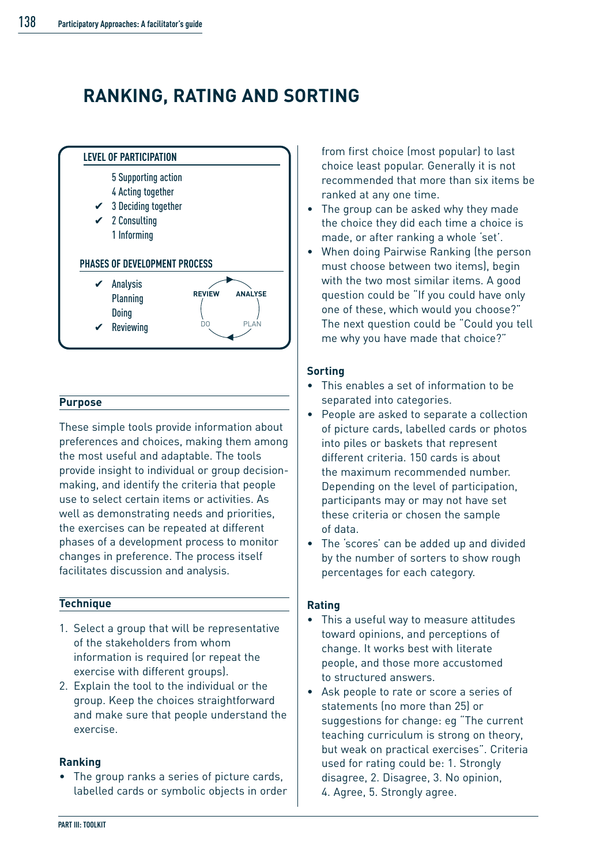## **RANKING, RATING AND SORTING**



#### **Purpose**

These simple tools provide information about preferences and choices, making them among the most useful and adaptable. The tools provide insight to individual or group decisionmaking, and identify the criteria that people use to select certain items or activities. As well as demonstrating needs and priorities, the exercises can be repeated at different phases of a development process to monitor changes in preference. The process itself facilitates discussion and analysis.

#### **Technique**

- 1. Select a group that will be representative of the stakeholders from whom information is required (or repeat the exercise with different groups).
- 2. Explain the tool to the individual or the group. Keep the choices straightforward and make sure that people understand the exercise.

#### **Ranking**

• The group ranks a series of picture cards, labelled cards or symbolic objects in order

from first choice (most popular) to last choice least popular. Generally it is not recommended that more than six items be ranked at any one time.

- The group can be asked why they made the choice they did each time a choice is made, or after ranking a whole 'set'.
- When doing Pairwise Ranking (the person must choose between two items), begin with the two most similar items. A good question could be "If you could have only one of these, which would you choose?" The next question could be "Could you tell me why you have made that choice?"

#### **Sorting**

- This enables a set of information to be separated into categories.
- People are asked to separate a collection of picture cards, labelled cards or photos into piles or baskets that represent different criteria. 150 cards is about the maximum recommended number. Depending on the level of participation, participants may or may not have set these criteria or chosen the sample of data.
- The 'scores' can be added up and divided by the number of sorters to show rough percentages for each category.

#### **Rating**

- This a useful way to measure attitudes toward opinions, and perceptions of change. It works best with literate people, and those more accustomed to structured answers.
- Ask people to rate or score a series of statements (no more than 25) or suggestions for change: eg "The current teaching curriculum is strong on theory, but weak on practical exercises". Criteria used for rating could be: 1. Strongly disagree, 2. Disagree, 3. No opinion, 4. Agree, 5. Strongly agree.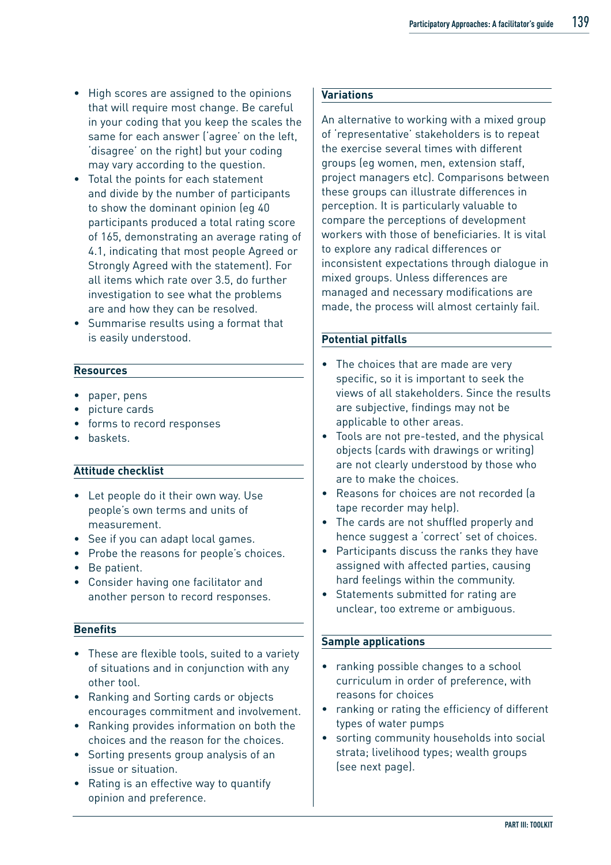- High scores are assigned to the opinions that will require most change. Be careful in your coding that you keep the scales the same for each answer ('agree' on the left, 'disagree' on the right) but your coding may vary according to the question.
- Total the points for each statement and divide by the number of participants to show the dominant opinion (eg 40 participants produced a total rating score of 165, demonstrating an average rating of 4.1, indicating that most people Agreed or Strongly Agreed with the statement). For all items which rate over 3.5, do further investigation to see what the problems are and how they can be resolved.
- Summarise results using a format that is easily understood.

#### **Resources**

- paper, pens
- picture cards
- forms to record responses
- baskets.

#### **Attitude checklist**

- Let people do it their own way. Use people's own terms and units of measurement.
- See if you can adapt local games.
- Probe the reasons for people's choices.
- Be patient.
- Consider having one facilitator and another person to record responses.

#### **Benefits**

- These are flexible tools, suited to a variety of situations and in conjunction with any other tool.
- Ranking and Sorting cards or objects encourages commitment and involvement.
- Ranking provides information on both the choices and the reason for the choices.
- Sorting presents group analysis of an issue or situation.
- Rating is an effective way to quantify opinion and preference.

#### **Variations**

An alternative to working with a mixed group of 'representative' stakeholders is to repeat the exercise several times with different groups (eg women, men, extension staff, project managers etc). Comparisons between these groups can illustrate differences in perception. It is particularly valuable to compare the perceptions of development workers with those of beneficiaries. It is vital to explore any radical differences or inconsistent expectations through dialogue in mixed groups. Unless differences are managed and necessary modifications are made, the process will almost certainly fail.

#### **Potential pitfalls**

- The choices that are made are very specific, so it is important to seek the views of all stakeholders. Since the results are subjective, findings may not be applicable to other areas.
- Tools are not pre-tested, and the physical objects (cards with drawings or writing) are not clearly understood by those who are to make the choices.
- Reasons for choices are not recorded (a tape recorder may help).
- The cards are not shuffled properly and hence suggest a 'correct' set of choices.
- Participants discuss the ranks they have assigned with affected parties, causing hard feelings within the community.
- Statements submitted for rating are unclear, too extreme or ambiguous.

#### **Sample applications**

- ranking possible changes to a school curriculum in order of preference, with reasons for choices
- ranking or rating the efficiency of different types of water pumps
- sorting community households into social strata; livelihood types; wealth groups (see next page).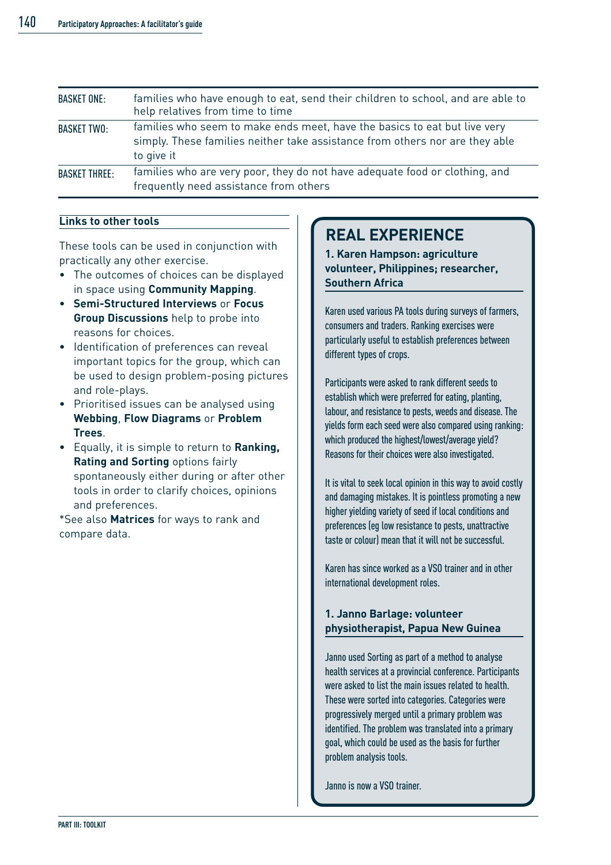| <b>BASKET ONE:</b>   | families who have enough to eat, send their children to school, and are able to<br>help relatives from time to time                                                     |
|----------------------|-------------------------------------------------------------------------------------------------------------------------------------------------------------------------|
| <b>BASKET TWO:</b>   | families who seem to make ends meet, have the basics to eat but live very<br>simply. These families neither take assistance from others nor are they able<br>to give it |
| <b>BASKET THREE:</b> | families who are very poor, they do not have adequate food or clothing, and<br>frequently need assistance from others                                                   |

#### **Links to other tools**

These tools can be used in conjunction with practically any other exercise.

- The outcomes of choices can be displayed in space using **Community Mapping**.
- **Semi-Structured Interviews** or **Focus Group Discussions** help to probe into reasons for choices.
- Identification of preferences can reveal important topics for the group, which can be used to design problem-posing pictures and role-plays.
- Prioritised issues can be analysed using **Webbing**, **Flow Diagrams** or **Problem Trees**.
- Equally, it is simple to return to **Ranking, Rating and Sorting** options fairly spontaneously either during or after other tools in order to clarify choices, opinions and preferences.

\*See also **Matrices** for ways to rank and compare data.

### **REAL EXPERIENCE**

**1. Karen Hampson: agriculture volunteer, Philippines; researcher, Southern Africa**

Karen used various PA tools during surveys of farmers, consumers and traders. Ranking exercises were particularly useful to establish preferences between different types of crops.

Participants were asked to rank different seeds to establish which were preferred for eating, planting, labour, and resistance to pests, weeds and disease. The yields form each seed were also compared using ranking: which produced the highest/lowest/average yield? Reasons for their choices were also investigated.

It is vital to seek local opinion in this way to avoid costly and damaging mistakes. It is pointless promoting a new higher yielding variety of seed if local conditions and preferences (eg low resistance to pests, unattractive taste or colour) mean that it will not be successful.

Karen has since worked as a VSO trainer and in other international development roles.

#### **1. Janno Barlage: volunteer physiotherapist, Papua New Guinea**

Janno used Sorting as part of a method to analyse health services at a provincial conference. Participants were asked to list the main issues related to health. These were sorted into categories. Categories were progressively merged until a primary problem was identified. The problem was translated into a primary goal, which could be used as the basis for further problem analysis tools.

Janno is now a VSO trainer.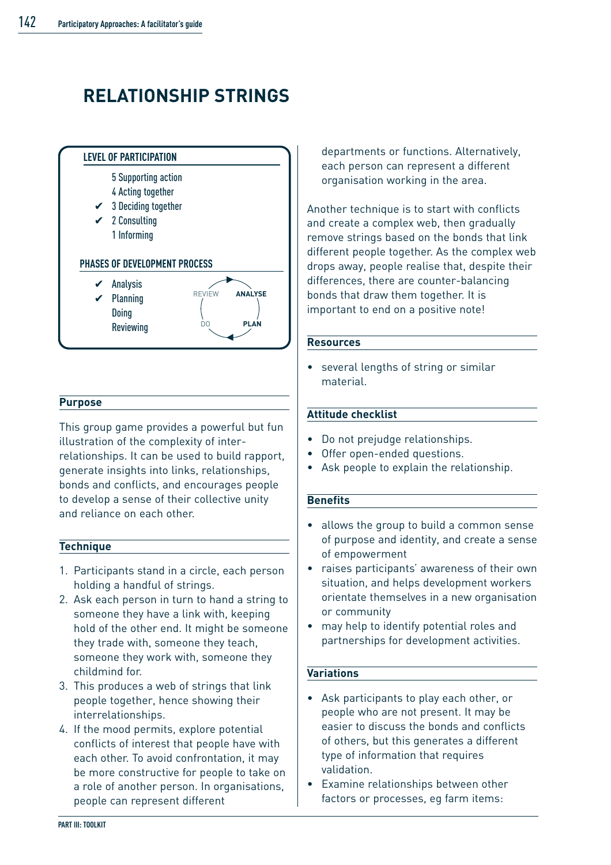# **RELATIONSHIP STRINGS**



#### **Purpose**

This group game provides a powerful but fun illustration of the complexity of interrelationships. It can be used to build rapport, generate insights into links, relationships, bonds and conflicts, and encourages people to develop a sense of their collective unity and reliance on each other.

#### **Technique**

- 1. Participants stand in a circle, each person holding a handful of strings.
- 2. Ask each person in turn to hand a string to someone they have a link with, keeping hold of the other end. It might be someone they trade with, someone they teach, someone they work with, someone they childmind for.
- 3. This produces a web of strings that link people together, hence showing their interrelationships.
- 4. If the mood permits, explore potential conflicts of interest that people have with each other. To avoid confrontation, it may be more constructive for people to take on a role of another person. In organisations, people can represent different

departments or functions. Alternatively, each person can represent a different organisation working in the area.

Another technique is to start with conflicts and create a complex web, then gradually remove strings based on the bonds that link different people together. As the complex web drops away, people realise that, despite their differences, there are counter-balancing bonds that draw them together. It is important to end on a positive note!

#### **Resources**

several lengths of string or similar material.

#### **Attitude checklist**

- Do not prejudge relationships.
- Offer open-ended questions.
- Ask people to explain the relationship.

#### **Benefits**

- allows the group to build a common sense of purpose and identity, and create a sense of empowerment
- raises participants' awareness of their own situation, and helps development workers orientate themselves in a new organisation or community
- may help to identify potential roles and partnerships for development activities.

#### **Variations**

- Ask participants to play each other, or people who are not present. It may be easier to discuss the bonds and conflicts of others, but this generates a different type of information that requires validation.
- Examine relationships between other factors or processes, eg farm items: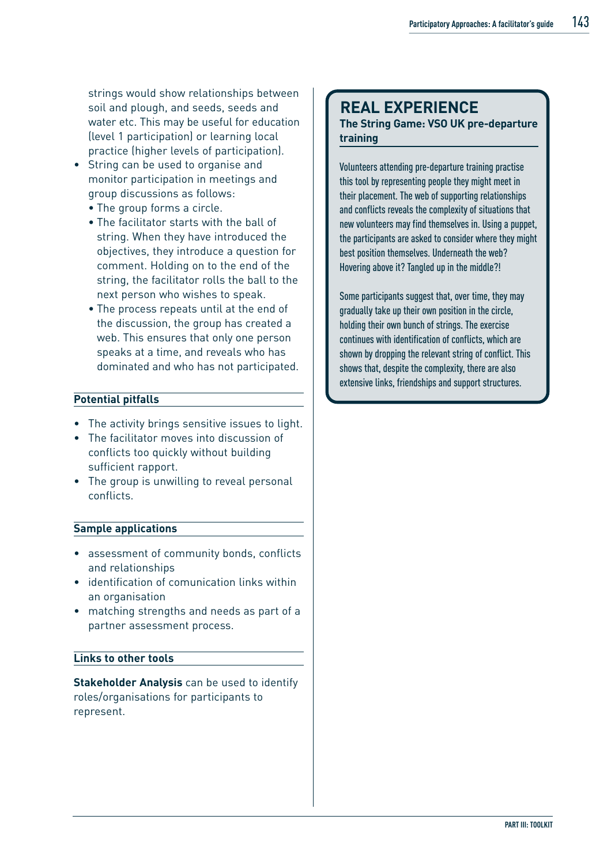strings would show relationships between soil and plough, and seeds, seeds and water etc. This may be useful for education (level 1 participation) or learning local practice (higher levels of participation).

- String can be used to organise and monitor participation in meetings and group discussions as follows:
	- The group forms a circle.
	- The facilitator starts with the ball of string. When they have introduced the objectives, they introduce a question for comment. Holding on to the end of the string, the facilitator rolls the ball to the next person who wishes to speak.
	- The process repeats until at the end of the discussion, the group has created a web. This ensures that only one person speaks at a time, and reveals who has dominated and who has not participated.

#### **Potential pitfalls**

- The activity brings sensitive issues to light.
- The facilitator moves into discussion of conflicts too quickly without building sufficient rapport.
- The group is unwilling to reveal personal conflicts.

#### **Sample applications**

- assessment of community bonds, conflicts and relationships
- identification of comunication links within an organisation
- matching strengths and needs as part of a partner assessment process.

#### **Links to other tools**

**Stakeholder Analysis** can be used to identify roles/organisations for participants to represent.

### **REAL EXPERIENCE**

#### **The String Game: VSO UK pre-departure training**

Volunteers attending pre-departure training practise this tool by representing people they might meet in their placement. The web of supporting relationships and conflicts reveals the complexity of situations that new volunteers may find themselves in. Using a puppet, the participants are asked to consider where they might best position themselves. Underneath the web? Hovering above it? Tangled up in the middle?!

Some participants suggest that, over time, they may gradually take up their own position in the circle, holding their own bunch of strings. The exercise continues with identification of conflicts, which are shown by dropping the relevant string of conflict. This shows that, despite the complexity, there are also extensive links, friendships and support structures.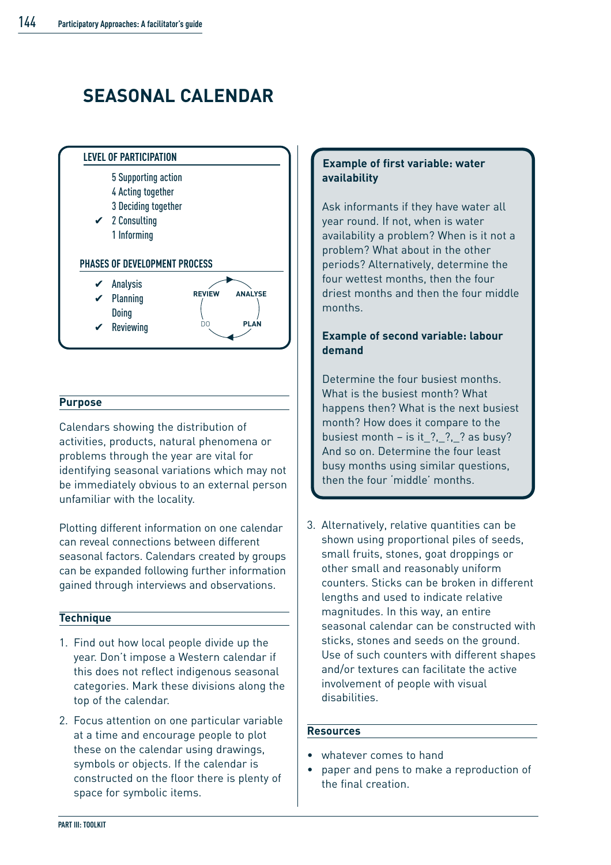# **SEASONAL CALENDAR**



#### **Purpose**

Calendars showing the distribution of activities, products, natural phenomena or problems through the year are vital for identifying seasonal variations which may not be immediately obvious to an external person unfamiliar with the locality.

Plotting different information on one calendar can reveal connections between different seasonal factors. Calendars created by groups can be expanded following further information gained through interviews and observations.

#### **Technique**

- 1. Find out how local people divide up the year. Don't impose a Western calendar if this does not reflect indigenous seasonal categories. Mark these divisions along the top of the calendar.
- 2. Focus attention on one particular variable at a time and encourage people to plot these on the calendar using drawings, symbols or objects. If the calendar is constructed on the floor there is plenty of space for symbolic items.

#### **Example of first variable: water availability**

Ask informants if they have water all year round. If not, when is water availability a problem? When is it not a problem? What about in the other periods? Alternatively, determine the four wettest months, then the four driest months and then the four middle months.

#### **Example of second variable: labour demand**

Determine the four busiest months. What is the busiest month? What happens then? What is the next busiest month? How does it compare to the busiest month – is it  $?$ ,  $?$ ,  $?$  as busy? And so on. Determine the four least busy months using similar questions, then the four 'middle' months.

3. Alternatively, relative quantities can be shown using proportional piles of seeds, small fruits, stones, goat droppings or other small and reasonably uniform counters. Sticks can be broken in different lengths and used to indicate relative magnitudes. In this way, an entire seasonal calendar can be constructed with sticks, stones and seeds on the ground. Use of such counters with different shapes and/or textures can facilitate the active involvement of people with visual disabilities.

#### **Resources**

- whatever comes to hand
- paper and pens to make a reproduction of the final creation.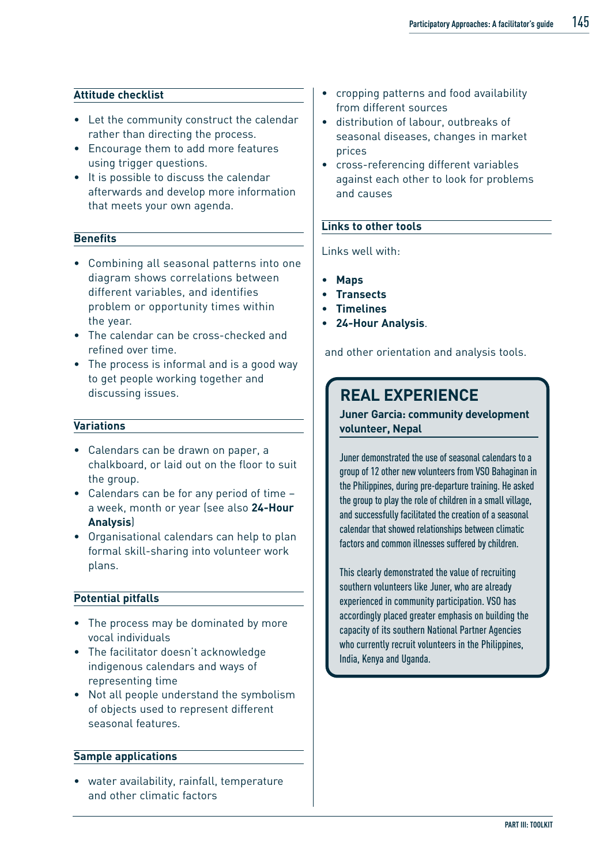#### **Attitude checklist**

- Let the community construct the calendar rather than directing the process.
- Encourage them to add more features using trigger questions.
- It is possible to discuss the calendar afterwards and develop more information that meets your own agenda.

#### **Benefits**

- Combining all seasonal patterns into one diagram shows correlations between different variables, and identifies problem or opportunity times within the year.
- The calendar can be cross-checked and refined over time.
- The process is informal and is a good way to get people working together and discussing issues.

#### **Variations**

- Calendars can be drawn on paper, a chalkboard, or laid out on the floor to suit the group.
- Calendars can be for any period of time a week, month or year (see also **24-Hour Analysis**)
- Organisational calendars can help to plan formal skill-sharing into volunteer work plans.

#### **Potential pitfalls**

- The process may be dominated by more vocal individuals
- The facilitator doesn't acknowledge indigenous calendars and ways of representing time
- Not all people understand the symbolism of objects used to represent different seasonal features.

#### **Sample applications**

• water availability, rainfall, temperature and other climatic factors

- cropping patterns and food availability from different sources
- distribution of labour, outbreaks of seasonal diseases, changes in market prices
- cross-referencing different variables against each other to look for problems and causes

#### **Links to other tools**

#### Links well with:

- **Maps**
- **Transects**
- **Timelines**
- **24-Hour Analysis**.

and other orientation and analysis tools.

### **REAL EXPERIENCE**

**Juner Garcia: community development volunteer, Nepal**

Juner demonstrated the use of seasonal calendars to a group of 12 other new volunteers from VSO Bahaginan in the Philippines, during pre-departure training. He asked the group to play the role of children in a small village, and successfully facilitated the creation of a seasonal calendar that showed relationships between climatic factors and common illnesses suffered by children.

This clearly demonstrated the value of recruiting southern volunteers like Juner, who are already experienced in community participation. VSO has accordingly placed greater emphasis on building the capacity of its southern National Partner Agencies who currently recruit volunteers in the Philippines, India, Kenya and Uganda.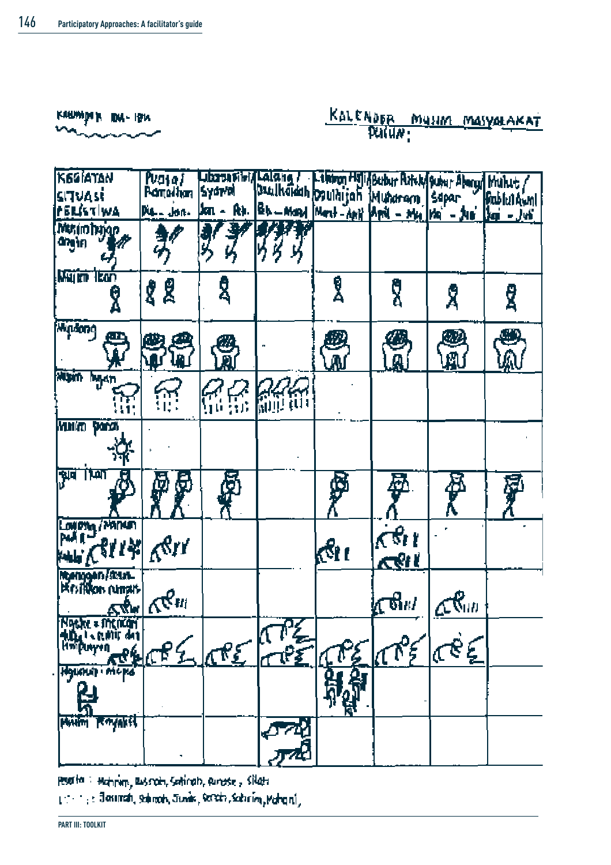

# KALENDER MUSSION MASYARAKAT

| K6GIATAN                                            | Puasa/                                   |           |                                                                                                                        |              |                        |         |                     |
|-----------------------------------------------------|------------------------------------------|-----------|------------------------------------------------------------------------------------------------------------------------|--------------|------------------------|---------|---------------------|
| situasi                                             | <b>Romadhan</b>                          |           | Libarantibi/Lalang / Libaran Hill Bubur Putch/Subur Aborg/Muhit/<br>Syswol Duulkoidah Osulhijah Muharam Sopar Bublulow |              |                        |         | <b>Rubliel Awnl</b> |
| PERISTIWA                                           | Dis., Jon.                               |           | Jon - Rt. Bb - Mart Mart - Any April - Mrs Ma - Jun                                                                    |              |                        |         | $3a - 3b$           |
| <b>Music bajon</b><br>angiri<br>ų                   |                                          |           | Ķ                                                                                                                      |              |                        |         |                     |
| <b>Wajin Tean</b>                                   | 88                                       | ፂ         |                                                                                                                        | e<br>A       | ក្តី                   | Х       | ፂ                   |
| <b>Windows</b><br>e<br>A                            | அ<br>\$<br>ไม                            | e<br>R    |                                                                                                                        | as<br>Mai    | Ø<br>A                 | o<br>Li | ۳<br>⋒              |
| Misiri hiyan<br>蓝                                   | 微                                        | <b>66</b> | <b>RAR</b>                                                                                                             |              |                        |         |                     |
| Which para                                          |                                          |           |                                                                                                                        |              |                        |         |                     |
| ंप्र्ण<br>भ्रव                                      | Ģ<br>þ                                   | ø         |                                                                                                                        | Ģ            | 耍                      | 承人      | 翠                   |
| Lovery/Manum<br><b>WENTH</b>                        | ger                                      |           |                                                                                                                        | <u> (Gre</u> | $\pi$ er<br><u>ሊየሆ</u> |         |                     |
| Montgon / Maria<br>Existingon (umpit-<br><u>∡″g</u> | $\mathbb{R}^{\mathcal{C}_{\text{trif}}}$ |           |                                                                                                                        |              | ∤ரு<br>திய             | ๔๙ี๛    |                     |
| Ngehe = incikan<br>thing is earlist die             |                                          | معجلهم    | त≹∠                                                                                                                    |              | 4795                   | RE      |                     |
| <b>IMPRO</b>                                        |                                          |           |                                                                                                                        |              |                        |         |                     |
| Royakil                                             |                                          |           |                                                                                                                        |              |                        |         |                     |

Poetta : Mahmin, Russoln, Satirah, Runase, Silata 1: 1: 3 Josinah, Salimah, Junis, Secchi, Sabrim, Mahani,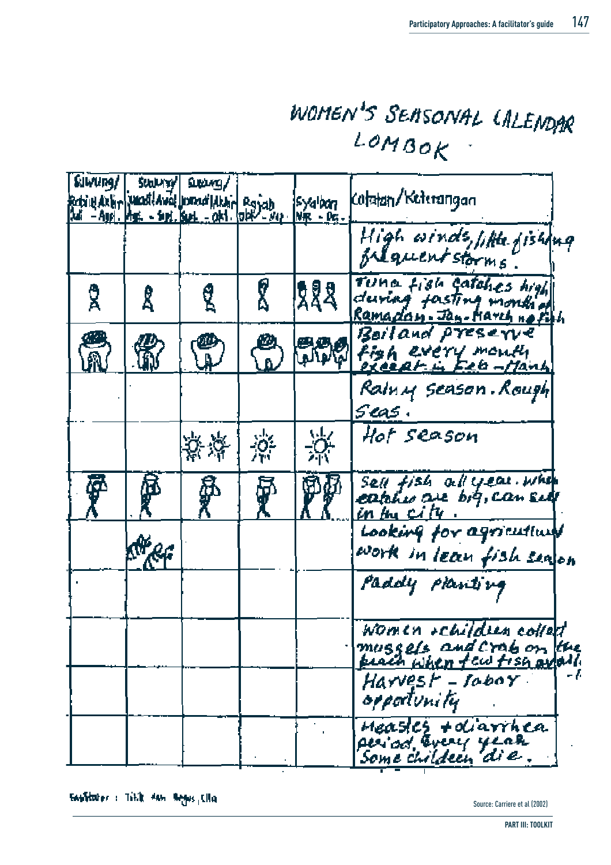# WOMEN'S SEMSONAL LALENDAR  $LOMBOK$

| Suvung/ | <b>SULLING!</b> | sweg/<br>Robinidalin paradidaval pomodlalan Royab<br>Adi - Ayri, Mai - Seri, Res. - Okt. Old - Nep. |        | syalban<br>$N_{\rm R}$ - $\rho_{\rm G}$ . | (otatan/Keterangan                                   |
|---------|-----------------|-----------------------------------------------------------------------------------------------------|--------|-------------------------------------------|------------------------------------------------------|
|         |                 |                                                                                                     |        |                                           | High winds, little fishing                           |
| ፂ       | Ŝ               | ፂ                                                                                                   | r<br>2 | 692<br>24                                 | Tuna fish catches high<br>Ramadan. Jan-March no Fith |
| e<br>M  |                 |                                                                                                     | Ø      |                                           | Boiland preserve<br>Alpla Figh every month           |
|         |                 |                                                                                                     |        |                                           | Raln <i>u</i> season . Rough<br>seas.                |
|         |                 | 紫藻                                                                                                  | 漈      | 涤                                         | Hot season                                           |
| ኞ       | β               | ā,                                                                                                  | 5<br>I | Pf                                        | Sell fish all year. when<br><u>in bu city</u>        |
|         | Meg             |                                                                                                     |        |                                           | Looking for agriculture<br>work in lean fish sealon  |
|         |                 |                                                                                                     |        |                                           | Paddy planting                                       |
|         |                 |                                                                                                     |        |                                           | Women + children collect<br>mussels and crab on the  |
|         |                 |                                                                                                     |        |                                           | Harvest – tobox<br>oppolunity                        |
|         |                 |                                                                                                     |        |                                           | Measter + diarrhea                                   |

Sauliturer : Tillik dan Regus, Cita

Source: Carriere et al (2002)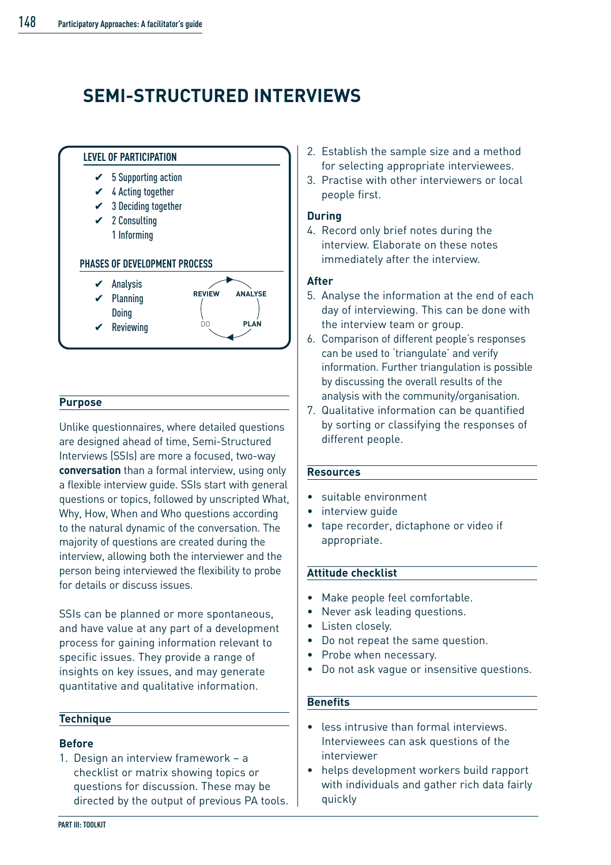## **SEMI-STRUCTURED INTERVIEWS**



#### **Purpose**

Unlike questionnaires, where detailed questions are designed ahead of time, Semi-Structured Interviews (SSIs) are more a focused, two-way **conversation** than a formal interview, using only a flexible interview guide. SSIs start with general questions or topics, followed by unscripted What, Why, How, When and Who questions according to the natural dynamic of the conversation. The majority of questions are created during the interview, allowing both the interviewer and the person being interviewed the flexibility to probe for details or discuss issues.

SSIs can be planned or more spontaneous, and have value at any part of a development process for gaining information relevant to specific issues. They provide a range of insights on key issues, and may generate quantitative and qualitative information.

#### **Technique**

#### **Before**

1. Design an interview framework – a checklist or matrix showing topics or questions for discussion. These may be directed by the output of previous PA tools.

- 2. Establish the sample size and a method for selecting appropriate interviewees.
- 3. Practise with other interviewers or local people first.

#### **During**

4. Record only brief notes during the interview. Elaborate on these notes immediately after the interview.

#### **After**

- 5. Analyse the information at the end of each day of interviewing. This can be done with the interview team or group.
- 6. Comparison of different people's responses can be used to 'triangulate' and verify information. Further triangulation is possible by discussing the overall results of the analysis with the community/organisation.
- 7. Qualitative information can be quantified by sorting or classifying the responses of different people.

#### **Resources**

- suitable environment
- interview quide
- tape recorder, dictaphone or video if appropriate.

#### **Attitude checklist**

- Make people feel comfortable.
- Never ask leading questions.
- Listen closely.
- Do not repeat the same question.
- Probe when necessary.
- Do not ask vague or insensitive questions.

#### **Benefits**

- less intrusive than formal interviews. Interviewees can ask questions of the interviewer
- helps development workers build rapport with individuals and gather rich data fairly quickly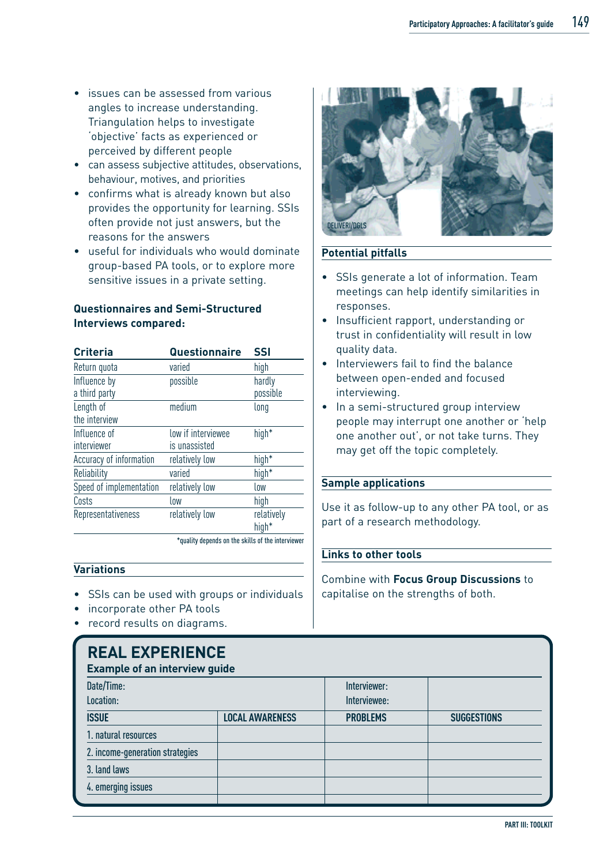- issues can be assessed from various angles to increase understanding. Triangulation helps to investigate 'objective' facts as experienced or perceived by different people
- can assess subjective attitudes, observations, behaviour, motives, and priorities
- confirms what is already known but also provides the opportunity for learning. SSIs often provide not just answers, but the reasons for the answers
- useful for individuals who would dominate group-based PA tools, or to explore more sensitive issues in a private setting.

#### **Questionnaires and Semi-Structured Interviews compared:**

| <b>Criteria</b>               | <b>Questionnaire</b>                | <b>SSI</b>                      |
|-------------------------------|-------------------------------------|---------------------------------|
| Return quota                  | varied                              | high                            |
| Influence by<br>a third party | possible                            | hardly<br>possible              |
| Length of<br>the interview    | medium                              | long                            |
| Influence of<br>interviewer   | low if interviewee<br>is unassisted | high <sup>*</sup>               |
| Accuracy of information       | relatively low                      | high <sup>*</sup>               |
| Reliability                   | varied                              | high*                           |
| Speed of implementation       | relatively low                      | low                             |
| Costs                         | low                                 | high                            |
| Representativeness            | relatively low                      | relatively<br>high <sup>*</sup> |

\*quality depends on the skills of the interviewer

#### **Variations**

- SSIs can be used with groups or individuals
- incorporate other PA tools
- record results on diagrams.

# **REAL EXPERIENCE**



#### **Potential pitfalls**

- SSIs generate a lot of information. Team meetings can help identify similarities in responses.
- Insufficient rapport, understanding or trust in confidentiality will result in low quality data.
- Interviewers fail to find the balance between open-ended and focused interviewing.
- In a semi-structured group interview people may interrupt one another or 'help one another out', or not take turns. They may get off the topic completely.

#### **Sample applications**

Use it as follow-up to any other PA tool, or as part of a research methodology.

#### **Links to other tools**

Combine with **Focus Group Discussions** to capitalise on the strengths of both.

| INSAIS SAI SINISINYS<br><b>Example of an interview guide</b> |                        |                 |                    |  |  |  |
|--------------------------------------------------------------|------------------------|-----------------|--------------------|--|--|--|
|                                                              |                        |                 |                    |  |  |  |
| Location:                                                    |                        | Interviewee:    |                    |  |  |  |
| <b>ISSUE</b>                                                 | <b>LOCAL AWARENESS</b> | <b>PROBLEMS</b> | <b>SUGGESTIONS</b> |  |  |  |
| 1. natural resources                                         |                        |                 |                    |  |  |  |
| 2. income-generation strategies                              |                        |                 |                    |  |  |  |
| 3. land laws                                                 |                        |                 |                    |  |  |  |
| 4. emerging issues                                           |                        |                 |                    |  |  |  |
|                                                              |                        |                 |                    |  |  |  |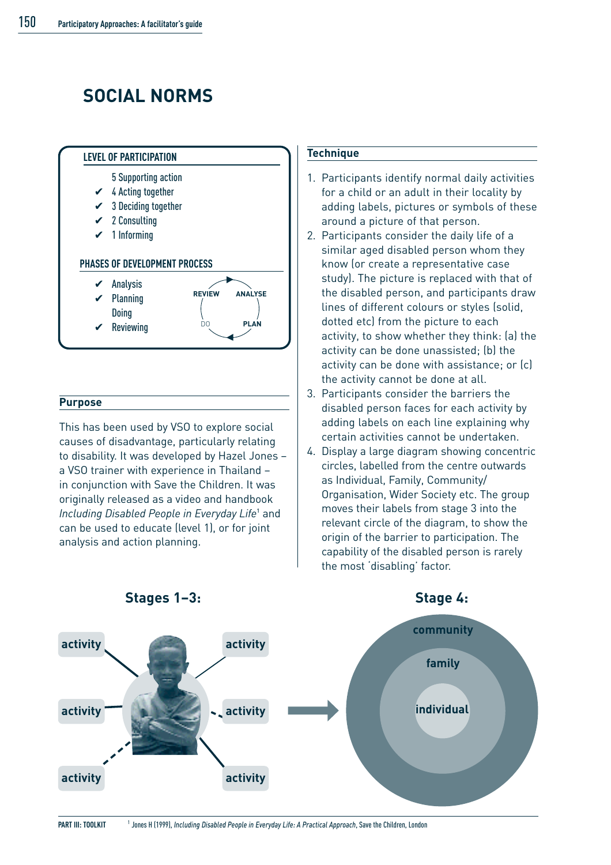# **SOCIAL NORMS**



#### **Purpose**

This has been used by VSO to explore social causes of disadvantage, particularly relating to disability. It was developed by Hazel Jones – a VSO trainer with experience in Thailand – in conjunction with Save the Children. It was originally released as a video and handbook *Including Disabled People in Everyday Life*<sup>1</sup> and can be used to educate (level 1), or for joint analysis and action planning.

#### **Technique**

- 1. Participants identify normal daily activities for a child or an adult in their locality by adding labels, pictures or symbols of these around a picture of that person.
- 2. Participants consider the daily life of a similar aged disabled person whom they know (or create a representative case study). The picture is replaced with that of the disabled person, and participants draw lines of different colours or styles (solid, dotted etc) from the picture to each activity, to show whether they think: (a) the activity can be done unassisted; (b) the activity can be done with assistance; or (c) the activity cannot be done at all.
- 3. Participants consider the barriers the disabled person faces for each activity by adding labels on each line explaining why certain activities cannot be undertaken.
- 4. Display a large diagram showing concentric circles, labelled from the centre outwards as Individual, Family, Community/ Organisation, Wider Society etc. The group moves their labels from stage 3 into the relevant circle of the diagram, to show the origin of the barrier to participation. The capability of the disabled person is rarely the most 'disabling' factor.



**Stages 1–3: Stage 4:**

<sup>&</sup>lt;sup>1</sup> Jones H (1999), *Including Disabled People in Everyday Life: A Practical Approach*, Save the Children, London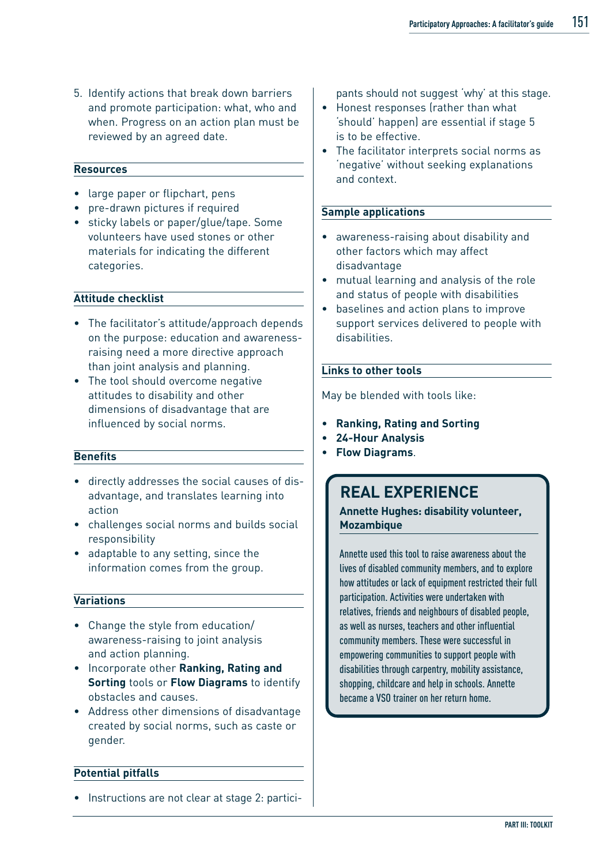5. Identify actions that break down barriers and promote participation: what, who and when. Progress on an action plan must be reviewed by an agreed date.

#### **Resources**

- large paper or flipchart, pens
- pre-drawn pictures if required
- sticky labels or paper/glue/tape. Some volunteers have used stones or other materials for indicating the different categories.

#### **Attitude checklist**

- The facilitator's attitude/approach depends on the purpose: education and awarenessraising need a more directive approach than joint analysis and planning.
- The tool should overcome negative attitudes to disability and other dimensions of disadvantage that are influenced by social norms.

#### **Benefits**

- directly addresses the social causes of disadvantage, and translates learning into action
- challenges social norms and builds social responsibility
- adaptable to any setting, since the information comes from the group.

#### **Variations**

- Change the style from education/ awareness-raising to joint analysis and action planning.
- Incorporate other **Ranking, Rating and Sorting** tools or **Flow Diagrams** to identify obstacles and causes.
- Address other dimensions of disadvantage created by social norms, such as caste or gender.

#### **Potential pitfalls**

• Instructions are not clear at stage 2: partici-

pants should not suggest 'why' at this stage.

- Honest responses (rather than what 'should' happen) are essential if stage 5 is to be effective.
- The facilitator interprets social norms as 'negative' without seeking explanations and context.

#### **Sample applications**

- awareness-raising about disability and other factors which may affect disadvantage
- mutual learning and analysis of the role and status of people with disabilities
- baselines and action plans to improve support services delivered to people with disabilities.

#### **Links to other tools**

May be blended with tools like:

- **Ranking, Rating and Sorting**
- **24-Hour Analysis**
- **Flow Diagrams**.

### **REAL EXPERIENCE**

**Annette Hughes: disability volunteer, Mozambique** 

Annette used this tool to raise awareness about the lives of disabled community members, and to explore how attitudes or lack of equipment restricted their full participation. Activities were undertaken with relatives, friends and neighbours of disabled people, as well as nurses, teachers and other influential community members. These were successful in empowering communities to support people with disabilities through carpentry, mobility assistance, shopping, childcare and help in schools. Annette became a VSO trainer on her return home.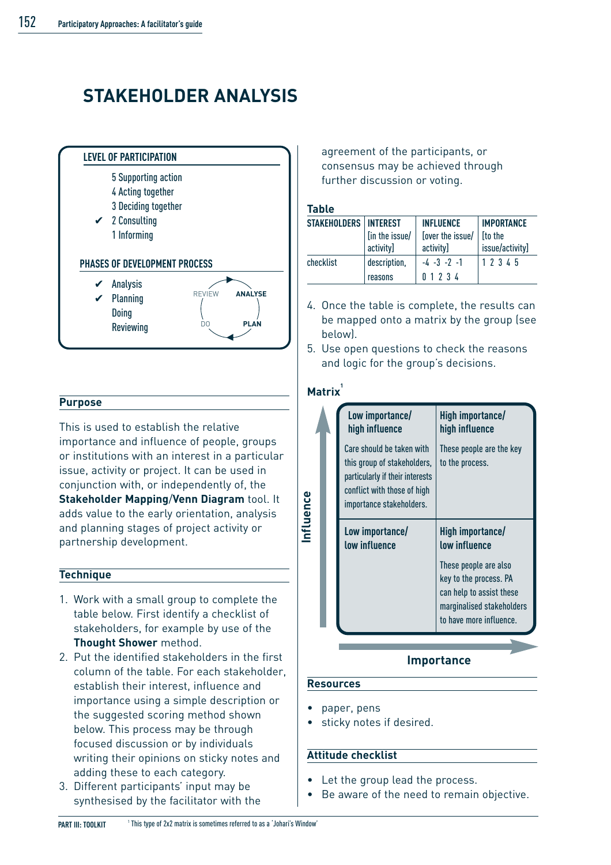# **STAKEHOLDER ANALYSIS**



#### **Purpose**

This is used to establish the relative importance and influence of people, groups or institutions with an interest in a particular issue, activity or project. It can be used in conjunction with, or independently of, the **Stakeholder Mapping**/**Venn Diagram** tool. It adds value to the early orientation, analysis and planning stages of project activity or partnership development.

#### **Technique**

- 1. Work with a small group to complete the table below. First identify a checklist of stakeholders, for example by use of the **Thought Shower** method.
- 2. Put the identified stakeholders in the first column of the table. For each stakeholder, establish their interest, influence and importance using a simple description or the suggested scoring method shown below. This process may be through focused discussion or by individuals writing their opinions on sticky notes and adding these to each category.
- 3. Different participants' input may be synthesised by the facilitator with the

agreement of the participants, or consensus may be achieved through further discussion or voting.

#### **Table**

| <b>STAKEHOLDERS   INTEREST</b> |                | <b>INFLUENCE</b> | <b>IMPORTANCE</b> |
|--------------------------------|----------------|------------------|-------------------|
|                                | [in the issue/ | [over the issue/ | <b>I</b> to the   |
|                                | activity]      | activity]        | issue/activity]   |
| checklist                      | description,   | $-4 - 3 - 7 - 1$ | 1 2 3 4 5         |
|                                | reasons        | 01234            |                   |

- 4. Once the table is complete, the results can be mapped onto a matrix by the group (see below).
- 5. Use open questions to check the reasons and logic for the group's decisions.

#### **Matrix<sup>1</sup>**

**Influence**

nfluence

| Low importance/<br>high influence                                                                                                                      | High importance/<br>high influence                                               |
|--------------------------------------------------------------------------------------------------------------------------------------------------------|----------------------------------------------------------------------------------|
| Care should be taken with<br>this group of stakeholders,<br>particularly if their interests<br>conflict with those of high<br>importance stakeholders. | These people are the key<br>to the process.                                      |
| Low importance/<br><b>Low influence</b>                                                                                                                | High importance/<br><b>Low influence</b>                                         |
|                                                                                                                                                        | These people are also<br>key to the process. PA                                  |
|                                                                                                                                                        | can help to assist these<br>marginalised stakeholders<br>to have more influence. |
|                                                                                                                                                        |                                                                                  |

#### **Importance**

#### **Resources**

- paper, pens
- sticky notes if desired.

#### **Attitude checklist**

- Let the group lead the process.
- Be aware of the need to remain objective.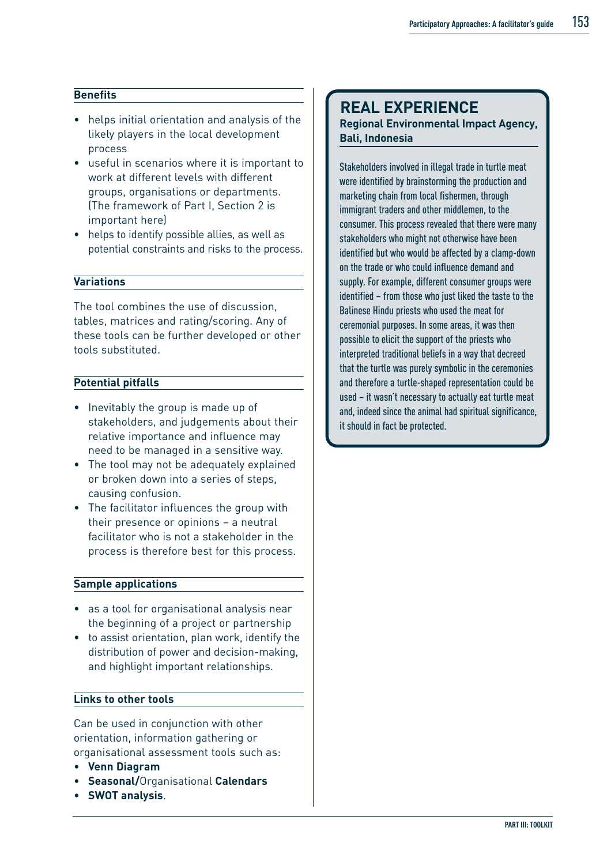#### **Benefits**

- helps initial orientation and analysis of the likely players in the local development process
- useful in scenarios where it is important to work at different levels with different groups, organisations or departments. (The framework of Part I, Section 2 is important here)
- helps to identify possible allies, as well as potential constraints and risks to the process.

#### **Variations**

The tool combines the use of discussion, tables, matrices and rating/scoring. Any of these tools can be further developed or other tools substituted.

#### **Potential pitfalls**

- Inevitably the group is made up of stakeholders, and judgements about their relative importance and influence may need to be managed in a sensitive way.
- The tool may not be adequately explained or broken down into a series of steps, causing confusion.
- The facilitator influences the group with their presence or opinions – a neutral facilitator who is not a stakeholder in the process is therefore best for this process.

#### **Sample applications**

- as a tool for organisational analysis near the beginning of a project or partnership
- to assist orientation, plan work, identify the distribution of power and decision-making, and highlight important relationships.

#### **Links to other tools**

Can be used in conjunction with other orientation, information gathering or organisational assessment tools such as:

- **Venn Diagram**
- **Seasonal/**Organisational **Calendars**
- **SWOT analysis**.

### **REAL EXPERIENCE**

#### **Regional Environmental Impact Agency, Bali, Indonesia**

Stakeholders involved in illegal trade in turtle meat were identified by brainstorming the production and marketing chain from local fishermen, through immigrant traders and other middlemen, to the consumer. This process revealed that there were many stakeholders who might not otherwise have been identified but who would be affected by a clamp-down on the trade or who could influence demand and supply. For example, different consumer groups were identified – from those who just liked the taste to the Balinese Hindu priests who used the meat for ceremonial purposes. In some areas, it was then possible to elicit the support of the priests who interpreted traditional beliefs in a way that decreed that the turtle was purely symbolic in the ceremonies and therefore a turtle-shaped representation could be used – it wasn't necessary to actually eat turtle meat and, indeed since the animal had spiritual significance, it should in fact be protected.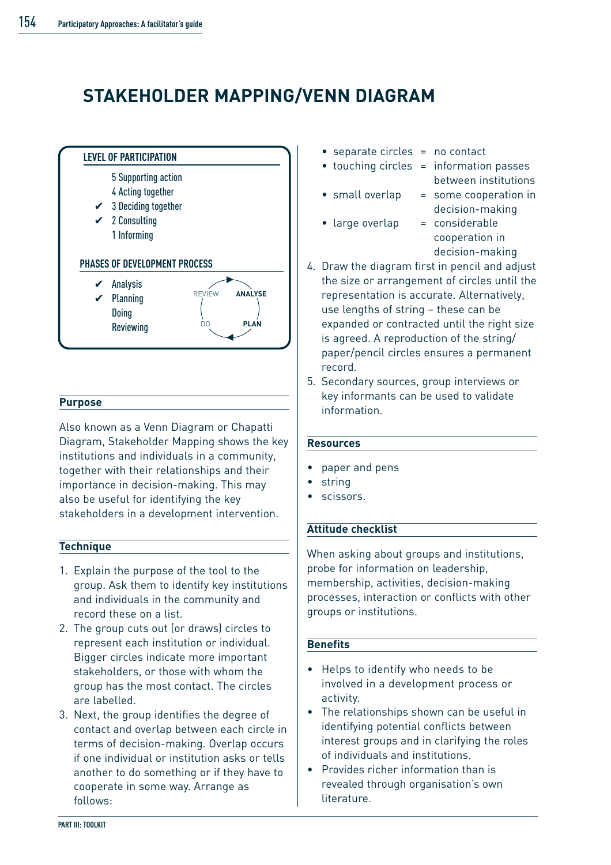## **STAKEHOLDER MAPPING/VENN DIAGRAM**



#### **Purpose**

Also known as a Venn Diagram or Chapatti Diagram, Stakeholder Mapping shows the key institutions and individuals in a community, together with their relationships and their importance in decision-making. This may also be useful for identifying the key stakeholders in a development intervention.

#### **Technique**

- 1. Explain the purpose of the tool to the group. Ask them to identify key institutions and individuals in the community and record these on a list.
- 2. The group cuts out (or draws) circles to represent each institution or individual. Bigger circles indicate more important stakeholders, or those with whom the group has the most contact. The circles are labelled.
- 3. Next, the group identifies the degree of contact and overlap between each circle in terms of decision-making. Overlap occurs if one individual or institution asks or tells another to do something or if they have to cooperate in some way. Arrange as follows:
- $separate circles = no contact$
- touching circles = information passes
- 
- between institutions • small overlap = some cooperation in
- large overlap = considerable
- decision-making cooperation in decision-making
- 4. Draw the diagram first in pencil and adjust the size or arrangement of circles until the representation is accurate. Alternatively, use lengths of string – these can be expanded or contracted until the right size is agreed. A reproduction of the string/ paper/pencil circles ensures a permanent record.
- 5. Secondary sources, group interviews or key informants can be used to validate information.

#### **Resources**

- paper and pens
- string
- scissors.

#### **Attitude checklist**

When asking about groups and institutions, probe for information on leadership, membership, activities, decision-making processes, interaction or conflicts with other groups or institutions.

#### **Benefits**

- Helps to identify who needs to be involved in a development process or activity.
- The relationships shown can be useful in identifying potential conflicts between interest groups and in clarifying the roles of individuals and institutions.
- Provides richer information than is revealed through organisation's own literature.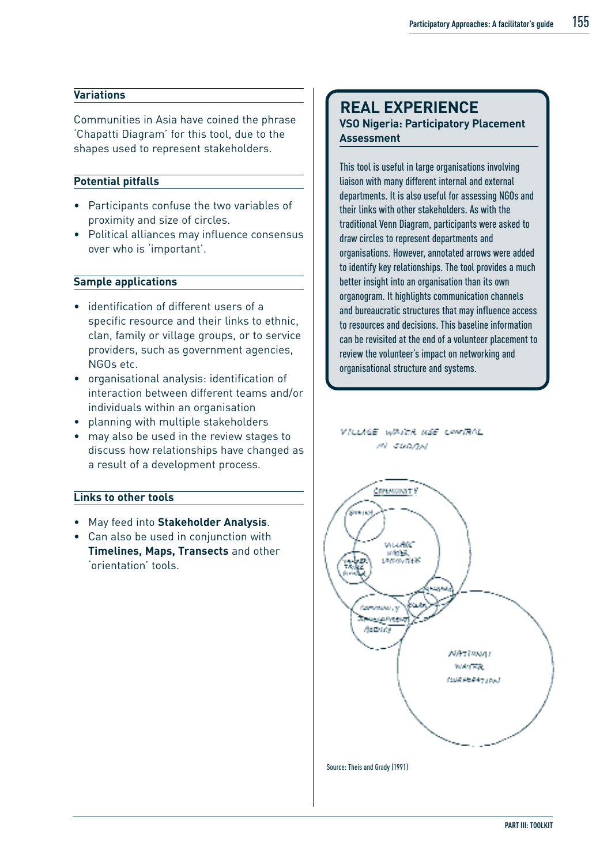#### **Variations**

Communities in Asia have coined the phrase 'Chapatti Diagram' for this tool, due to the shapes used to represent stakeholders.

#### **Potential pitfalls**

- Participants confuse the two variables of proximity and size of circles.
- Political alliances may influence consensus over who is 'important'.

#### **Sample applications**

- identification of different users of a specific resource and their links to ethnic, clan, family or village groups, or to service providers, such as government agencies, NGOs etc.
- organisational analysis: identification of interaction between different teams and/or individuals within an organisation
- planning with multiple stakeholders
- may also be used in the review stages to discuss how relationships have changed as a result of a development process.

#### **Links to other tools**

- May feed into **Stakeholder Analysis**.
- Can also be used in conjunction with **Timelines, Maps, Transects** and other 'orientation' tools.

### **REAL EXPERIENCE**

**VSO Nigeria: Participatory Placement Assessment**

This tool is useful in large organisations involving liaison with many different internal and external departments. It is also useful for assessing NGOs and their links with other stakeholders. As with the traditional Venn Diagram, participants were asked to draw circles to represent departments and organisations. However, annotated arrows were added to identify key relationships. The tool provides a much better insight into an organisation than its own organogram. It highlights communication channels and bureaucratic structures that may influence access to resources and decisions. This baseline information can be revisited at the end of a volunteer placement to review the volunteer's impact on networking and organisational structure and systems.

VILLIGE WANTA MUE CONTROL  $M$  -SECORAL

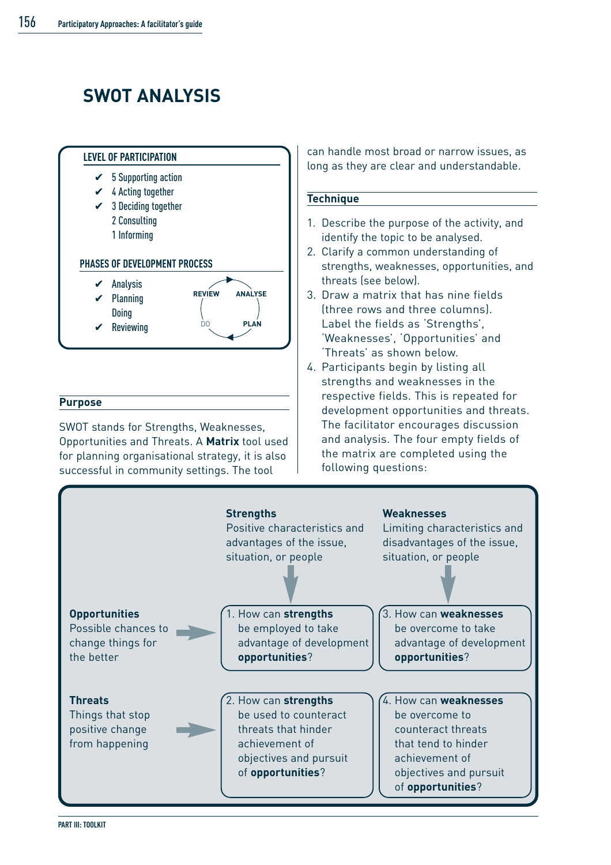# **SWOT ANALYSIS**



#### **Purpose**

SWOT stands for Strengths, Weaknesses, Opportunities and Threats. A **Matrix** tool used for planning organisational strategy, it is also successful in community settings. The tool

can handle most broad or narrow issues, as long as they are clear and understandable.

#### **Technique**

- 1. Describe the purpose of the activity, and identify the topic to be analysed.
- 2. Clarify a common understanding of strengths, weaknesses, opportunities, and threats (see below).
- 3. Draw a matrix that has nine fields (three rows and three columns). Label the fields as 'Strengths', 'Weaknesses', 'Opportunities' and 'Threats' as shown below.
- 4. Participants begin by listing all strengths and weaknesses in the respective fields. This is repeated for development opportunities and threats. The facilitator encourages discussion and analysis. The four empty fields of the matrix are completed using the following questions:



**PART III: TOOLKIT**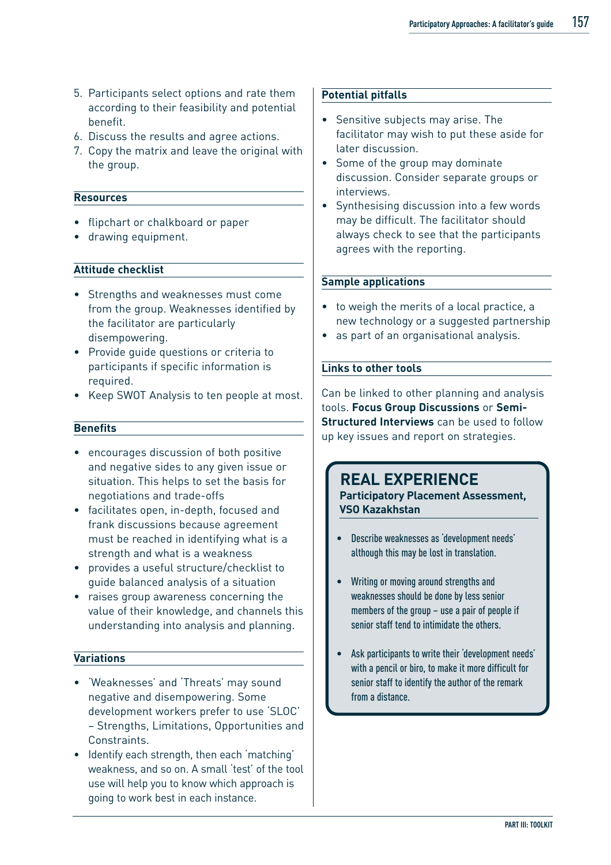- 5. Participants select options and rate them according to their feasibility and potential benefit.
- 6. Discuss the results and agree actions.
- 7. Copy the matrix and leave the original with the group.

#### **Resources**

- flipchart or chalkboard or paper
- drawing equipment.

#### **Attitude checklist**

- Strengths and weaknesses must come from the group. Weaknesses identified by the facilitator are particularly disempowering.
- Provide guide questions or criteria to participants if specific information is required.
- Keep SWOT Analysis to ten people at most.

#### **Benefits**

- encourages discussion of both positive and negative sides to any given issue or situation. This helps to set the basis for negotiations and trade-offs
- facilitates open, in-depth, focused and frank discussions because agreement must be reached in identifying what is a strength and what is a weakness
- provides a useful structure/checklist to guide balanced analysis of a situation
- raises group awareness concerning the value of their knowledge, and channels this understanding into analysis and planning.

#### **Variations**

- 'Weaknesses' and 'Threats' may sound negative and disempowering. Some development workers prefer to use 'SLOC' – Strengths, Limitations, Opportunities and Constraints.
- Identify each strength, then each 'matching' weakness, and so on. A small 'test' of the tool use will help you to know which approach is going to work best in each instance.

#### **Potential pitfalls**

- Sensitive subjects may arise. The facilitator may wish to put these aside for later discussion.
- Some of the group may dominate discussion. Consider separate groups or interviews.
- Synthesising discussion into a few words may be difficult. The facilitator should always check to see that the participants agrees with the reporting.

#### **Sample applications**

- to weigh the merits of a local practice, a new technology or a suggested partnership
- as part of an organisational analysis.

#### **Links to other tools**

Can be linked to other planning and analysis tools. **Focus Group Discussions** or **Semi-Structured Interviews** can be used to follow up key issues and report on strategies.

### **REAL EXPERIENCE**

**Participatory Placement Assessment, VSO Kazakhstan**

- Describe weaknesses as 'development needs' although this may be lost in translation.
- Writing or moving around strengths and weaknesses should be done by less senior members of the group – use a pair of people if senior staff tend to intimidate the others.
- Ask participants to write their 'development needs' with a pencil or biro, to make it more difficult for senior staff to identify the author of the remark from a distance.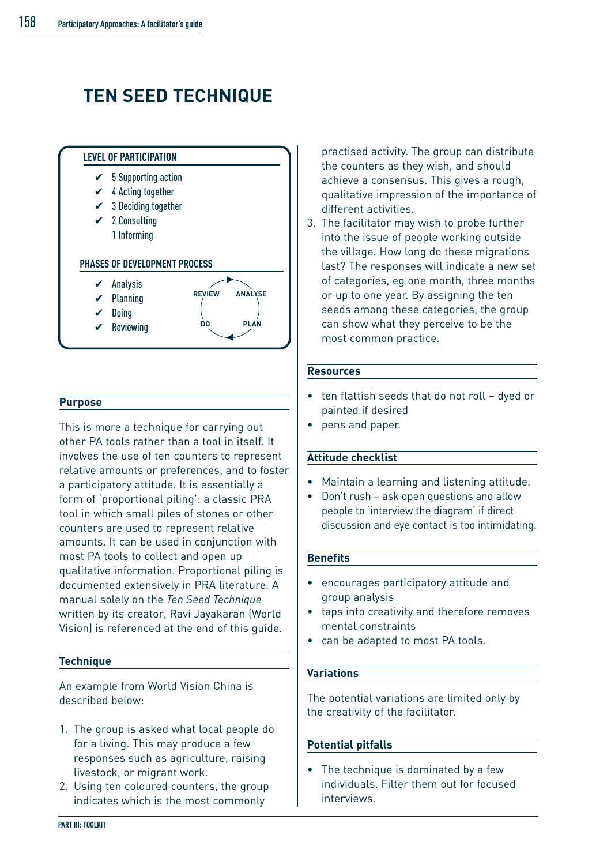# **TEN SEED TECHNIQUE**



#### **Purpose**

This is more a technique for carrying out other PA tools rather than a tool in itself. It involves the use of ten counters to represent relative amounts or preferences, and to foster a participatory attitude. It is essentially a form of 'proportional piling': a classic PRA tool in which small piles of stones or other counters are used to represent relative amounts. It can be used in conjunction with most PA tools to collect and open up qualitative information. Proportional piling is documented extensively in PRA literature. A manual solely on the *Ten Seed Technique* written by its creator, Ravi Jayakaran (World Vision) is referenced at the end of this guide.

#### **Technique**

An example from World Vision China is described below:

- 1. The group is asked what local people do for a living. This may produce a few responses such as agriculture, raising livestock, or migrant work.
- 2. Using ten coloured counters, the group indicates which is the most commonly

practised activity. The group can distribute the counters as they wish, and should achieve a consensus. This gives a rough, qualitative impression of the importance of different activities.

3. The facilitator may wish to probe further into the issue of people working outside the village. How long do these migrations last? The responses will indicate a new set of categories, eg one month, three months or up to one year. By assigning the ten seeds among these categories, the group can show what they perceive to be the most common practice.

#### **Resources**

- ten flattish seeds that do not roll dyed or painted if desired
- pens and paper.

#### **Attitude checklist**

- Maintain a learning and listening attitude.
- Don't rush ask open questions and allow people to 'interview the diagram' if direct discussion and eye contact is too intimidating.

#### **Benefits**

- encourages participatory attitude and group analysis
- taps into creativity and therefore removes mental constraints
- can be adapted to most PA tools.

#### **Variations**

The potential variations are limited only by the creativity of the facilitator.

#### **Potential pitfalls**

The technique is dominated by a few individuals. Filter them out for focused interviews.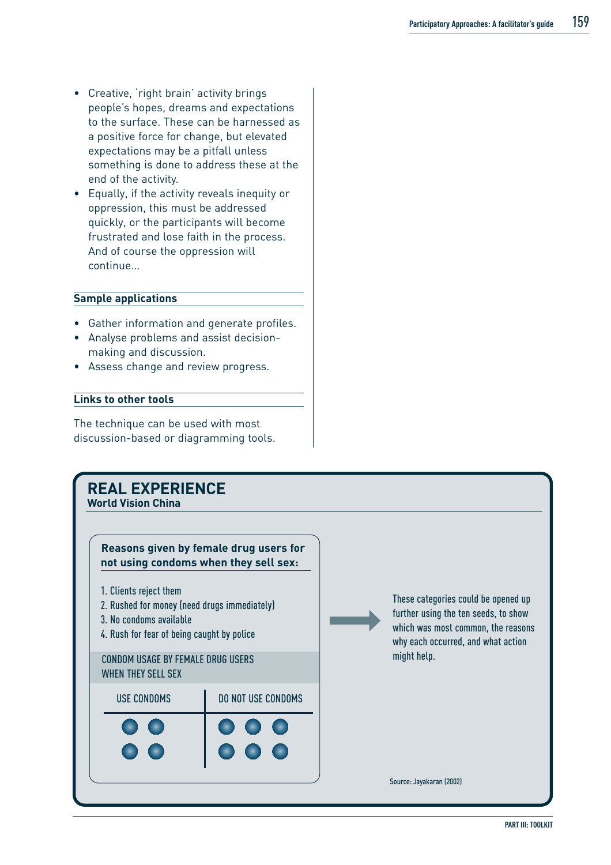- Creative, 'right brain' activity brings people's hopes, dreams and expectations to the surface. These can be harnessed as a positive force for change, but elevated expectations may be a pitfall unless something is done to address these at the end of the activity.
- Equally, if the activity reveals inequity or oppression, this must be addressed quickly, or the participants will become frustrated and lose faith in the process. And of course the oppression will continue…

#### **Sample applications**

- Gather information and generate profiles.
- Analyse problems and assist decisionmaking and discussion.
- Assess change and review progress.

#### **Links to other tools**

The technique can be used with most discussion-based or diagramming tools.

### **REAL EXPERIENCE World Vision China Reasons given by female drug users for not using condoms when they sell sex:** 1. Clients reject them 2. Rushed for money (need drugs immediately) 3. No condoms available 4. Rush for fear of being caught by police These categories could be opened up further using the ten seeds, to show which was most common, the reasons why each occurred, and what action might help. Source: Jayakaran (2002) CONDOM USAGE BY FEMALE DRUG USERS WHEN THEY SELL SEX USE CONDOMS **DO NOT USE CONDOMS**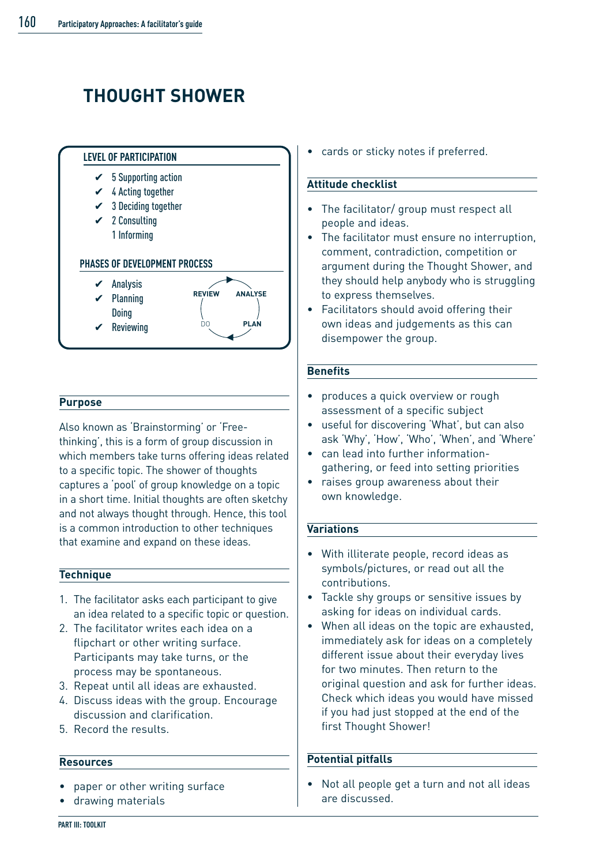# **THOUGHT SHOWER**



#### **Purpose**

Also known as 'Brainstorming' or 'Freethinking', this is a form of group discussion in which members take turns offering ideas related to a specific topic. The shower of thoughts captures a 'pool' of group knowledge on a topic in a short time. Initial thoughts are often sketchy and not always thought through. Hence, this tool is a common introduction to other techniques that examine and expand on these ideas.

#### **Technique**

- 1. The facilitator asks each participant to give an idea related to a specific topic or question.
- 2. The facilitator writes each idea on a flipchart or other writing surface. Participants may take turns, or the process may be spontaneous.
- 3. Repeat until all ideas are exhausted.
- 4. Discuss ideas with the group. Encourage discussion and clarification.
- 5. Record the results.

#### **Resources**

- paper or other writing surface
- drawing materials

cards or sticky notes if preferred.

#### **Attitude checklist**

- The facilitator/ group must respect all people and ideas.
- The facilitator must ensure no interruption, comment, contradiction, competition or argument during the Thought Shower, and they should help anybody who is struggling to express themselves.
- Facilitators should avoid offering their own ideas and judgements as this can disempower the group.

#### **Benefits**

- produces a quick overview or rough assessment of a specific subject
- useful for discovering 'What', but can also ask 'Why', 'How', 'Who', 'When', and 'Where'
- can lead into further informationgathering, or feed into setting priorities
- raises group awareness about their own knowledge.

#### **Variations**

- With illiterate people, record ideas as symbols/pictures, or read out all the contributions.
- Tackle shy groups or sensitive issues by asking for ideas on individual cards.
- When all ideas on the topic are exhausted. immediately ask for ideas on a completely different issue about their everyday lives for two minutes. Then return to the original question and ask for further ideas. Check which ideas you would have missed if you had just stopped at the end of the first Thought Shower!

#### **Potential pitfalls**

• Not all people get a turn and not all ideas are discussed.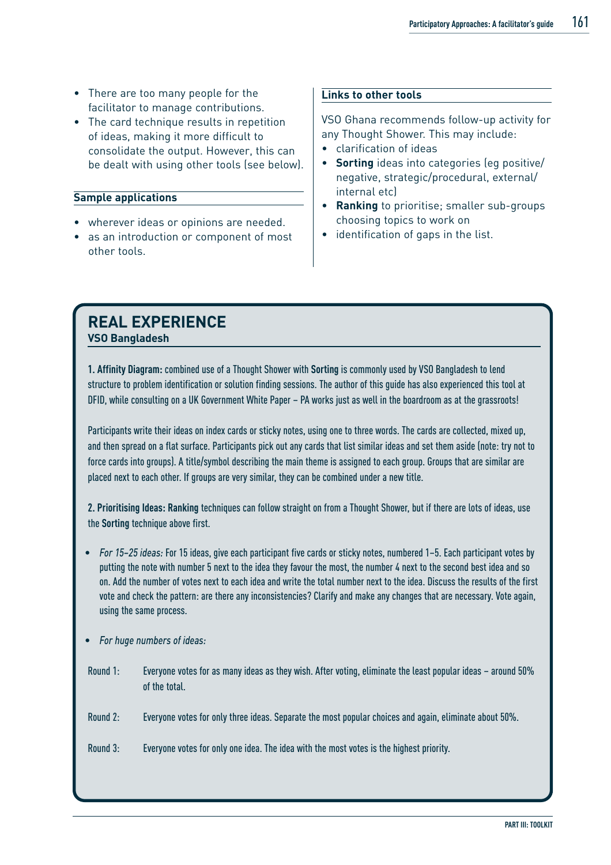- There are too many people for the facilitator to manage contributions.
- The card technique results in repetition of ideas, making it more difficult to consolidate the output. However, this can be dealt with using other tools (see below).

#### **Sample applications**

- wherever ideas or opinions are needed.
- as an introduction or component of most other tools.

#### **Links to other tools**

VSO Ghana recommends follow-up activity for any Thought Shower. This may include:

- clarification of ideas
- **Sorting** ideas into categories (eg positive/ negative, strategic/procedural, external/ internal etc)
- **Ranking** to prioritise; smaller sub-groups choosing topics to work on
- identification of gaps in the list.

### **REAL EXPERIENCE VSO Bangladesh**

**1. Affinity Diagram:** combined use of a Thought Shower with **Sorting** is commonly used by VSO Bangladesh to lend structure to problem identification or solution finding sessions. The author of this guide has also experienced this tool at DFID, while consulting on a UK Government White Paper – PA works just as well in the boardroom as at the grassroots!

Participants write their ideas on index cards or sticky notes, using one to three words. The cards are collected, mixed up, and then spread on a flat surface. Participants pick out any cards that list similar ideas and set them aside (note: try not to force cards into groups). A title/symbol describing the main theme is assigned to each group. Groups that are similar are placed next to each other. If groups are very similar, they can be combined under a new title.

**2. Prioritising Ideas: Ranking** techniques can follow straight on from a Thought Shower, but if there are lots of ideas, use the **Sorting** technique above first.

- *For 15–25 ideas:* For 15 ideas, give each participant five cards or sticky notes, numbered 1–5. Each participant votes by putting the note with number 5 next to the idea they favour the most, the number 4 next to the second best idea and so on. Add the number of votes next to each idea and write the total number next to the idea. Discuss the results of the first vote and check the pattern: are there any inconsistencies? Clarify and make any changes that are necessary. Vote again, using the same process.
- *For huge numbers of ideas:*
- Round 1: Everyone votes for as many ideas as they wish. After voting, eliminate the least popular ideas around 50% of the total.
- Round 2: Everyone votes for only three ideas. Separate the most popular choices and again, eliminate about 50%.
- Round 3: Everyone votes for only one idea. The idea with the most votes is the highest priority.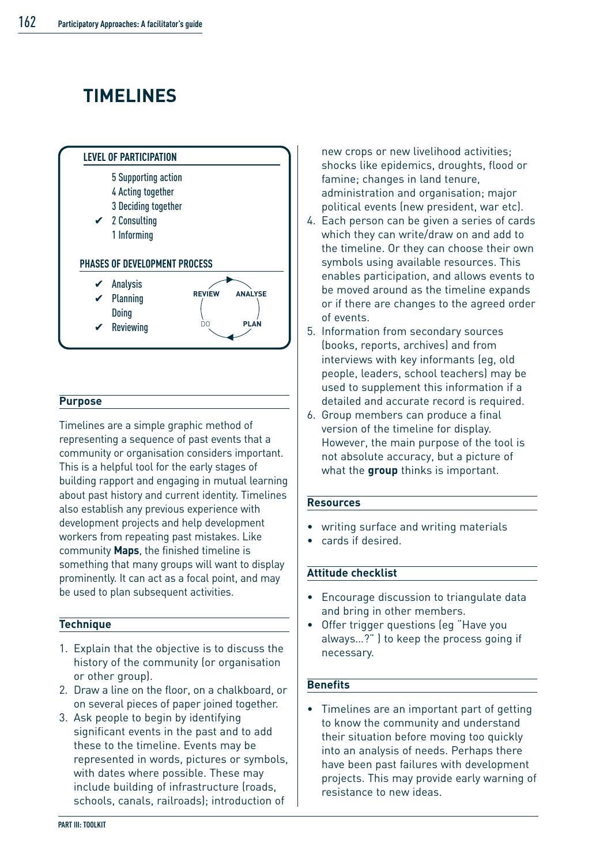# **TIMELINES**



#### **Purpose**

Timelines are a simple graphic method of representing a sequence of past events that a community or organisation considers important. This is a helpful tool for the early stages of building rapport and engaging in mutual learning about past history and current identity. Timelines also establish any previous experience with development projects and help development workers from repeating past mistakes. Like community **Maps**, the finished timeline is something that many groups will want to display prominently. It can act as a focal point, and may be used to plan subsequent activities.

#### **Technique**

- 1. Explain that the objective is to discuss the history of the community (or organisation or other group).
- 2. Draw a line on the floor, on a chalkboard, or on several pieces of paper joined together.
- 3. Ask people to begin by identifying significant events in the past and to add these to the timeline. Events may be represented in words, pictures or symbols, with dates where possible. These may include building of infrastructure (roads, schools, canals, railroads); introduction of

new crops or new livelihood activities; shocks like epidemics, droughts, flood or famine; changes in land tenure, administration and organisation; major political events (new president, war etc).

- 4. Each person can be given a series of cards which they can write/draw on and add to the timeline. Or they can choose their own symbols using available resources. This enables participation, and allows events to be moved around as the timeline expands or if there are changes to the agreed order of events.
- 5. Information from secondary sources (books, reports, archives) and from interviews with key informants (eg, old people, leaders, school teachers) may be used to supplement this information if a detailed and accurate record is required.
- 6. Group members can produce a final version of the timeline for display. However, the main purpose of the tool is not absolute accuracy, but a picture of what the **group** thinks is important.

#### **Resources**

- writing surface and writing materials
- cards if desired.

#### **Attitude checklist**

- Encourage discussion to triangulate data and bring in other members.
- Offer trigger questions (eg "Have you always…?" ) to keep the process going if necessary.

#### **Benefits**

• Timelines are an important part of getting to know the community and understand their situation before moving too quickly into an analysis of needs. Perhaps there have been past failures with development projects. This may provide early warning of resistance to new ideas.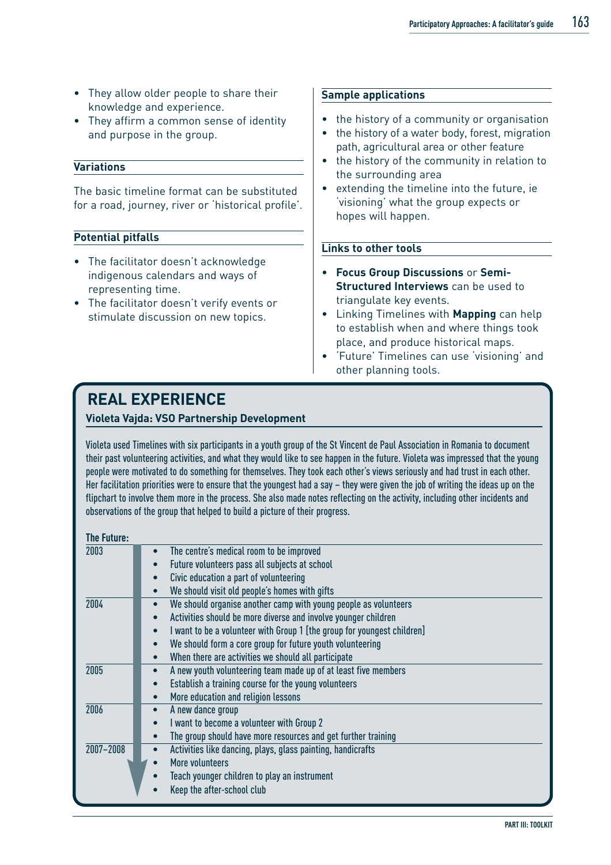- They allow older people to share their knowledge and experience.
- They affirm a common sense of identity and purpose in the group.

#### **Variations**

The basic timeline format can be substituted for a road, journey, river or 'historical profile'.

#### **Potential pitfalls**

- The facilitator doesn't acknowledge indigenous calendars and ways of representing time.
- The facilitator doesn't verify events or stimulate discussion on new topics.

#### **Sample applications**

- the history of a community or organisation
- the history of a water body, forest, migration path, agricultural area or other feature
- the history of the community in relation to the surrounding area
- extending the timeline into the future, ie 'visioning' what the group expects or hopes will happen.

#### **Links to other tools**

- **Focus Group Discussions** or **Semi-Structured Interviews** can be used to triangulate key events.
- Linking Timelines with **Mapping** can help to establish when and where things took place, and produce historical maps.
- 'Future' Timelines can use 'visioning' and other planning tools.

### **REAL EXPERIENCE**

#### **Violeta Vajda: VSO Partnership Development**

Violeta used Timelines with six participants in a youth group of the St Vincent de Paul Association in Romania to document their past volunteering activities, and what they would like to see happen in the future. Violeta was impressed that the young people were motivated to do something for themselves. They took each other's views seriously and had trust in each other. Her facilitation priorities were to ensure that the youngest had a say – they were given the job of writing the ideas up on the flipchart to involve them more in the process. She also made notes reflecting on the activity, including other incidents and observations of the group that helped to build a picture of their progress.

| The Future: |                                                                                      |
|-------------|--------------------------------------------------------------------------------------|
| 2003        | The centre's medical room to be improved                                             |
|             | Future volunteers pass all subjects at school                                        |
|             | Civic education a part of volunteering                                               |
|             | We should visit old people's homes with gifts                                        |
| 2004        | We should organise another camp with young people as volunteers<br>$\bullet$         |
|             | Activities should be more diverse and involve younger children<br>$\bullet$          |
|             | I want to be a volunteer with Group 1 [the group for youngest children]<br>$\bullet$ |
|             | We should form a core group for future youth volunteering                            |
|             | When there are activities we should all participate                                  |
| 2005        | A new youth volunteering team made up of at least five members<br>$\bullet$          |
|             | Establish a training course for the young volunteers<br>$\bullet$                    |
|             | More education and religion lessons<br>$\bullet$                                     |
| 2006        | A new dance group                                                                    |
|             | I want to become a volunteer with Group 2                                            |
|             | The group should have more resources and get further training                        |
| 2007-2008   | Activities like dancing, plays, glass painting, handicrafts<br>$\bullet$             |
|             | More volunteers                                                                      |
|             | Teach younger children to play an instrument                                         |
|             | Keep the after-school club                                                           |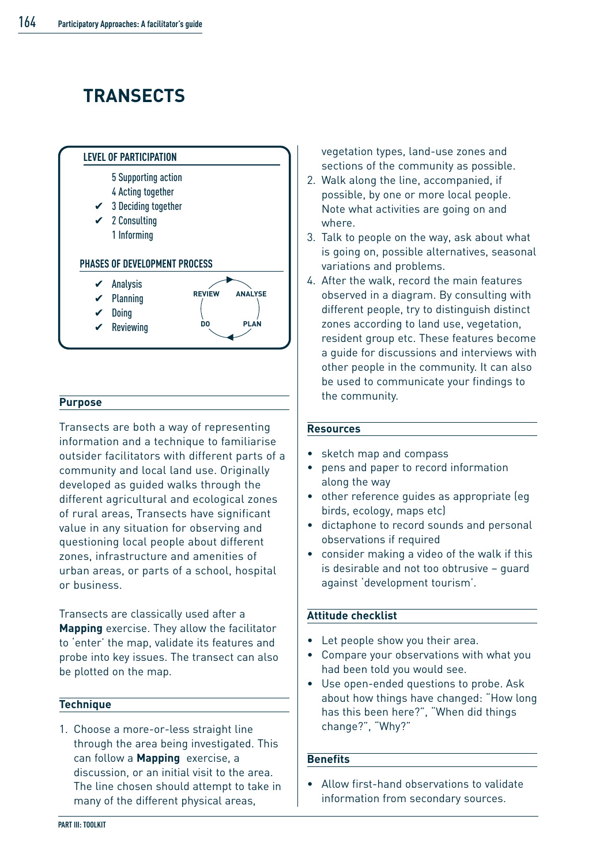# **TRANSECTS**



#### **Purpose**

Transects are both a way of representing information and a technique to familiarise outsider facilitators with different parts of a community and local land use. Originally developed as guided walks through the different agricultural and ecological zones of rural areas, Transects have significant value in any situation for observing and questioning local people about different zones, infrastructure and amenities of urban areas, or parts of a school, hospital or business.

Transects are classically used after a **Mapping** exercise. They allow the facilitator to 'enter' the map, validate its features and probe into key issues. The transect can also be plotted on the map.

#### **Technique**

1. Choose a more-or-less straight line through the area being investigated. This can follow a **Mapping** exercise, a discussion, or an initial visit to the area. The line chosen should attempt to take in many of the different physical areas,

vegetation types, land-use zones and sections of the community as possible.

- 2. Walk along the line, accompanied, if possible, by one or more local people. Note what activities are going on and where.
- 3. Talk to people on the way, ask about what is going on, possible alternatives, seasonal variations and problems.
- 4. After the walk, record the main features observed in a diagram. By consulting with different people, try to distinguish distinct zones according to land use, vegetation, resident group etc. These features become a guide for discussions and interviews with other people in the community. It can also be used to communicate your findings to the community.

#### **Resources**

- sketch map and compass
- pens and paper to record information along the way
- other reference guides as appropriate (eg birds, ecology, maps etc)
- dictaphone to record sounds and personal observations if required
- consider making a video of the walk if this is desirable and not too obtrusive – guard against 'development tourism'.

#### **Attitude checklist**

- Let people show you their area.
- Compare your observations with what you had been told you would see.
- Use open-ended questions to probe. Ask about how things have changed: "How long has this been here?", "When did things change?", "Why?"

#### **Benefits**

• Allow first-hand observations to validate information from secondary sources.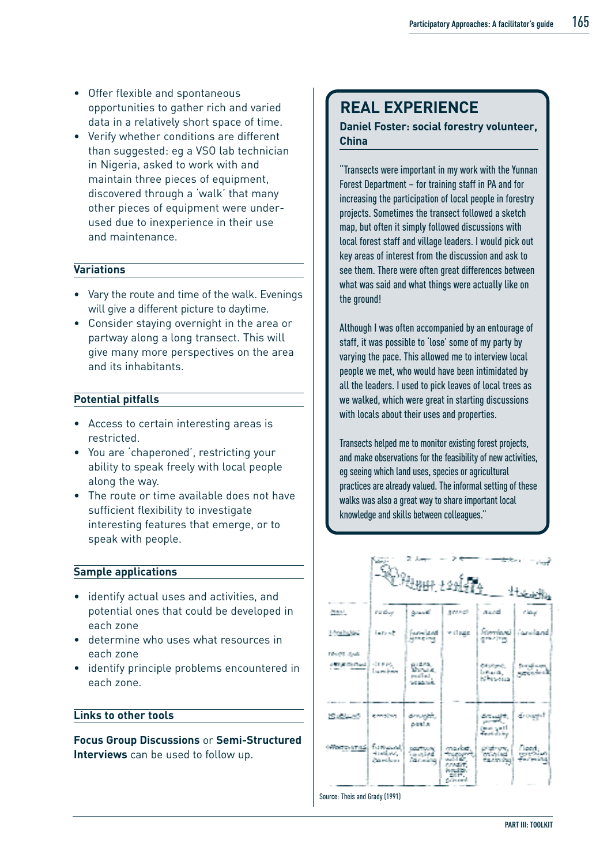- Offer flexible and spontaneous opportunities to gather rich and varied data in a relatively short space of time.
- Verify whether conditions are different than suggested: eg a VSO lab technician in Nigeria, asked to work with and maintain three pieces of equipment, discovered through a 'walk' that many other pieces of equipment were underused due to inexperience in their use and maintenance.

#### **Variations**

- Vary the route and time of the walk. Evenings will give a different picture to daytime.
- Consider staying overnight in the area or partway along a long transect. This will give many more perspectives on the area and its inhabitants.

#### **Potential pitfalls**

- Access to certain interesting areas is restricted.
- You are 'chaperoned', restricting your ability to speak freely with local people along the way.
- The route or time available does not have sufficient flexibility to investigate interesting features that emerge, or to speak with people.

#### **Sample applications**

- identify actual uses and activities, and potential ones that could be developed in each zone
- determine who uses what resources in each zone
- identify principle problems encountered in each zone.

#### **Links to other tools**

**Focus Group Discussions** or **Semi-Structured Interviews** can be used to follow up.

### **REAL EXPERIENCE**

#### **Daniel Foster: social forestry volunteer, China**

"Transects were important in my work with the Yunnan Forest Department – for training staff in PA and for increasing the participation of local people in forestry projects. Sometimes the transect followed a sketch map, but often it simply followed discussions with local forest staff and village leaders. I would pick out key areas of interest from the discussion and ask to see them. There were often great differences between what was said and what things were actually like on the ground!

Although I was often accompanied by an entourage of staff, it was possible to 'lose' some of my party by varying the pace. This allowed me to interview local people we met, who would have been intimidated by all the leaders. I used to pick leaves of local trees as we walked, which were great in starting discussions with locals about their uses and properties.

Transects helped me to monitor existing forest projects, and make observations for the feasibility of new activities, eg seeing which land uses, species or agricultural practices are already valued. The informal setting of these walks was also a great way to share important local knowledge and skills between colleagues."

|                                         |                                       | <b>SORANGE LEGAL</b>                           |                                                              |                                                      | المشار<br>$\pm \pm \pm \omega$     |
|-----------------------------------------|---------------------------------------|------------------------------------------------|--------------------------------------------------------------|------------------------------------------------------|------------------------------------|
| Mary 11                                 | na duy                                | <b>Glazell</b>                                 | a reactive                                                   | assel                                                | استفاته                            |
| <b>Dealer</b> Red                       | interit                               | Farm land<br>Man Circuit                       | will sugge.                                                  | <b>Johnson</b><br>give class                         | <b><i><u>increditional</u></i></b> |
| DAVAS BASE<br><b>The County Council</b> | 受賞を受賞<br>l na mathairs                | parties.<br><b>SALE STATE AND</b>              |                                                              | 64 Marsh.<br>beara,<br>talki solan                   | , Santajirang<br>Matapatèn         |
| 間違に感                                    | generalism.                           | den sykk,<br>prest as                          |                                                              | dire antiti.<br>Tanzania<br>التمن منعز<br>Partido in | de organit                         |
| <b>OFFICIATIONS</b>                     | forthways)<br>Handbook,<br>Patrickens | <b>DOUTING</b><br>i a mheal<br><b>Continue</b> | r.com/b<br>Summer Print,<br>ca it.<br><b><i>Pullbaum</i></b> | Districtor.<br>intGrelad<br>the sign from            | flox<br>ш.                         |

Source: Theis and Grady (1991)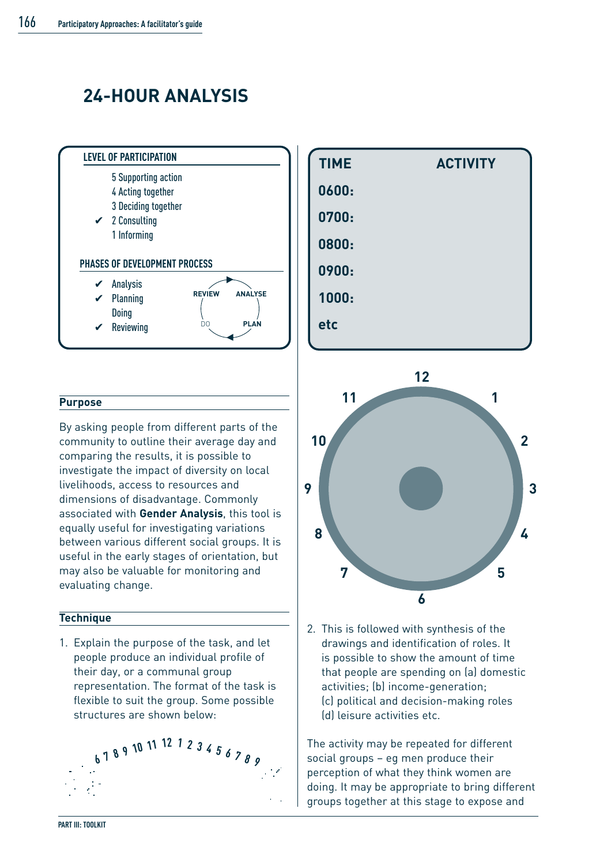# **24-HOUR ANALYSIS**



#### **Purpose**

By asking people from different parts of the community to outline their average day and comparing the results, it is possible to investigate the impact of diversity on local livelihoods, access to resources and dimensions of disadvantage. Commonly associated with **Gender Analysis**, this tool is equally useful for investigating variations between various different social groups. It is useful in the early stages of orientation, but may also be valuable for monitoring and evaluating change.

#### **Technique**

1. Explain the purpose of the task, and let people produce an individual profile of their day, or a communal group representation. The format of the task is flexible to suit the group. Some possible structures are shown below:







2. This is followed with synthesis of the drawings and identification of roles. It is possible to show the amount of time that people are spending on (a) domestic activities; (b) income-generation; (c) political and decision-making roles (d) leisure activities etc.

The activity may be repeated for different social groups – eg men produce their perception of what they think women are doing. It may be appropriate to bring different groups together at this stage to expose and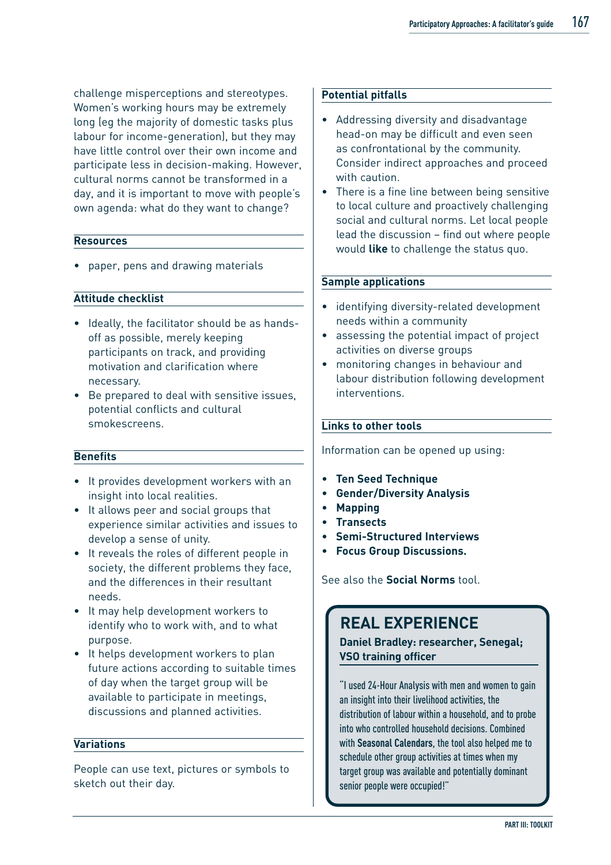challenge misperceptions and stereotypes. Women's working hours may be extremely long (eg the majority of domestic tasks plus labour for income-generation), but they may have little control over their own income and participate less in decision-making. However, cultural norms cannot be transformed in a day, and it is important to move with people's own agenda: what do they want to change?

#### **Resources**

• paper, pens and drawing materials

#### **Attitude checklist**

- Ideally, the facilitator should be as handsoff as possible, merely keeping participants on track, and providing motivation and clarification where necessary.
- Be prepared to deal with sensitive issues, potential conflicts and cultural smokescreens.

#### **Benefits**

- It provides development workers with an insight into local realities.
- It allows peer and social groups that experience similar activities and issues to develop a sense of unity.
- It reveals the roles of different people in society, the different problems they face, and the differences in their resultant needs.
- It may help development workers to identify who to work with, and to what purpose.
- It helps development workers to plan future actions according to suitable times of day when the target group will be available to participate in meetings, discussions and planned activities.

#### **Variations**

People can use text, pictures or symbols to sketch out their day.

#### **Potential pitfalls**

- Addressing diversity and disadvantage head-on may be difficult and even seen as confrontational by the community. Consider indirect approaches and proceed with caution.
- There is a fine line between being sensitive to local culture and proactively challenging social and cultural norms. Let local people lead the discussion – find out where people would **like** to challenge the status quo.

#### **Sample applications**

- identifying diversity-related development needs within a community
- assessing the potential impact of project activities on diverse groups
- monitoring changes in behaviour and labour distribution following development interventions.

#### **Links to other tools**

Information can be opened up using:

- **Ten Seed Technique**
- **Gender/Diversity Analysis**
- **Mapping**
- **Transects**
- **Semi-Structured Interviews**
- **Focus Group Discussions.**

See also the **Social Norms** tool.

### **REAL EXPERIENCE**

**Daniel Bradley: researcher, Senegal; VSO training officer**

"I used 24-Hour Analysis with men and women to gain an insight into their livelihood activities, the distribution of labour within a household, and to probe into who controlled household decisions. Combined with **Seasonal Calendars**, the tool also helped me to schedule other group activities at times when my target group was available and potentially dominant senior people were occupied!"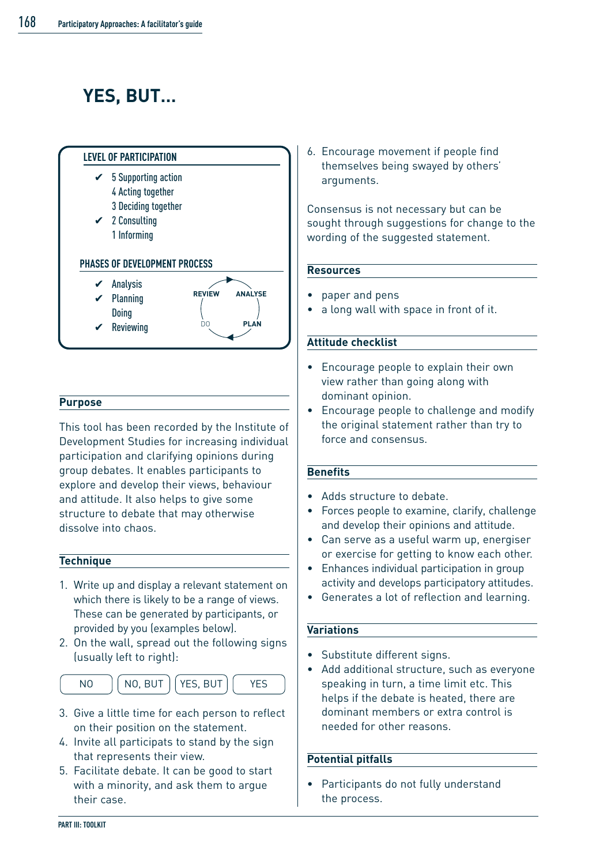# **YES, BUT…**



#### **Purpose**

This tool has been recorded by the Institute of Development Studies for increasing individual participation and clarifying opinions during group debates. It enables participants to explore and develop their views, behaviour and attitude. It also helps to give some structure to debate that may otherwise dissolve into chaos.

#### **Technique**

- 1. Write up and display a relevant statement on which there is likely to be a range of views. These can be generated by participants, or provided by you (examples below).
- 2. On the wall, spread out the following signs (usually left to right):
- NO | NO, BUT | YES, BUT | YES
- 3. Give a little time for each person to reflect on their position on the statement.
- 4. Invite all participats to stand by the sign that represents their view.
- 5. Facilitate debate. It can be good to start with a minority, and ask them to argue their case.

6. Encourage movement if people find themselves being swayed by others' arguments.

Consensus is not necessary but can be sought through suggestions for change to the wording of the suggested statement.

#### **Resources**

- paper and pens
- a long wall with space in front of it.

#### **Attitude checklist**

- Encourage people to explain their own view rather than going along with dominant opinion.
- Encourage people to challenge and modify the original statement rather than try to force and consensus.

#### **Benefits**

- Adds structure to debate.
- Forces people to examine, clarify, challenge and develop their opinions and attitude.
- Can serve as a useful warm up, energiser or exercise for getting to know each other.
- Enhances individual participation in group activity and develops participatory attitudes.
- Generates a lot of reflection and learning.

#### **Variations**

- Substitute different signs.
- Add additional structure, such as everyone speaking in turn, a time limit etc. This helps if the debate is heated, there are dominant members or extra control is needed for other reasons.

#### **Potential pitfalls**

• Participants do not fully understand the process.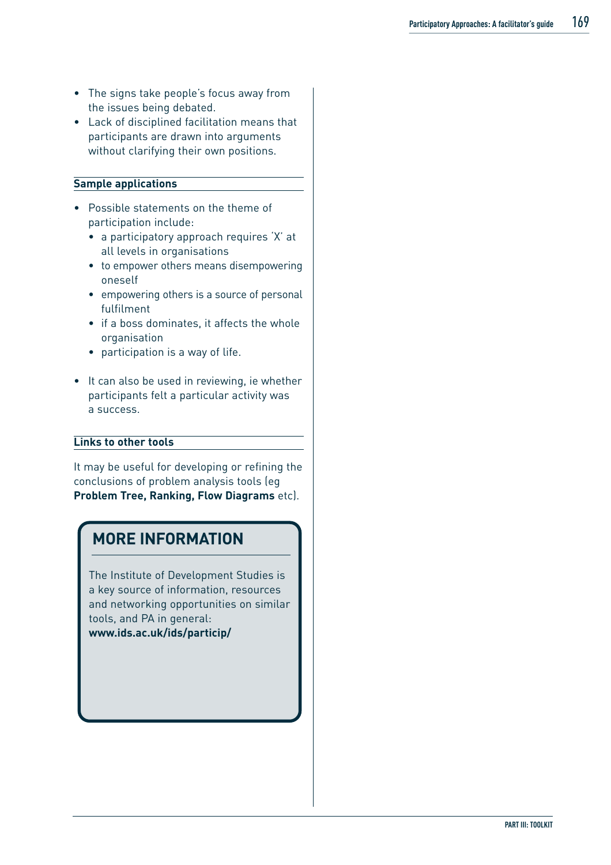- The signs take people's focus away from the issues being debated.
- Lack of disciplined facilitation means that participants are drawn into arguments without clarifying their own positions.

#### **Sample applications**

- Possible statements on the theme of participation include:
	- a participatory approach requires 'X' at all levels in organisations
	- to empower others means disempowering oneself
	- empowering others is a source of personal fulfilment
	- if a boss dominates, it affects the whole organisation
	- participation is a way of life.
- It can also be used in reviewing, ie whether participants felt a particular activity was a success.

#### **Links to other tools**

It may be useful for developing or refining the conclusions of problem analysis tools (eg **Problem Tree, Ranking, Flow Diagrams** etc).

### **MORE INFORMATION**

The Institute of Development Studies is a key source of information, resources and networking opportunities on similar tools, and PA in general: **www.ids.ac.uk/ids/particip/**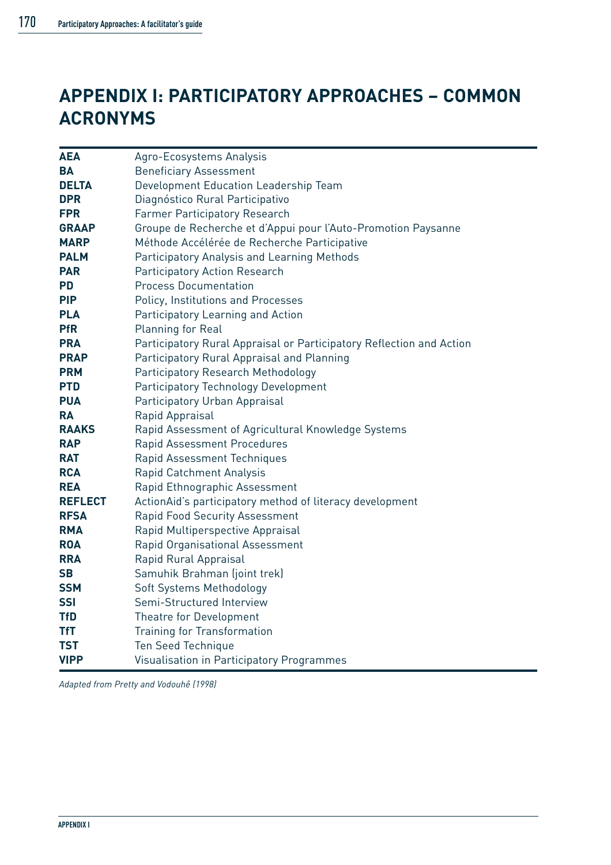## **APPENDIX I: PARTICIPATORY APPROACHES – COMMON ACRONYMS**

| <b>AEA</b>     | Agro-Ecosystems Analysis                                             |  |  |
|----------------|----------------------------------------------------------------------|--|--|
| <b>BA</b>      | <b>Beneficiary Assessment</b>                                        |  |  |
| <b>DELTA</b>   | Development Education Leadership Team                                |  |  |
| <b>DPR</b>     | Diagnóstico Rural Participativo                                      |  |  |
| <b>FPR</b>     | Farmer Participatory Research                                        |  |  |
| <b>GRAAP</b>   | Groupe de Recherche et d'Appui pour l'Auto-Promotion Paysanne        |  |  |
| <b>MARP</b>    | Méthode Accélérée de Recherche Participative                         |  |  |
| <b>PALM</b>    | Participatory Analysis and Learning Methods                          |  |  |
| <b>PAR</b>     | Participatory Action Research                                        |  |  |
| <b>PD</b>      | <b>Process Documentation</b>                                         |  |  |
| <b>PIP</b>     | Policy, Institutions and Processes                                   |  |  |
| <b>PLA</b>     | Participatory Learning and Action                                    |  |  |
| <b>PfR</b>     | Planning for Real                                                    |  |  |
| <b>PRA</b>     | Participatory Rural Appraisal or Participatory Reflection and Action |  |  |
| <b>PRAP</b>    | Participatory Rural Appraisal and Planning                           |  |  |
| <b>PRM</b>     | Participatory Research Methodology                                   |  |  |
| <b>PTD</b>     | Participatory Technology Development                                 |  |  |
| <b>PUA</b>     | Participatory Urban Appraisal                                        |  |  |
| <b>RA</b>      | Rapid Appraisal                                                      |  |  |
| <b>RAAKS</b>   | Rapid Assessment of Agricultural Knowledge Systems                   |  |  |
| <b>RAP</b>     | Rapid Assessment Procedures                                          |  |  |
| <b>RAT</b>     | Rapid Assessment Techniques                                          |  |  |
| <b>RCA</b>     | Rapid Catchment Analysis                                             |  |  |
| <b>REA</b>     | Rapid Ethnographic Assessment                                        |  |  |
| <b>REFLECT</b> | ActionAid's participatory method of literacy development             |  |  |
| <b>RFSA</b>    | Rapid Food Security Assessment                                       |  |  |
| <b>RMA</b>     | Rapid Multiperspective Appraisal                                     |  |  |
| <b>ROA</b>     | Rapid Organisational Assessment                                      |  |  |
| <b>RRA</b>     | Rapid Rural Appraisal                                                |  |  |
| <b>SB</b>      | Samuhik Brahman (joint trek)                                         |  |  |
| <b>SSM</b>     | Soft Systems Methodology                                             |  |  |
| <b>SSI</b>     | Semi-Structured Interview                                            |  |  |
| <b>TfD</b>     | Theatre for Development                                              |  |  |
| <b>TfT</b>     | Training for Transformation                                          |  |  |
| <b>TST</b>     | Ten Seed Technique                                                   |  |  |
| <b>VIPP</b>    | Visualisation in Participatory Programmes                            |  |  |

*Adapted from Pretty and Vodouhê (1998)*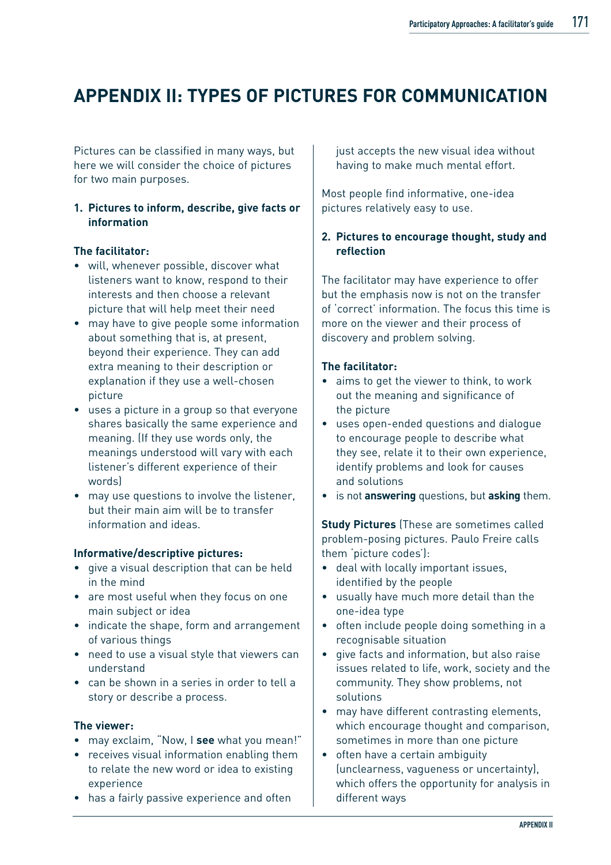### **APPENDIX II: TYPES OF PICTURES FOR COMMUNICATION**

Pictures can be classified in many ways, but here we will consider the choice of pictures for two main purposes.

#### **1. Pictures to inform, describe, give facts or information**

#### **The facilitator:**

- will, whenever possible, discover what listeners want to know, respond to their interests and then choose a relevant picture that will help meet their need
- may have to give people some information about something that is, at present, beyond their experience. They can add extra meaning to their description or explanation if they use a well-chosen picture
- uses a picture in a group so that everyone shares basically the same experience and meaning. (If they use words only, the meanings understood will vary with each listener's different experience of their words)
- may use questions to involve the listener, but their main aim will be to transfer information and ideas.

#### **Informative/descriptive pictures:**

- give a visual description that can be held in the mind
- are most useful when they focus on one main subject or idea
- indicate the shape, form and arrangement of various things
- need to use a visual style that viewers can understand
- can be shown in a series in order to tell a story or describe a process.

#### **The viewer:**

- may exclaim, "Now, I **see** what you mean!"
- receives visual information enabling them to relate the new word or idea to existing experience
- has a fairly passive experience and often

just accepts the new visual idea without having to make much mental effort.

Most people find informative, one-idea pictures relatively easy to use.

#### **2. Pictures to encourage thought, study and reflection**

The facilitator may have experience to offer but the emphasis now is not on the transfer of 'correct' information. The focus this time is more on the viewer and their process of discovery and problem solving.

#### **The facilitator:**

- aims to get the viewer to think, to work out the meaning and significance of the picture
- uses open-ended questions and dialogue to encourage people to describe what they see, relate it to their own experience, identify problems and look for causes and solutions
- is not **answering** questions, but **asking** them.

**Study Pictures** (These are sometimes called problem-posing pictures. Paulo Freire calls them 'picture codes'):

- deal with locally important issues, identified by the people
- usually have much more detail than the one-idea type
- often include people doing something in a recognisable situation
- give facts and information, but also raise issues related to life, work, society and the community. They show problems, not solutions
- may have different contrasting elements, which encourage thought and comparison. sometimes in more than one picture
- often have a certain ambiguity (unclearness, vagueness or uncertainty), which offers the opportunity for analysis in different ways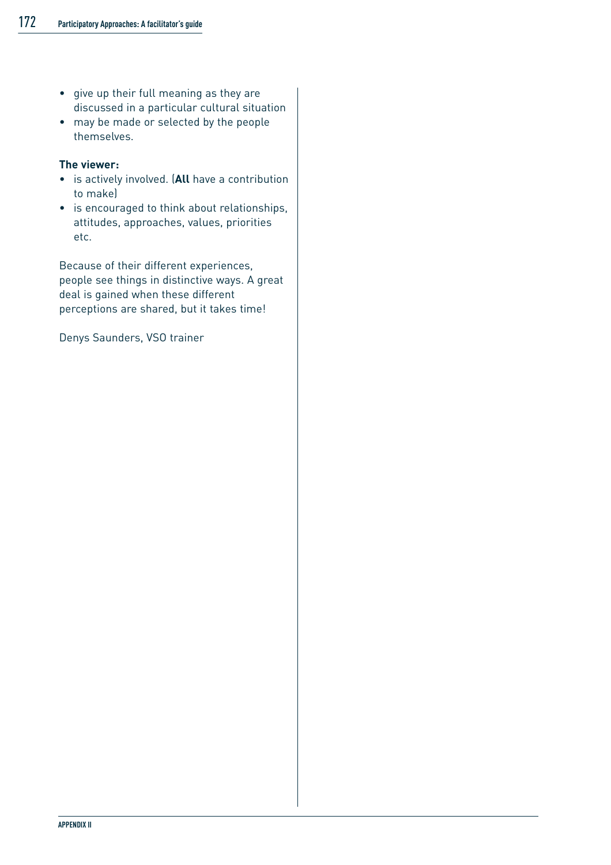- give up their full meaning as they are discussed in a particular cultural situation
- may be made or selected by the people themselves.

#### **The viewer:**

- is actively involved. (**All** have a contribution to make)
- is encouraged to think about relationships, attitudes, approaches, values, priorities etc.

Because of their different experiences, people see things in distinctive ways. A great deal is gained when these different perceptions are shared, but it takes time!

Denys Saunders, VSO trainer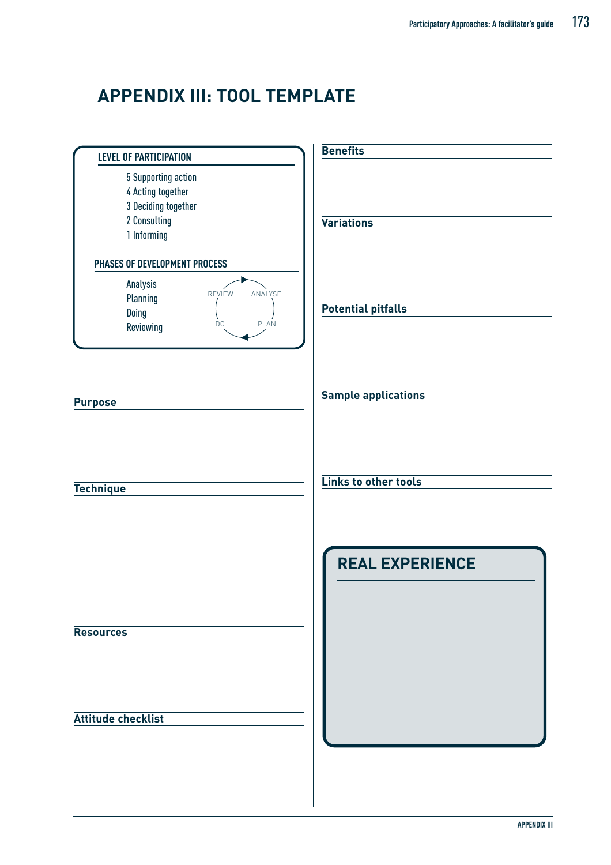## **APPENDIX III: TOOL TEMPLATE**

| <b>LEVEL OF PARTICIPATION</b>                                                                                                     | <b>Benefits</b>            |
|-----------------------------------------------------------------------------------------------------------------------------------|----------------------------|
| 5 Supporting action<br>4 Acting together<br>3 Deciding together<br>2 Consulting<br>1 Informing                                    | <b>Variations</b>          |
| PHASES OF DEVELOPMENT PROCESS<br>Analysis<br>ANALYSE<br><b>REVIEW</b><br>Planning<br>Doing<br>PLAN<br>D <sub>O</sub><br>Reviewing | <b>Potential pitfalls</b>  |
| <b>Purpose</b>                                                                                                                    | <b>Sample applications</b> |
| <b>Technique</b>                                                                                                                  | Links to other tools       |
|                                                                                                                                   | <b>REAL EXPERIENCE</b>     |
| <b>Resources</b>                                                                                                                  |                            |
| <b>Attitude checklist</b>                                                                                                         |                            |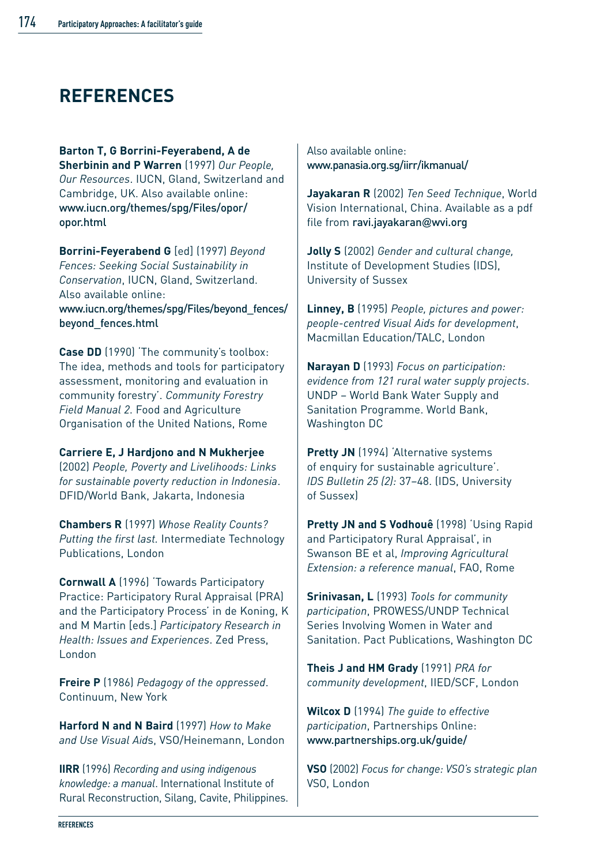# **REFERENCES**

**Barton T, G Borrini-Feyerabend, A de Sherbinin and P Warren** (1997) *Our People, Our Resources*. IUCN, Gland, Switzerland and Cambridge, UK. Also available online: www.iucn.org/themes/spg/Files/opor/ opor.html

**Borrini-Feyerabend G** [ed] (1997) *Beyond Fences: Seeking Social Sustainability in Conservation*, IUCN, Gland, Switzerland. Also available online: www.iucn.org/themes/spg/Files/beyond\_fences/

beyond\_fences.html

**Case DD** (1990) 'The community's toolbox: The idea, methods and tools for participatory assessment, monitoring and evaluation in community forestry'. *Community Forestry Field Manual 2*. Food and Agriculture Organisation of the United Nations, Rome

**Carriere E, J Hardjono and N Mukherjee** (2002) *People, Poverty and Livelihoods: Links for sustainable poverty reduction in Indonesia*. DFID/World Bank, Jakarta, Indonesia

**Chambers R** (1997) *Whose Reality Counts? Putting the first last.* Intermediate Technology Publications, London

**Cornwall A** (1996) 'Towards Participatory Practice: Participatory Rural Appraisal (PRA) and the Participatory Process' in de Koning, K and M Martin [eds.] *Participatory Research in Health: Issues and Experiences*. Zed Press, London

**Freire P** (1986) *Pedagogy of the oppressed*. Continuum, New York

**Harford N and N Baird** (1997) *How to Make and Use Visual Aid*s, VSO/Heinemann, London

**IIRR** (1996) *Recording and using indigenous knowledge: a manual*. International Institute of Rural Reconstruction, Silang, Cavite, Philippines. Also available online: www.panasia.org.sg/iirr/ikmanual/

**Jayakaran R** (2002) *Ten Seed Technique*, World Vision International, China. Available as a pdf file from ravi.jayakaran@wvi.org

**Jolly S** (2002) *Gender and cultural change,* Institute of Development Studies (IDS), University of Sussex

**Linney, B** (1995) *People, pictures and power: people-centred Visual Aids for development*, Macmillan Education/TALC, London

**Narayan D** (1993) *Focus on participation: evidence from 121 rural water supply projects*. UNDP – World Bank Water Supply and Sanitation Programme. World Bank, Washington DC

**Pretty JN** (1994) 'Alternative systems of enquiry for sustainable agriculture'. *IDS Bulletin 25 (2):* 37–48. (IDS, University of Sussex)

**Pretty JN and S Vodhouê** (1998) 'Using Rapid and Participatory Rural Appraisal', in Swanson BE et al, *Improving Agricultural Extension: a reference manual*, FAO, Rome

**Srinivasan, L** (1993) *Tools for community participation*, PROWESS/UNDP Technical Series Involving Women in Water and Sanitation. Pact Publications, Washington DC

**Theis J and HM Grady** (1991) *PRA for community development*, IIED/SCF, London

**Wilcox D** (1994) *The guide to effective participation*, Partnerships Online: www.partnerships.org.uk/guide/

**VSO** (2002) *Focus for change: VSO's strategic plan* VSO, London